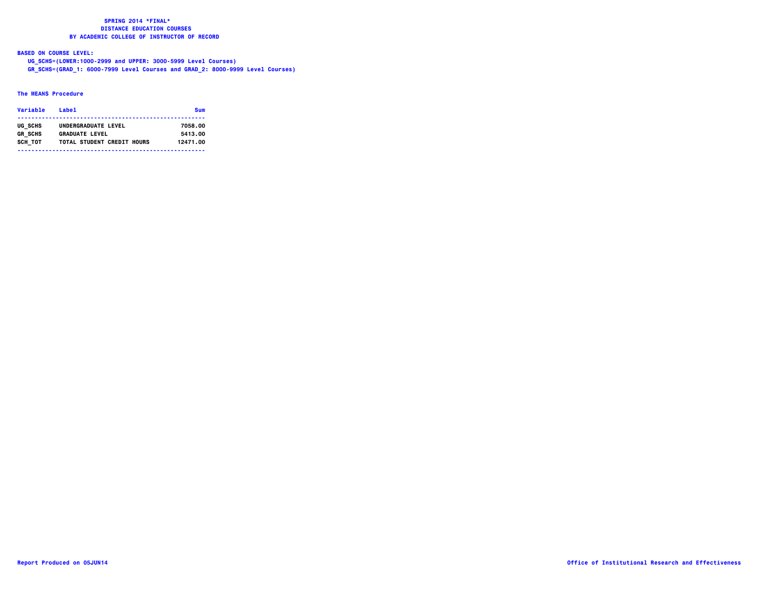**BASED ON COURSE LEVEL:**

 **UG\_SCHS=(LOWER:1000-2999 and UPPER: 3000-5999 Level Courses)**

 **GR\_SCHS=(GRAD\_1: 6000-7999 Level Courses and GRAD\_2: 8000-9999 Level Courses)**

### **The MEANS Procedure**

| Variable       | l abel                     | Sum      |
|----------------|----------------------------|----------|
| UG SCHS        | UNDERGRADUATE LEVEL        | 7058.00  |
| <b>GR SCHS</b> | <b>GRADUATE LEVEL</b>      | 5413.00  |
| SCH TOT        | TOTAL STUDENT CREDIT HOURS | 12471.00 |
|                |                            |          |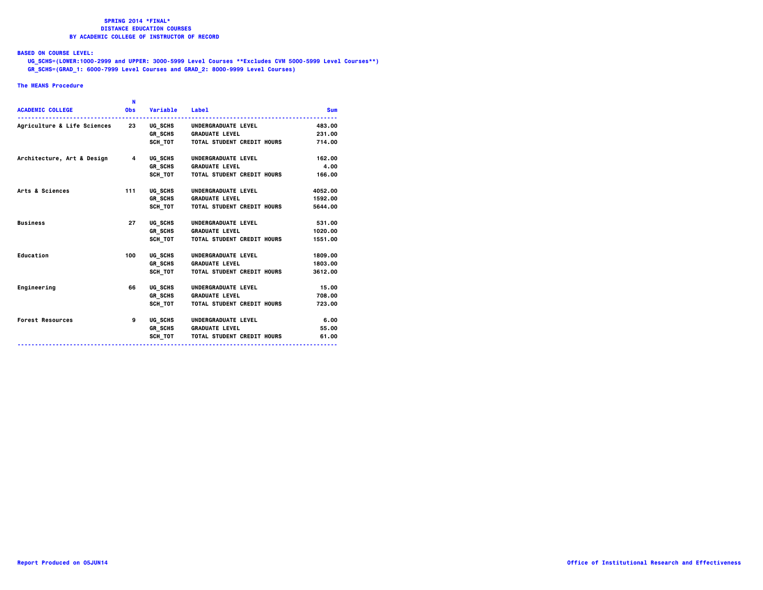### **BASED ON COURSE LEVEL:**

  **UG\_SCHS=(LOWER:1000-2999 and UPPER: 3000-5999 Level Courses \*\*Excludes CVM 5000-5999 Level Courses\*\*) GR\_SCHS=(GRAD\_1: 6000-7999 Level Courses and GRAD\_2: 8000-9999 Level Courses)**

### **The MEANS Procedure**

|                                                            | N          |                |                                    |            |
|------------------------------------------------------------|------------|----------------|------------------------------------|------------|
| <b>ACADEMIC COLLEGE</b>                                    | <b>Obs</b> | Variable Label |                                    | <b>Sum</b> |
| Agriculture & Life Sciences 23 UG_SCHS UNDERGRADUATE LEVEL |            |                |                                    | 483,00     |
|                                                            |            |                | GR SCHS GRADUATE LEVEL             | 231.00     |
|                                                            |            |                | SCH TOT TOTAL STUDENT CREDIT HOURS | 714.00     |
| Architecture, Art & Design 4                               |            | UG SCHS        | UNDERGRADUATE LEVEL                | 162.00     |
|                                                            |            |                | GR SCHS GRADUATE LEVEL             | 4.00       |
|                                                            |            |                | SCH TOT TOTAL STUDENT CREDIT HOURS | 166.00     |
| Arts & Sciences                                            | 111        | UG SCHS        | UNDERGRADUATE LEVEL                | 4052,00    |
|                                                            |            |                | <b>GR SCHS GRADUATE LEVEL</b>      | 1592.00    |
|                                                            |            |                | SCH TOT TOTAL STUDENT CREDIT HOURS | 5644.00    |
| <b>Business</b>                                            | 27         | UG SCHS        | UNDERGRADUATE LEVEL                | 531.00     |
|                                                            |            |                | GR_SCHS GRADUATE LEVEL             | 1020.00    |
|                                                            |            | SCH TOT        | TOTAL STUDENT CREDIT HOURS         | 1551.00    |
| Education                                                  | 100        | UG SCHS        | UNDERGRADUATE LEVEL                | 1809.00    |
|                                                            |            |                | GR SCHS GRADUATE LEVEL             | 1803.00    |
|                                                            |            | SCH TOT        | TOTAL STUDENT CREDIT HOURS         | 3612,00    |
| Engineering                                                | 66         | UG SCHS        | UNDERGRADUATE LEVEL                | 15.00      |
|                                                            |            |                | <b>GR SCHS GRADUATE LEVEL</b>      | 708.00     |
|                                                            |            | SCH TOT        | <b>TOTAL STUDENT CREDIT HOURS</b>  | 723.00     |
| <b>Forest Resources</b>                                    | 9          |                | UG_SCHS UNDERGRADUATE LEVEL        | 6.00       |
|                                                            |            |                | <b>GR SCHS GRADUATE LEVEL</b>      | 55.00      |
|                                                            |            |                | SCH TOT TOTAL STUDENT CREDIT HOURS | 61.00      |
|                                                            |            |                |                                    |            |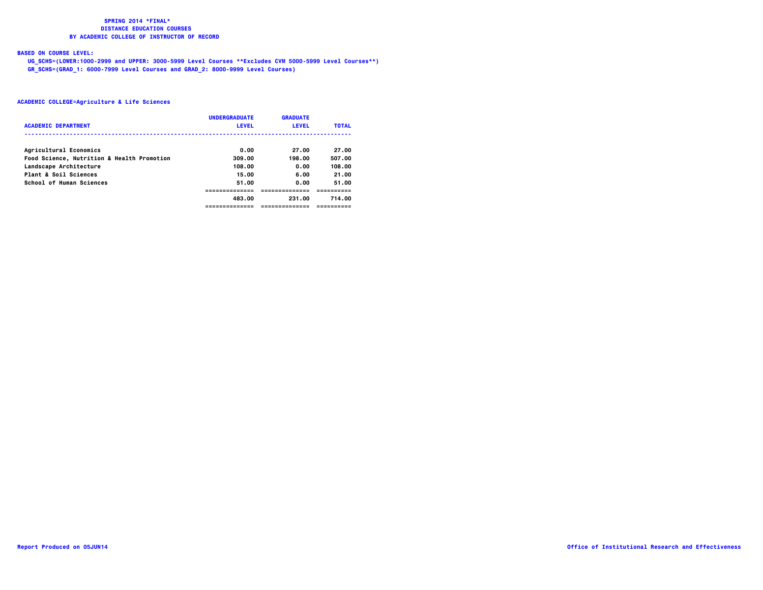# **BASED ON COURSE LEVEL:**

  **UG\_SCHS=(LOWER:1000-2999 and UPPER: 3000-5999 Level Courses \*\*Excludes CVM 5000-5999 Level Courses\*\*) GR\_SCHS=(GRAD\_1: 6000-7999 Level Courses and GRAD\_2: 8000-9999 Level Courses)**

|                                            | <b>UNDERGRADUATE</b> | <b>GRADUATE</b> |              |
|--------------------------------------------|----------------------|-----------------|--------------|
| <b>ACADEMIC DEPARTMENT</b>                 | <b>LEVEL</b>         | <b>LEVEL</b>    | <b>TOTAL</b> |
|                                            |                      |                 |              |
| Agricultural Economics                     | 0.00                 | 27.00           | 27.00        |
| Food Science, Nutrition & Health Promotion | 309.00               | 198.00          | 507.00       |
| Landscape Architecture                     | 108.00               | 0.00            | 108.00       |
| Plant & Soil Sciences                      | 15.00                | 6.00            | 21.00        |
| School of Human Sciences                   | 51.00                | 0.00            | 51.00        |
|                                            |                      |                 |              |
|                                            | 483.00               | 231.00          | 714.00       |
|                                            | ------------         | --------------  |              |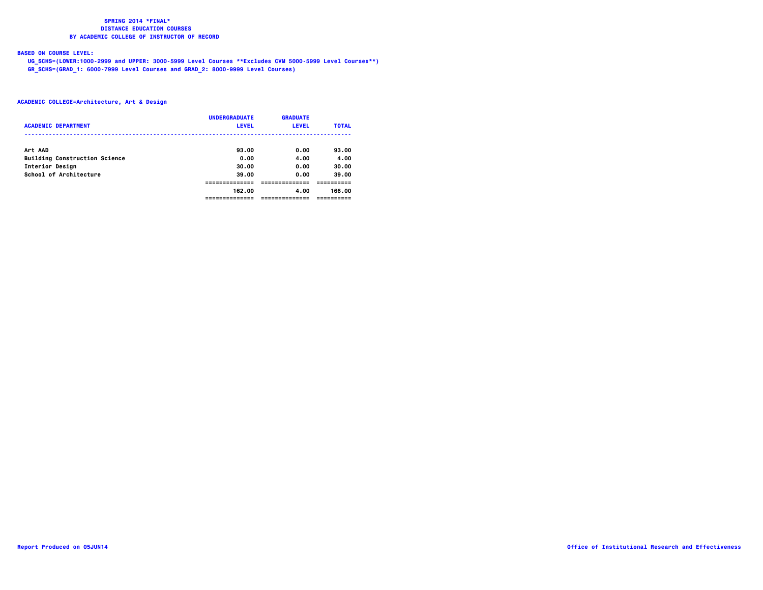# **BASED ON COURSE LEVEL:**

  **UG\_SCHS=(LOWER:1000-2999 and UPPER: 3000-5999 Level Courses \*\*Excludes CVM 5000-5999 Level Courses\*\*) GR\_SCHS=(GRAD\_1: 6000-7999 Level Courses and GRAD\_2: 8000-9999 Level Courses)**

| <b>ACADEMIC DEPARTMENT</b>           | <b>UNDERGRADUATE</b><br><b>LEVEL</b> | <b>GRADUATE</b><br><b>LEVEL</b> | <b>TOTAL</b> |
|--------------------------------------|--------------------------------------|---------------------------------|--------------|
| Art AAD                              | 93.00                                | 0.00                            | 93.00        |
| <b>Building Construction Science</b> | 0.00                                 | 4.00                            | 4.00         |
| Interior Design                      | 30.00                                | 0.00                            | 30.00        |
| School of Architecture               | 39.00                                | 0.00                            | 39.00        |
|                                      |                                      |                                 |              |
|                                      | 162.00                               | 4.00                            | 166.00       |
|                                      |                                      |                                 |              |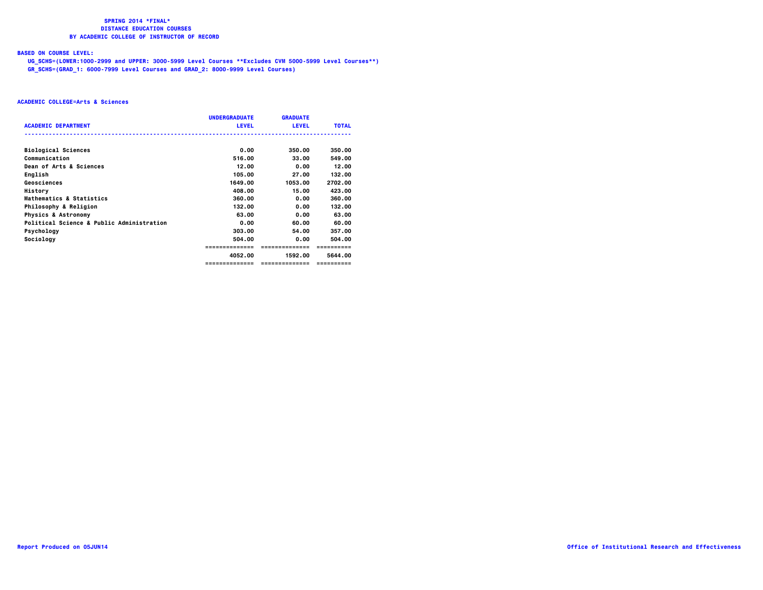# **BASED ON COURSE LEVEL:**

  **UG\_SCHS=(LOWER:1000-2999 and UPPER: 3000-5999 Level Courses \*\*Excludes CVM 5000-5999 Level Courses\*\*) GR\_SCHS=(GRAD\_1: 6000-7999 Level Courses and GRAD\_2: 8000-9999 Level Courses)**

|                                           | <b>UNDERGRADUATE</b> | <b>GRADUATE</b> |              |
|-------------------------------------------|----------------------|-----------------|--------------|
| <b>ACADEMIC DEPARTMENT</b>                | <b>LEVEL</b>         | <b>LEVEL</b>    | <b>TOTAL</b> |
| <b>Biological Sciences</b>                | 0.00                 | 350.00          | 350.00       |
| Communication                             | 516.00               | 33.00           | 549.00       |
| Dean of Arts & Sciences                   | 12.00                | 0.00            | 12.00        |
| English                                   | 105.00               | 27.00           | 132.00       |
| Geosciences                               | 1649.00              | 1053.00         | 2702.00      |
| History                                   | 408.00               | 15.00           | 423.00       |
| Mathematics & Statistics                  | 360.00               | 0.00            | 360.00       |
| Philosophy & Religion                     | 132.00               | 0.00            | 132.00       |
| <b>Physics &amp; Astronomy</b>            | 63.00                | 0.00            | 63.00        |
| Political Science & Public Administration | 0.00                 | 60.00           | 60.00        |
| Psychology                                | 303.00               | 54.00           | 357.00       |
| Sociology                                 | 504.00               | 0.00            | 504.00       |
|                                           | =============        | ==============  | ==========   |
|                                           | 4052.00              | 1592.00         | 5644.00      |
|                                           | ==============       | ==============  | ==========   |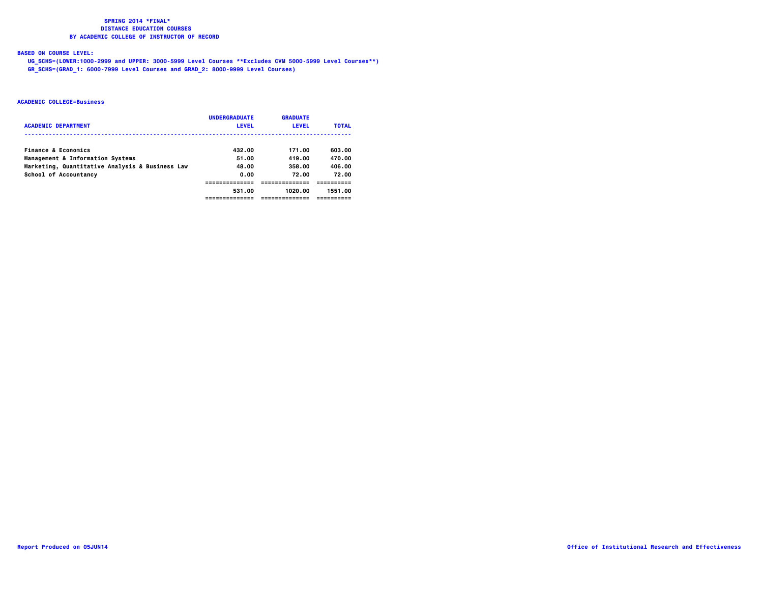# **BASED ON COURSE LEVEL:**

  **UG\_SCHS=(LOWER:1000-2999 and UPPER: 3000-5999 Level Courses \*\*Excludes CVM 5000-5999 Level Courses\*\*) GR\_SCHS=(GRAD\_1: 6000-7999 Level Courses and GRAD\_2: 8000-9999 Level Courses)**

|                                                 | <b>UNDERGRADUATE</b> | <b>GRADUATE</b> |              |
|-------------------------------------------------|----------------------|-----------------|--------------|
| <b>ACADEMIC DEPARTMENT</b>                      | <b>LEVEL</b>         | <b>LEVEL</b>    | <b>TOTAL</b> |
|                                                 |                      |                 |              |
| Finance & Economics                             | 432.00               | 171.00          | 603.00       |
| Management & Information Systems                | 51.00                | 419.00          | 470.00       |
| Marketing, Quantitative Analysis & Business Law | 48.00                | 358.00          | 406.00       |
| School of Accountancy                           | 0.00                 | 72.00           | 72.00        |
|                                                 |                      |                 |              |
|                                                 | 531.00               | 1020.00         | 1551.00      |
|                                                 |                      |                 |              |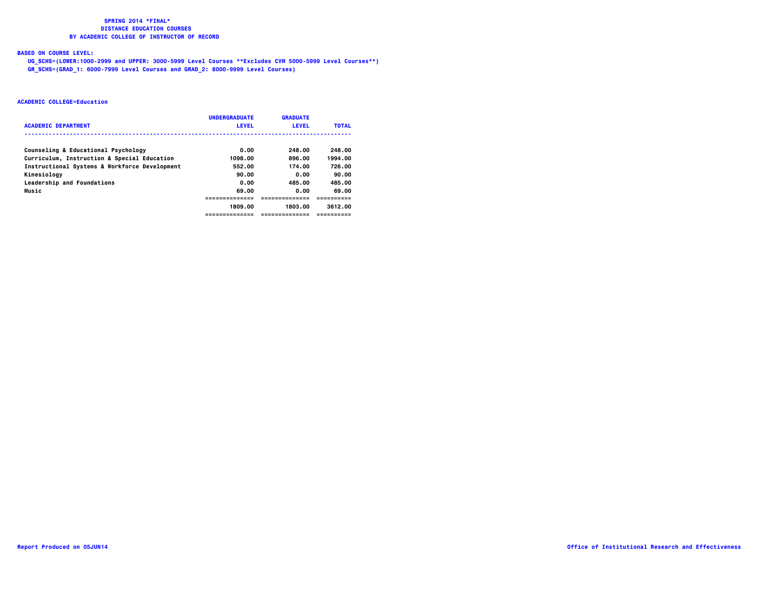# **BASED ON COURSE LEVEL:**

  **UG\_SCHS=(LOWER:1000-2999 and UPPER: 3000-5999 Level Courses \*\*Excludes CVM 5000-5999 Level Courses\*\*) GR\_SCHS=(GRAD\_1: 6000-7999 Level Courses and GRAD\_2: 8000-9999 Level Courses)**

|                                               | <b>UNDERGRADUATE</b> | <b>GRADUATE</b> |              |
|-----------------------------------------------|----------------------|-----------------|--------------|
| <b>ACADEMIC DEPARTMENT</b>                    | <b>LEVEL</b>         | <b>LEVEL</b>    | <b>TOTAL</b> |
| Counseling & Educational Psychology           | 0.00                 | 248.00          | 248.00       |
| Curriculum, Instruction & Special Education   | 1098.00              | 896.00          | 1994.00      |
| Instructional Systems & Workforce Development | 552.00               | 174.00          | 726.00       |
| Kinesiology                                   | 90.00                | 0.00            | 90.00        |
| Leadership and Foundations                    | 0.00                 | 485.00          | 485.00       |
| Music                                         | 69.00                | 0.00            | 69.00        |
|                                               | --------------       |                 |              |
|                                               | 1809.00              | 1803.00         | 3612.00      |
|                                               | ---------------      | --------------- | ==========   |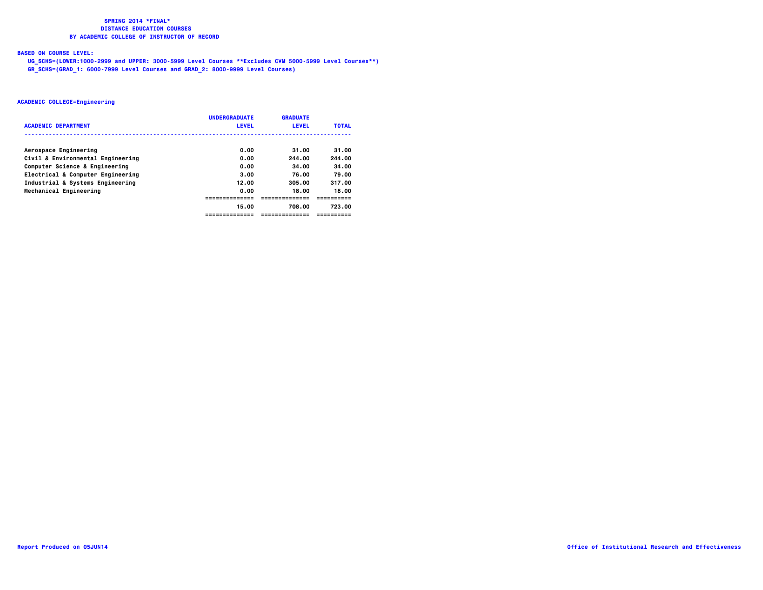# **BASED ON COURSE LEVEL:**

  **UG\_SCHS=(LOWER:1000-2999 and UPPER: 3000-5999 Level Courses \*\*Excludes CVM 5000-5999 Level Courses\*\*) GR\_SCHS=(GRAD\_1: 6000-7999 Level Courses and GRAD\_2: 8000-9999 Level Courses)**

| <b>ACADEMIC DEPARTMENT</b>        | <b>UNDERGRADUATE</b><br><b>LEVEL</b> | <b>GRADUATE</b><br><b>LEVEL</b> | <b>TOTAL</b> |
|-----------------------------------|--------------------------------------|---------------------------------|--------------|
|                                   |                                      |                                 |              |
| Aerospace Engineering             | 0.00                                 | 31.00                           | 31.00        |
| Civil & Environmental Engineering | 0.00                                 | 244.00                          | 244.00       |
| Computer Science & Engineering    | 0.00                                 | 34.00                           | 34.00        |
| Electrical & Computer Engineering | 3.00                                 | 76.00                           | 79.00        |
| Industrial & Systems Engineering  | 12.00                                | 305.00                          | 317.00       |
| Mechanical Engineering            | 0.00                                 | 18.00                           | 18.00        |
|                                   |                                      | --------------                  | -----------  |
|                                   | 15.00                                | 708.00                          | 723.00       |
|                                   | -------------                        | ------------                    | ==========   |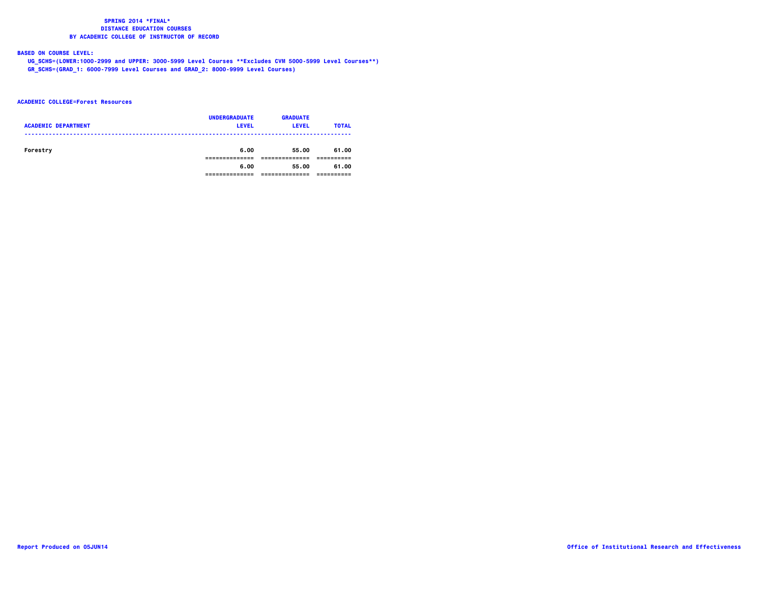# **BASED ON COURSE LEVEL:**

  **UG\_SCHS=(LOWER:1000-2999 and UPPER: 3000-5999 Level Courses \*\*Excludes CVM 5000-5999 Level Courses\*\*) GR\_SCHS=(GRAD\_1: 6000-7999 Level Courses and GRAD\_2: 8000-9999 Level Courses)**

### **ACADEMIC COLLEGE=Forest Resources**

| <b>ACADEMIC DEPARTMENT</b> | <b>UNDERGRADUATE</b><br><b>LEVEL</b> | <b>GRADUATE</b><br><b>LEVEL</b> | <b>TOTAL</b> |
|----------------------------|--------------------------------------|---------------------------------|--------------|
| Forestry                   | 6.00                                 | 55.00                           | 61.00        |
|                            | 6.00                                 | 55.00                           | 61.00        |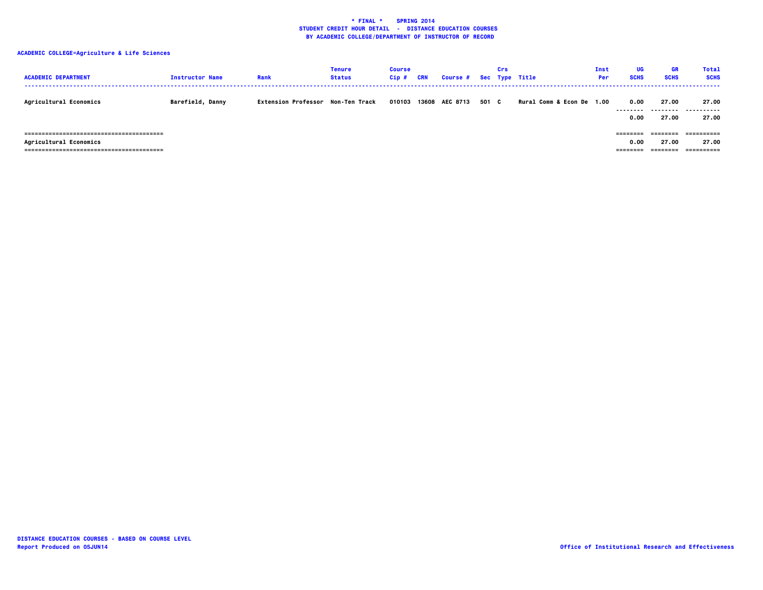| <b>ACADEMIC DEPARTMENT</b>    | <b>Instructor Name</b>  | Rank                              | <b>Tenure</b><br><b>Status</b> | <b>Course</b><br>$Cip$ # | <b>CRN</b> | <b>Course #</b> |       | Crs | Sec Type Title            | Inst<br>Per | UG<br><b>SCHS</b>            | <b>GR</b><br><b>SCHS</b>    | <b>Total</b><br><b>SCHS</b> |
|-------------------------------|-------------------------|-----------------------------------|--------------------------------|--------------------------|------------|-----------------|-------|-----|---------------------------|-------------|------------------------------|-----------------------------|-----------------------------|
| <b>Agricultural Economics</b> | <b>Barefield, Danny</b> | Extension Professor Non-Ten Track |                                | 010103                   |            | 13608 AEC 8713  | 501 C |     | Rural Comm & Econ De 1.00 |             | 0.00<br>---------<br>0.00    | 27.00<br>---------<br>27.00 | 27.00<br>.<br>27.00         |
| <b>Agricultural Economics</b> |                         |                                   |                                |                          |            |                 |       |     |                           |             | ========<br>0.00<br>======== | 27.00<br>========           | 27.00<br>==========         |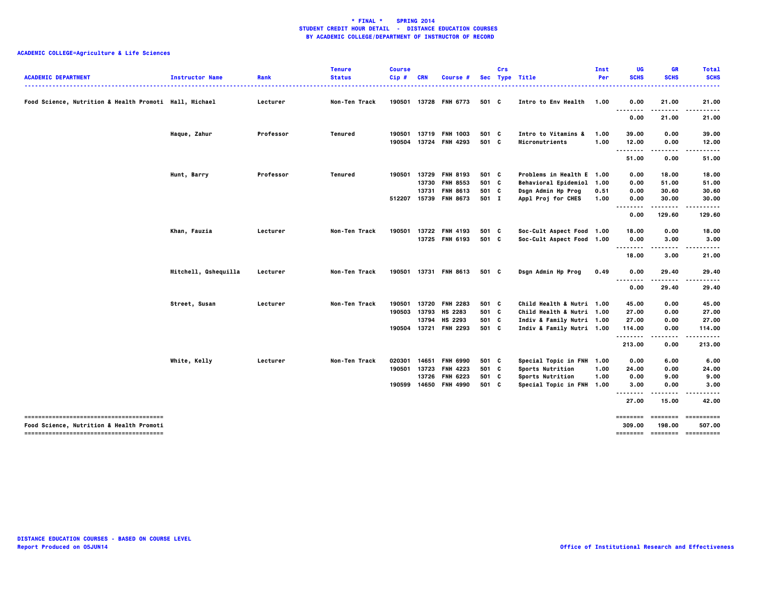| <b>ACADEMIC DEPARTMENT</b>                             | <b>Instructor Name</b> | Rank      | <b>Tenure</b><br><b>Status</b> | <b>Course</b><br>Cip# | <b>CRN</b>     | Course #                                 |                | Crs | Sec Type Title                                           | Inst<br>Per  | UG<br><b>SCHS</b>           | <b>GR</b><br><b>SCHS</b>                                                                                                                                                                                                                                                                                                                                                                                                                                                                         | <b>Total</b><br><b>SCHS</b><br>. |
|--------------------------------------------------------|------------------------|-----------|--------------------------------|-----------------------|----------------|------------------------------------------|----------------|-----|----------------------------------------------------------|--------------|-----------------------------|--------------------------------------------------------------------------------------------------------------------------------------------------------------------------------------------------------------------------------------------------------------------------------------------------------------------------------------------------------------------------------------------------------------------------------------------------------------------------------------------------|----------------------------------|
| Food Science, Nutrition & Health Promoti Hall, Michael |                        | Lecturer  | Non-Ten Track                  | 190501                |                | 13728 FNH 6773                           | 501 C          |     | Intro to Env Health                                      | 1.00         | 0.00                        | 21.00                                                                                                                                                                                                                                                                                                                                                                                                                                                                                            | 21.00<br>.                       |
|                                                        |                        |           |                                |                       |                |                                          |                |     |                                                          |              | 0.00                        | 21.00                                                                                                                                                                                                                                                                                                                                                                                                                                                                                            | 21.00                            |
|                                                        | Haque, Zahur           | Professor | <b>Tenured</b>                 | 190501<br>190504      | 13719<br>13724 | <b>FNH 1003</b><br><b>FNH 4293</b>       | 501 C<br>501 C |     | Intro to Vitamins &<br>Micronutrients                    | 1.00<br>1.00 | 39.00<br>12.00              | 0.00<br>0.00                                                                                                                                                                                                                                                                                                                                                                                                                                                                                     | 39.00<br>12.00                   |
|                                                        |                        |           |                                |                       |                |                                          |                |     |                                                          |              | --------<br>51.00           | 0.00                                                                                                                                                                                                                                                                                                                                                                                                                                                                                             | 51.00                            |
|                                                        | Hunt, Barry            | Professor | Tenured                        | 190501                | 13729<br>13730 | <b>FNH 8193</b><br><b>FNH 8553</b>       | 501 C<br>501 C |     | Problems in Health E 1.00<br><b>Behavioral Epidemiol</b> | 1.00         | 0.00<br>0.00                | 18.00<br>51.00                                                                                                                                                                                                                                                                                                                                                                                                                                                                                   | 18.00<br>51.00                   |
|                                                        |                        |           |                                |                       | 13731          | <b>FNH 8613</b><br>512207 15739 FNH 8673 | 501 C<br>501 I |     | Dsgn Admin Hp Prog<br>Appl Proj for CHES                 | 0.51<br>1.00 | 0.00<br>0.00                | 30.60<br>30.00                                                                                                                                                                                                                                                                                                                                                                                                                                                                                   | 30.60<br>30.00                   |
|                                                        |                        |           |                                |                       |                |                                          |                |     |                                                          |              | 0.00                        | .<br>129.60                                                                                                                                                                                                                                                                                                                                                                                                                                                                                      | .<br>129.60                      |
|                                                        | Khan, Fauzia           | Lecturer  | Non-Ten Track                  | 190501                | 13722          | <b>FNH 4193</b><br>13725 FNH 6193        | 501 C<br>501 C |     | Soc-Cult Aspect Food 1.00<br>Soc-Cult Aspect Food 1.00   |              | 18.00<br>0.00               | 0.00<br>3.00                                                                                                                                                                                                                                                                                                                                                                                                                                                                                     | 18.00<br>3.00                    |
|                                                        |                        |           |                                |                       |                |                                          |                |     |                                                          |              | 18.00                       | <br>3.00                                                                                                                                                                                                                                                                                                                                                                                                                                                                                         | .<br>21.00                       |
|                                                        | Mitchell, Qshequilla   | Lecturer  | <b>Non-Ten Track</b>           |                       |                | 190501 13731 FNH 8613                    | 501 C          |     | Dsgn Admin Hp Prog                                       | 0.49         | 0.00                        | 29.40                                                                                                                                                                                                                                                                                                                                                                                                                                                                                            | 29.40                            |
|                                                        |                        |           |                                |                       |                |                                          |                |     |                                                          |              | .<br>0.00                   | .<br>29.40                                                                                                                                                                                                                                                                                                                                                                                                                                                                                       | $- - - - -$<br>29.40             |
|                                                        | Street, Susan          | Lecturer  | Non-Ten Track                  | 190501<br>190503      | 13720<br>13793 | <b>FNH 2283</b><br>HS 2283               | 501 C<br>501 C |     | Child Health & Nutri 1.00<br>Child Health & Nutri 1.00   |              | 45.00                       | 0.00                                                                                                                                                                                                                                                                                                                                                                                                                                                                                             | 45.00<br>27.00                   |
|                                                        |                        |           |                                | 190504 13721          | 13794          | HS 2293<br><b>FNH 2293</b>               | 501 C<br>501 C |     | Indiv & Family Nutri 1.00<br>Indiv & Family Nutri 1.00   |              | 27.00<br>27.00<br>114.00    | 0.00<br>0.00<br>0.00                                                                                                                                                                                                                                                                                                                                                                                                                                                                             | 27.00<br>114.00                  |
|                                                        |                        |           |                                |                       |                |                                          |                |     |                                                          |              | .<br>213.00                 | .<br>0.00                                                                                                                                                                                                                                                                                                                                                                                                                                                                                        | .<br>213.00                      |
|                                                        | White, Kelly           | Lecturer  | Non-Ten Track                  | 020301                | 14651          | <b>FNH 6990</b>                          | 501 C          |     | Special Topic in FNH 1.00                                |              | 0.00                        | 6.00                                                                                                                                                                                                                                                                                                                                                                                                                                                                                             | 6.00                             |
|                                                        |                        |           |                                | 190501                | 13723<br>13726 | <b>FNH 4223</b><br><b>FNH 6223</b>       | 501 C<br>501 C |     | Sports Nutrition<br>Sports Nutrition                     | 1.00<br>1.00 | 24.00<br>0.00               | 0.00<br>9.00                                                                                                                                                                                                                                                                                                                                                                                                                                                                                     | 24.00<br>9.00                    |
|                                                        |                        |           |                                | 190599                | 14650          | <b>FNH 4990</b>                          | 501 C          |     | Special Topic in FNH 1.00                                |              | 3.00                        | 0.00                                                                                                                                                                                                                                                                                                                                                                                                                                                                                             | 3.00                             |
|                                                        |                        |           |                                |                       |                |                                          |                |     |                                                          |              | --------<br>27.00           | .<br>15.00                                                                                                                                                                                                                                                                                                                                                                                                                                                                                       | 42.00                            |
| <b>Food Science, Nutrition &amp; Health Promoti</b>    |                        |           |                                |                       |                |                                          |                |     |                                                          |              | $=$ = = = = = = =<br>309.00 | $\begin{array}{cccccccccc} \multicolumn{2}{c}{} & \multicolumn{2}{c}{} & \multicolumn{2}{c}{} & \multicolumn{2}{c}{} & \multicolumn{2}{c}{} & \multicolumn{2}{c}{} & \multicolumn{2}{c}{} & \multicolumn{2}{c}{} & \multicolumn{2}{c}{} & \multicolumn{2}{c}{} & \multicolumn{2}{c}{} & \multicolumn{2}{c}{} & \multicolumn{2}{c}{} & \multicolumn{2}{c}{} & \multicolumn{2}{c}{} & \multicolumn{2}{c}{} & \multicolumn{2}{c}{} & \multicolumn{2}{c}{} & \multicolumn{2}{c}{} & \mult$<br>198,00 | ==========<br>507.00             |
|                                                        |                        |           |                                |                       |                |                                          |                |     |                                                          |              | -------- -------            |                                                                                                                                                                                                                                                                                                                                                                                                                                                                                                  | -----------                      |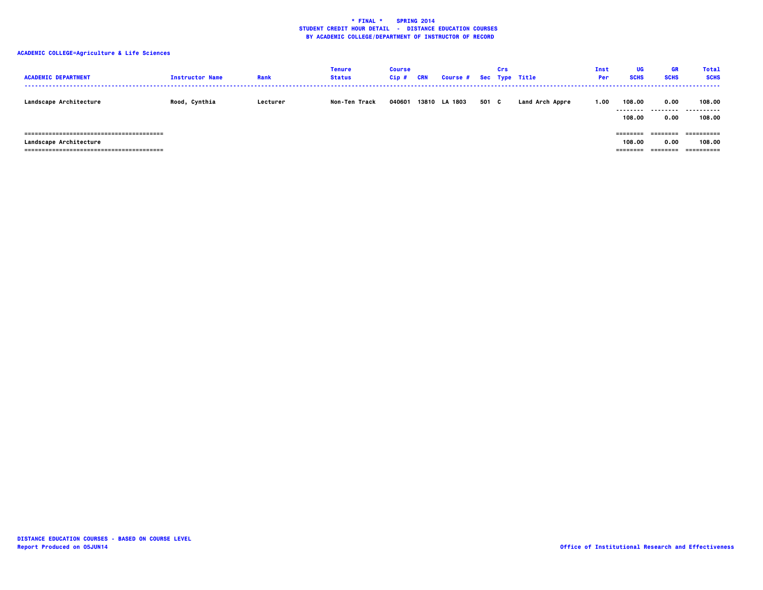| <b>ACADEMIC DEPARTMENT</b>    | <b>Instructor Name</b> | Rank     | <b>Tenure</b><br><b>Status</b> | <b>Course</b><br>$Cip$ # | CRN | Course # Sec Type Title |       | Crs |                 | Inst<br><b>Per</b> | UG<br><b>SCHS</b>            | GR<br><b>SCHS</b>            | <b>Total</b><br><b>SCHS</b>        |
|-------------------------------|------------------------|----------|--------------------------------|--------------------------|-----|-------------------------|-------|-----|-----------------|--------------------|------------------------------|------------------------------|------------------------------------|
| <b>Landscape Architecture</b> | Rood, Cynthia          | Lecturer | Non-Ten Track                  | 040601                   |     | 13810 LA 1803           | 501 C |     | Land Arch Appre | 1.00               | 108.00<br>--------<br>108,00 | 0.00<br>0.00                 | 108.00<br>.<br>108.00              |
| <b>Landscape Architecture</b> |                        |          |                                |                          |     |                         |       |     |                 |                    | ========<br>108.00           | ========<br>0.00<br>======== | ==========<br>108.00<br>========== |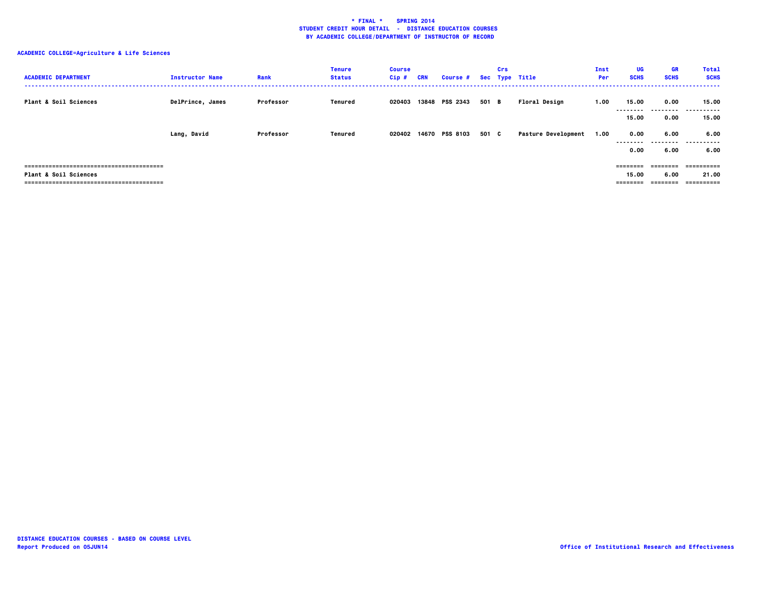| <b>ACADEMIC DEPARTMENT</b> | <b>Instructor Name</b> | Rank      | <b>Tenure</b><br><b>Status</b> | <b>Course</b><br>Cip# | <b>CRN</b> | <b>Course #</b> |       | Crs | Sec Type Title             | Inst<br>Per | <b>UG</b><br><b>SCHS</b>      | <b>GR</b><br><b>SCHS</b>      | <b>Total</b><br><b>SCHS</b>       |
|----------------------------|------------------------|-----------|--------------------------------|-----------------------|------------|-----------------|-------|-----|----------------------------|-------------|-------------------------------|-------------------------------|-----------------------------------|
| Plant & Soil Sciences      | DelPrince, James       | Professor | Tenured                        | 020403                |            | 13848 PSS 2343  | 501 B |     | Floral Design              | 1.00        | 15.00<br>--------<br>15.00    | 0.00<br><br>0.00              | 15.00<br>.<br>15.00               |
|                            | Lang, David            | Professor | Tenured                        | 020402                |            | 14670 PSS 8103  | 501 C |     | <b>Pasture Development</b> | 1.00        | 0.00<br>--------<br>0.00      | 6.00<br>.<br>6.00             | 6.00<br>.<br>6.00                 |
| Plant & Soil Sciences      |                        |           |                                |                       |            |                 |       |     |                            |             | ========<br>15.00<br>======== | ---------<br>6.00<br>-------- | ==========<br>21.00<br>========== |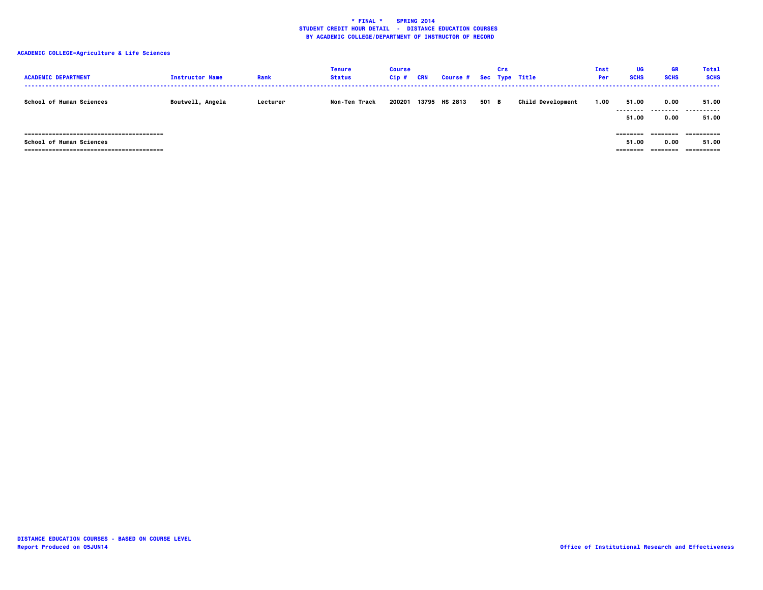| <b>ACADEMIC DEPARTMENT</b>                                                 | <b>Instructor Name</b> | Rank     | <b>Tenure</b><br><b>Status</b> | <b>Course</b><br>$Cip$ # | <b>CRN</b> | <b>Course #</b> |       | Crs | Sec Type Title           | Inst<br><b>Per</b> | UG<br><b>SCHS</b>            | <b>GR</b><br><b>SCHS</b> | <b>Total</b><br><b>SCHS</b>       |
|----------------------------------------------------------------------------|------------------------|----------|--------------------------------|--------------------------|------------|-----------------|-------|-----|--------------------------|--------------------|------------------------------|--------------------------|-----------------------------------|
| <b>School of Human Sciences</b>                                            | Boutwell, Angela       | Lecturer | Non-Ten Track                  | 200201                   |            | 13795 HS 2813   | 501 B |     | <b>Child Development</b> | 1.00               | 51.00<br>--------<br>51.00   | 0.00<br>--------<br>0.00 | 51.00<br>.<br>---<br>51.00        |
| <b>School of Human Sciences</b><br>==============================<br>===== |                        |          |                                |                          |            |                 |       |     |                          |                    | ========<br>51.00<br>======= | ========<br>0.00         | ==========<br>51.00<br>========== |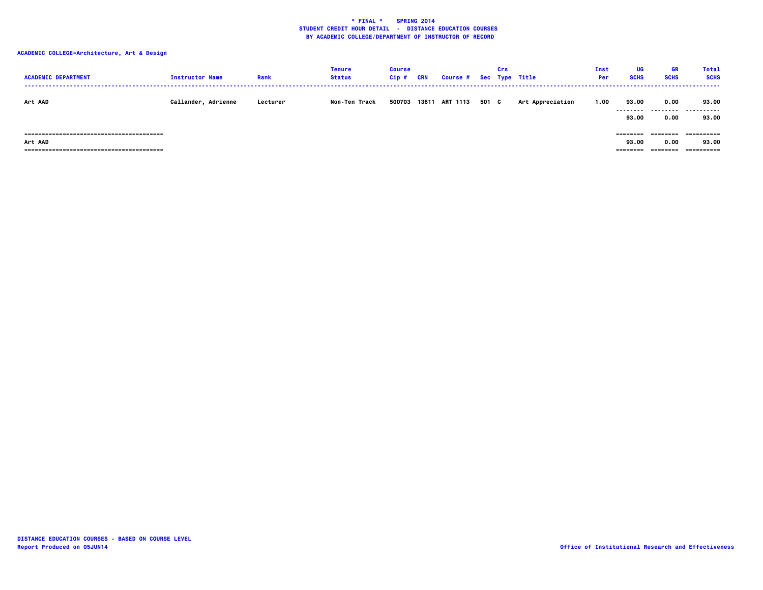| <b>ACADEMIC DEPARTMENT</b>                          | <b>Instructor Name</b> | Rank     | <b>Tenure</b><br><b>Status</b> | <b>Course</b><br>$Cip$ # | <b>CRN</b> | Course # Sec Type Title |       | Crs |                  | Inst<br>Per | UG<br><b>SCHS</b>                          | GR<br><b>SCHS</b>        | <b>Total</b><br><b>SCHS</b>       |
|-----------------------------------------------------|------------------------|----------|--------------------------------|--------------------------|------------|-------------------------|-------|-----|------------------|-------------|--------------------------------------------|--------------------------|-----------------------------------|
| Art AAD                                             | Callander, Adrienne    | Lecturer | Non-Ten Track                  | 500703                   | 13611      | <b>ART 1113</b>         | 501 C |     | Art Appreciation | 1.00        | 93.00<br>--------<br>93.00                 | 0.00<br>--------<br>0.00 | 93.00<br>-------<br>93.00         |
| Art AAD<br>==========================<br>========== |                        |          |                                |                          |            |                         |       |     |                  |             | $=$ = = = = = = =<br>93.00<br>$= 22222222$ | 0.00<br>========         | ==========<br>93.00<br>========== |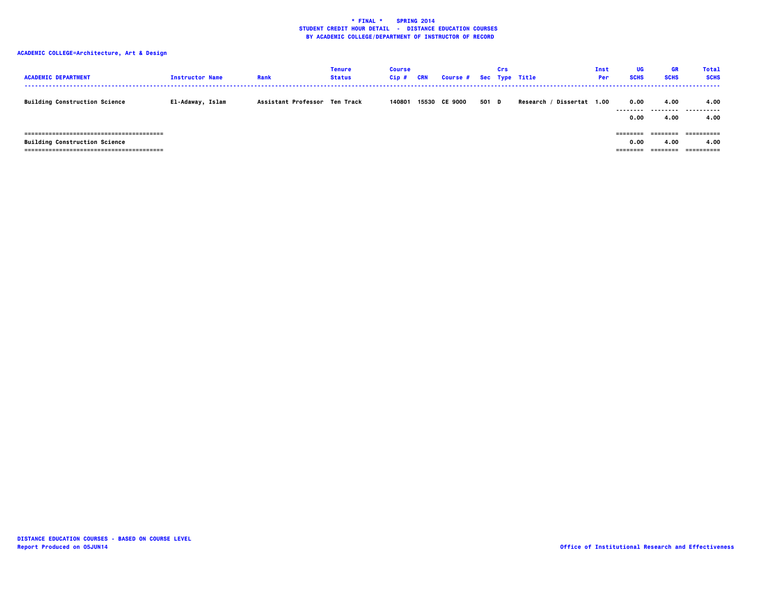| <b>ACADEMIC DEPARTMENT</b>           | <b>Instructor Name</b> | Rank                          | <b>Tenure</b><br><b>Status</b> | <b>Course</b><br>Cip# | CRN   | Course # Sec Type Title |       | Crs |                              | Inst<br>Per | UG<br><b>SCHS</b>           | <b>GR</b><br><b>SCHS</b>           | <b>Total</b><br><b>SCHS</b> |
|--------------------------------------|------------------------|-------------------------------|--------------------------------|-----------------------|-------|-------------------------|-------|-----|------------------------------|-------------|-----------------------------|------------------------------------|-----------------------------|
| <b>Building Construction Science</b> | El-Adaway, Islam       | Assistant Professor Ten Track |                                | 140801                | 15530 | <b>CE 9000</b>          | 501 D |     | Dissertat 1.00<br>Research / |             | 0.00<br>---------<br>0.00   | 4.00<br>4.00                       | 4.00<br><br>4.00            |
| <b>Building Construction Science</b> |                        |                               |                                |                       |       |                         |       |     |                              |             | ========<br>0.00<br>======= | ========<br>4.00<br>$= 2222222222$ | 4.00<br>==========          |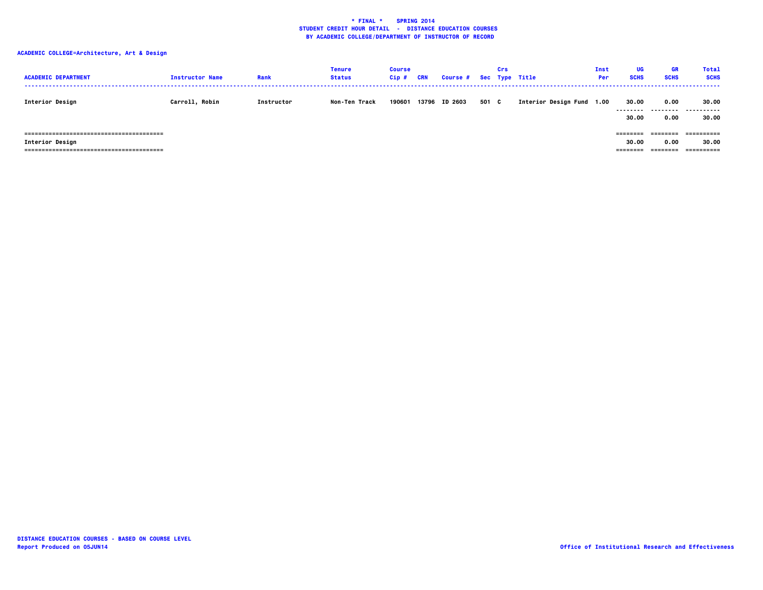| <b>ACADEMIC DEPARTMENT</b>                                       | <b>Instructor Name</b> | Rank       | <b>Tenure</b><br><b>Status</b> | <b>Course</b><br>$Cip$ # | <b>CRN</b> | Course # Sec Type Title |       | Crs |                           | Inst<br><b>Per</b> | UG<br><b>SCHS</b>              | GR<br><b>SCHS</b>            | <b>Total</b><br><b>SCHS</b>       |
|------------------------------------------------------------------|------------------------|------------|--------------------------------|--------------------------|------------|-------------------------|-------|-----|---------------------------|--------------------|--------------------------------|------------------------------|-----------------------------------|
| Interior Design                                                  | Carroll, Robin         | Instructor | Non-Ten Track                  | 190601                   |            | 13796 ID 2603           | 501 C |     | Interior Design Fund 1.00 |                    | 30.00<br>---------<br>30.00    | 0.00<br>--------<br>0.00     | 30.00<br>-------<br>----<br>30.00 |
| ------------------------------<br>===========<br>Interior Design |                        |            |                                |                          |            |                         |       |     |                           |                    | ========<br>30.00<br>--------- | ========<br>0.00<br>======== | ==========<br>30.00               |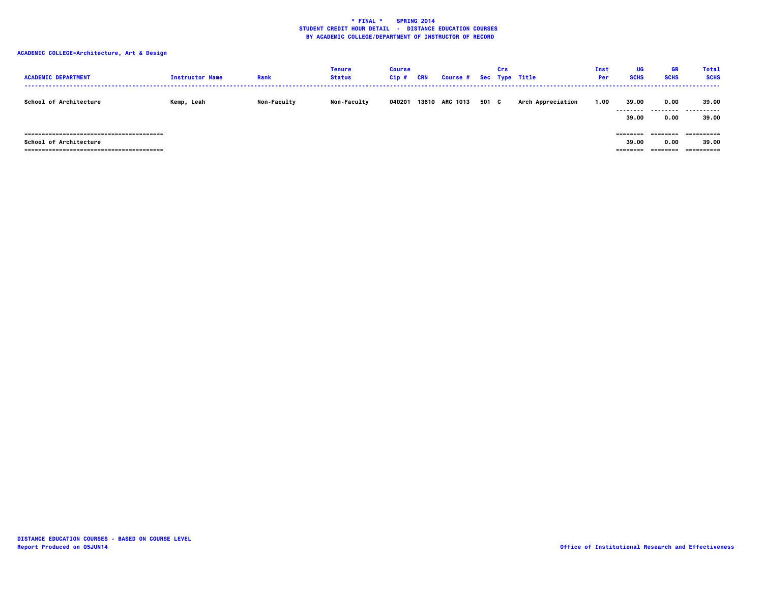| <b>ACADEMIC DEPARTMENT</b>    | <b>Instructor Name</b> | Rank               | <b>Tenure</b><br><b>Status</b> | <b>Course</b><br>Cip# | <b>CRN</b> | Course # Sec Type Title |       | Crs |                   | Inst<br><b>Per</b> | UG<br><b>SCHS</b>              | <b>GR</b><br><b>SCHS</b>  | <b>Total</b><br><b>SCHS</b> |
|-------------------------------|------------------------|--------------------|--------------------------------|-----------------------|------------|-------------------------|-------|-----|-------------------|--------------------|--------------------------------|---------------------------|-----------------------------|
| <b>School of Architecture</b> | Kemp, Leah             | <b>Non-Faculty</b> | <b>Non-Faculty</b>             | 040201                |            | 13610 ARC 1013          | 501 C |     | Arch Appreciation | 1.00               | 39.00<br>.<br>39.00            | 0.00<br>---------<br>0.00 | 39.00<br>.<br>39.00         |
| School of Architecture        |                        |                    |                                |                       |            |                         |       |     |                   |                    | ---------<br>39.00<br>======== | ========<br>0.00          | 39.00                       |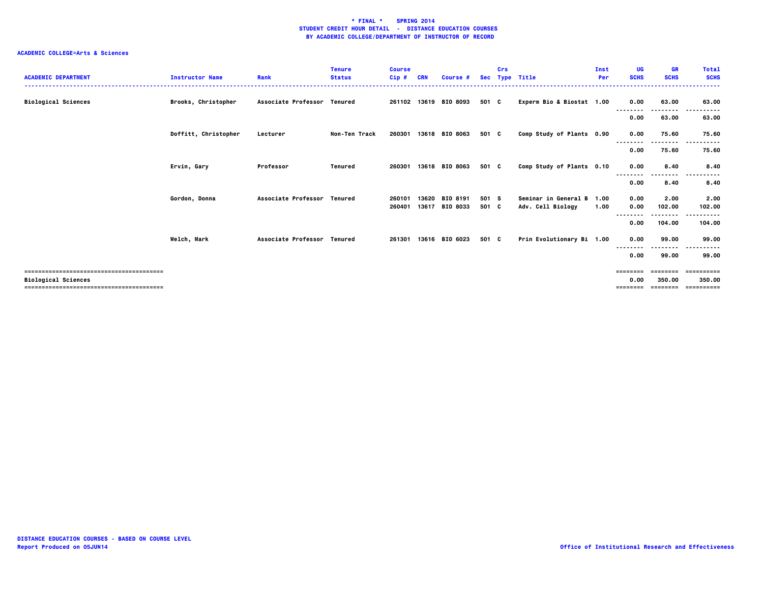| <b>ACADEMIC DEPARTMENT</b> | <b>Instructor Name</b> | Rank                        | <b>Tenure</b><br><b>Status</b> | <b>Course</b><br>$Cip$ # | <b>CRN</b> | Course #              |       | Crs | Sec Type Title            | Inst<br>Per | UG<br><b>SCHS</b> | <b>GR</b><br><b>SCHS</b> | <b>Total</b><br><b>SCHS</b> |
|----------------------------|------------------------|-----------------------------|--------------------------------|--------------------------|------------|-----------------------|-------|-----|---------------------------|-------------|-------------------|--------------------------|-----------------------------|
| <b>Biological Sciences</b> | Brooks, Christopher    | Associate Professor Tenured |                                |                          |            | 261102 13619 BIO 8093 | 501 C |     | Experm Bio & Biostat 1.00 |             | 0.00              | 63.00                    | 63.00                       |
|                            |                        |                             |                                |                          |            |                       |       |     |                           |             | 0.00              | 63.00                    | 63.00                       |
|                            | Doffitt, Christopher   | Lecturer                    | Non-Ten Track                  | 260301                   |            | 13618 BIO 8063        | 501 C |     | Comp Study of Plants 0.90 |             | 0.00<br>--------  | 75.60                    | 75.60                       |
|                            |                        |                             |                                |                          |            |                       |       |     |                           |             | 0.00              | 75.60                    | 75.60                       |
|                            | Ervin, Gary            | Professor                   | Tenured                        | 260301                   |            | 13618 BIO 8063        | 501 C |     | Comp Study of Plants 0.10 |             | 0.00              | 8.40                     | 8.40                        |
|                            |                        |                             |                                |                          |            |                       |       |     |                           |             | 0.00              | 8.40                     | 8.40                        |
|                            | Gordon, Donna          | Associate Professor Tenured |                                | 260101                   | 13620      | BIO 8191              | 501 S |     | Seminar in General B 1.00 |             | 0.00              | 2.00                     | 2.00                        |
|                            |                        |                             |                                | 260401                   | 13617      | <b>BIO 8033</b>       | 501 C |     | Adv. Cell Biology         | 1.00        | 0.00              | 102.00<br>.              | 102.00                      |
|                            |                        |                             |                                |                          |            |                       |       |     |                           |             | 0.00              | 104.00                   | 104.00                      |
|                            | Welch, Mark            | Associate Professor Tenured |                                | 261301                   |            | 13616 BIO 6023        | 501 C |     | Prin Evolutionary Bi 1.00 |             | 0.00              | 99.00<br>.               | 99.00                       |
|                            |                        |                             |                                |                          |            |                       |       |     |                           |             | 0.00              | 99.00                    | 99.00                       |
|                            |                        |                             |                                |                          |            |                       |       |     |                           |             | $=$ = = = = = = = | ========                 | ==========                  |
| <b>Biological Sciences</b> |                        |                             |                                |                          |            |                       |       |     |                           |             | 0.00<br>========  | 350.00<br>========       | 350.00<br>==========        |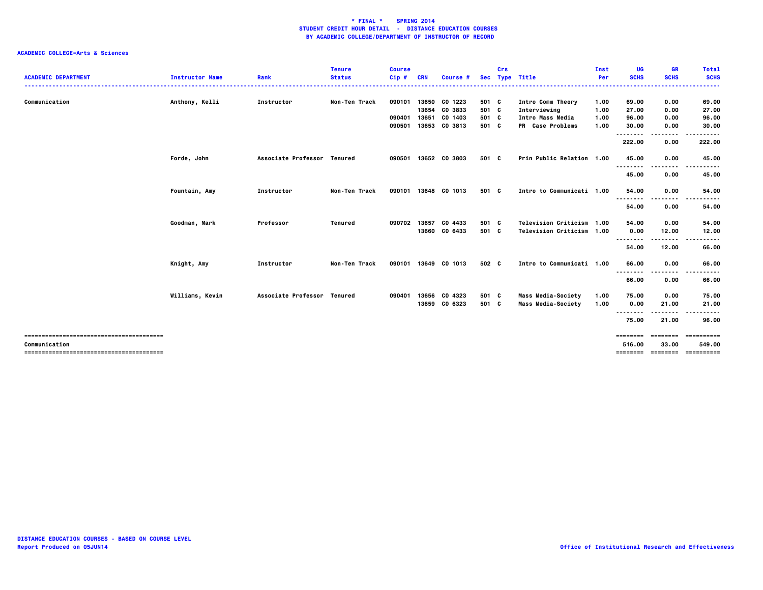|                            |                        |                             | <b>Tenure</b> | <b>Course</b> |            |               |       | Crs |                           | Inst | UG                      | <b>GR</b>                   | <b>Total</b>         |
|----------------------------|------------------------|-----------------------------|---------------|---------------|------------|---------------|-------|-----|---------------------------|------|-------------------------|-----------------------------|----------------------|
| <b>ACADEMIC DEPARTMENT</b> | <b>Instructor Name</b> | Rank                        | <b>Status</b> | Cip#          | <b>CRN</b> | Course #      |       |     | Sec Type Title            | Per  | <b>SCHS</b>             | <b>SCHS</b>                 | <b>SCHS</b><br>----- |
| Communication              | Anthony, Kelli         | Instructor                  | Non-Ten Track | 090101        | 13650      | CO 1223       | 501 C |     | Intro Comm Theory         | 1.00 | 69.00                   | 0.00                        | 69.00                |
|                            |                        |                             |               |               | 13654      | CO 3833       | 501 C |     | Interviewing              | 1.00 | 27.00                   | 0.00                        | 27.00                |
|                            |                        |                             |               | 090401        | 13651      | CO 1403       | 501 C |     | Intro Mass Media          | 1.00 | 96.00                   | 0.00                        | 96.00                |
|                            |                        |                             |               | 090501        | 13653      | CO 3813       | 501 C |     | PR Case Problems          | 1.00 | 30.00<br>--------       | 0.00<br>.                   | 30.00<br>.           |
|                            |                        |                             |               |               |            |               |       |     |                           |      | 222.00                  | 0.00                        | 222.00               |
|                            | Forde, John            | Associate Professor Tenured |               | 090501        |            | 13652 CO 3803 | 501 C |     | Prin Public Relation 1.00 |      | 45.00                   | 0.00                        | 45.00                |
|                            |                        |                             |               |               |            |               |       |     |                           |      | .<br>45.00              | $- - -$<br>0.00             | 45.00                |
|                            | Fountain, Amy          | Instructor                  | Non-Ten Track | 090101        | 13648      | CO 1013       | 501 C |     | Intro to Communicati 1.00 |      | 54.00                   | 0.00                        | 54.00                |
|                            |                        |                             |               |               |            |               |       |     |                           |      | .<br>54.00              | .<br>0.00                   | 54.00                |
|                            |                        |                             |               |               |            |               |       |     |                           |      |                         |                             |                      |
|                            | Goodman, Mark          | Professor                   | Tenured       | 090702        | 13657      | CO 4433       | 501 C |     | Television Criticism 1.00 |      | 54.00                   | 0.00                        | 54.00                |
|                            |                        |                             |               |               | 13660      | CO 6433       | 501 C |     | Television Criticism 1.00 |      | 0.00<br>--------        | 12.00<br>.                  | 12.00                |
|                            |                        |                             |               |               |            |               |       |     |                           |      | 54.00                   | 12.00                       | 66.00                |
|                            | Knight, Amy            | Instructor                  | Non-Ten Track | 090101        | 13649      | CO 1013       | 502 C |     | Intro to Communicati 1.00 |      | 66.00                   | 0.00                        | 66.00                |
|                            |                        |                             |               |               |            |               |       |     |                           |      | .<br>66.00              | ----<br>0.00                | 66.00                |
|                            | Williams, Kevin        | Associate Professor Tenured |               | 090401        | 13656      | CO 4323       | 501 C |     | <b>Mass Media-Society</b> | 1.00 | 75.00                   | 0.00                        | 75.00                |
|                            |                        |                             |               |               |            | 13659 CO 6323 | 501 C |     | Mass Media-Society        | 1.00 | 0.00<br>- - - - - - - - | 21.00                       | 21.00                |
|                            |                        |                             |               |               |            |               |       |     |                           |      | 75.00                   | 21.00                       | 96.00                |
|                            |                        |                             |               |               |            |               |       |     |                           |      | ========                | ========                    | ==========           |
| Communication              |                        |                             |               |               |            |               |       |     |                           |      | 516.00                  | 33.00<br>================== | 549.00<br>========== |
|                            |                        |                             |               |               |            |               |       |     |                           |      |                         |                             |                      |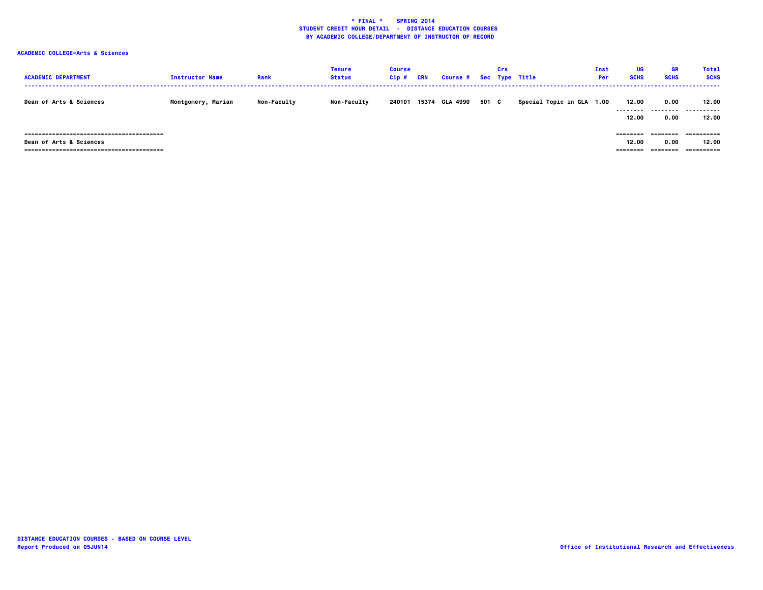| <b>ACADEMIC DEPARTMENT</b>         | <b>Instructor Name</b> | Rank               | <b>Tenure</b><br><b>Status</b> | <b>Course</b><br>Cip# | <b>CRN</b> | Course # Sec Type Title |       | Crs |                           | Inst<br><b>Per</b> | UG<br><b>SCHS</b>             | GR<br><b>SCHS</b> | <b>Total</b><br><b>SCHS</b> |
|------------------------------------|------------------------|--------------------|--------------------------------|-----------------------|------------|-------------------------|-------|-----|---------------------------|--------------------|-------------------------------|-------------------|-----------------------------|
| <b>Dean of Arts &amp; Sciences</b> | Montgomery, Marian     | <b>Non-Faculty</b> | <b>Non-Faculty</b>             | 240101                | 15374      | GLA 4990                | 501 C |     | Special Topic in GLA 1.00 |                    | 12.00<br>---------<br>12.00   | 0.00<br>.<br>0.00 | 12.00<br><br>12.00          |
| <b>Dean of Arts &amp; Sciences</b> |                        |                    |                                |                       |            |                         |       |     |                           |                    | ========<br>12.00<br>======== | ========<br>0.00  | ==========<br>12.00         |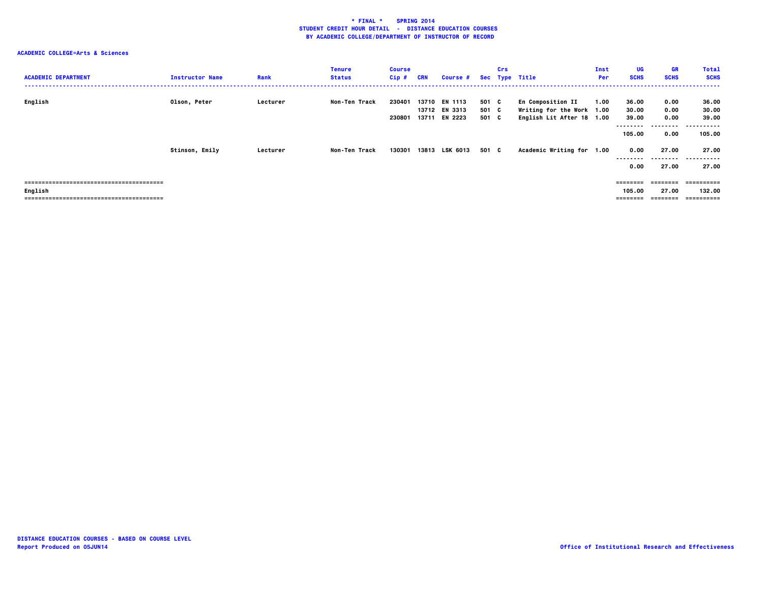| <b>ACADEMIC DEPARTMENT</b> | <b>Instructor Name</b> | Rank     | <b>Tenure</b><br><b>Status</b> | <b>Course</b><br>Cip# | <b>CRN</b> | <b>Course #</b>                                 |                         | Crs | Sec Type Title                                                                     | Inst<br>Per | UG<br><b>SCHS</b>                             | <b>GR</b><br><b>SCHS</b>                  | <b>Total</b><br><b>SCHS</b>                   |
|----------------------------|------------------------|----------|--------------------------------|-----------------------|------------|-------------------------------------------------|-------------------------|-----|------------------------------------------------------------------------------------|-------------|-----------------------------------------------|-------------------------------------------|-----------------------------------------------|
| English                    | Olson, Peter           | Lecturer | Non-Ten Track                  | 230401<br>230801      |            | 13710 EN 1113<br>13712 EN 3313<br>13711 EN 2223 | 501 C<br>501 C<br>501 C |     | <b>En Composition II</b><br>Writing for the Work 1.00<br>English Lit After 18 1.00 | 1.00        | 36.00<br>30.00<br>39.00<br>--------<br>105.00 | 0.00<br>0.00<br>0.00<br>---------<br>0.00 | 36.00<br>30.00<br>39.00<br>.<br>---<br>105.00 |
|                            | Stinson, Emily         | Lecturer | Non-Ten Track                  | 130301                |            | 13813 LSK 6013                                  | 501 C                   |     | Academic Writing for 1.00                                                          |             | 0.00<br>--------<br>0.00                      | 27.00<br>--------<br>27.00                | 27.00<br>-----------<br>27.00                 |
| English                    |                        |          |                                |                       |            |                                                 |                         |     |                                                                                    |             | $=$ = = = = = = =<br>105.00<br>========       | ========<br>27.00<br>========             | 132.00<br>-----------                         |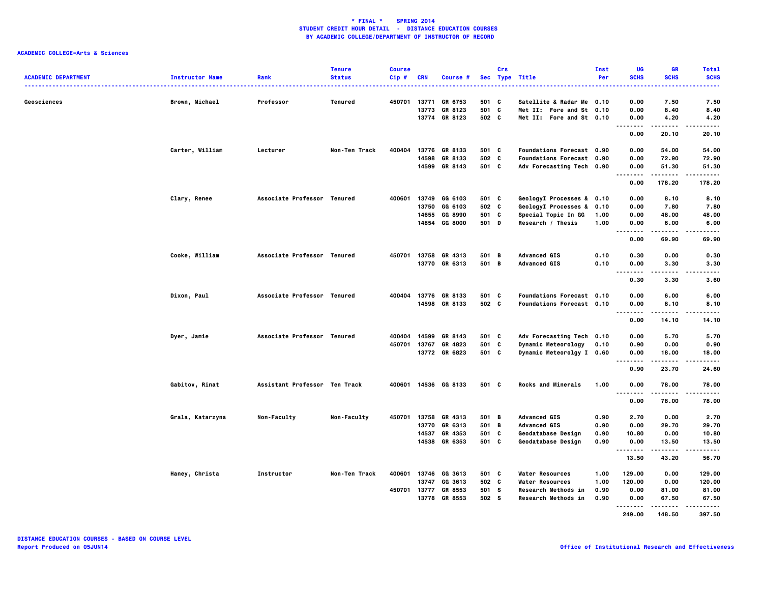|                            |                        |                               | <b>Tenure</b> | <b>Course</b> |              |                      |       | Crs |                            | Inst | UG                                | <b>GR</b>            | <b>Total</b>                                                                                                                             |
|----------------------------|------------------------|-------------------------------|---------------|---------------|--------------|----------------------|-------|-----|----------------------------|------|-----------------------------------|----------------------|------------------------------------------------------------------------------------------------------------------------------------------|
| <b>ACADEMIC DEPARTMENT</b> | <b>Instructor Name</b> | Rank                          | <b>Status</b> | Cip#          | <b>CRN</b>   | <b>Course</b>        |       |     | Sec Type Title             | Per  | <b>SCHS</b>                       | <b>SCHS</b><br>----- | <b>SCHS</b><br>$\frac{1}{2} \left( \frac{1}{2} \right) \left( \frac{1}{2} \right) \left( \frac{1}{2} \right) \left( \frac{1}{2} \right)$ |
| Geosciences                | Brown, Michael         | Professor                     | Tenured       | 450701        | 13771        | GR 6753              | 501 C |     | Satellite & Radar Me 0.10  |      | 0.00                              | 7.50                 | 7.50                                                                                                                                     |
|                            |                        |                               |               |               | 13773        | GR 8123              | 501 C |     | Met II: Fore and St 0.10   |      | 0.00                              | 8.40                 | 8.40                                                                                                                                     |
|                            |                        |                               |               |               |              | 13774 GR 8123        | 502 C |     | Met II: Fore and St 0.10   |      | 0.00<br>.                         | 4.20<br>.            | 4.20<br>.                                                                                                                                |
|                            |                        |                               |               |               |              |                      |       |     |                            |      | $\sim$ $\sim$<br>0.00             | 20.10                | 20.10                                                                                                                                    |
|                            | Carter, William        | Lecturer                      | Non-Ten Track | 400404        |              | 13776 GR 8133        | 501 C |     | Foundations Forecast 0.90  |      | 0.00                              | 54.00                | 54.00                                                                                                                                    |
|                            |                        |                               |               |               | 14598        | GR 8133              | 502 C |     | Foundations Forecast 0.90  |      | 0.00                              | 72.90                | 72.90                                                                                                                                    |
|                            |                        |                               |               |               | 14599        | GR 8143              | 501 C |     | Adv Forecasting Tech 0.90  |      | 0.00<br>٠.<br>.                   | 51.30<br>            | 51.30<br>.                                                                                                                               |
|                            |                        |                               |               |               |              |                      |       |     |                            |      | 0.00                              | 178.20               | 178.20                                                                                                                                   |
|                            | Clary, Renee           | Associate Professor Tenured   |               | 400601        | 13749        | GG 6103              | 501 C |     | GeologyI Processes & 0.10  |      | 0.00                              | 8.10                 | 8.10                                                                                                                                     |
|                            |                        |                               |               |               | 13750        | GG 6103              | 502 C |     | GeologyI Processes & 0.10  |      | 0.00                              | 7.80                 | 7.80                                                                                                                                     |
|                            |                        |                               |               |               | 14655        | GG 8990              | 501 C |     | Special Topic In GG        | 1.00 | 0.00                              | 48.00                | 48.00                                                                                                                                    |
|                            |                        |                               |               |               | 14854        | GG 8000              | 501 D |     | Research / Thesis          | 1.00 | 0.00<br>$\sim$ $\sim$ $\sim$<br>. | 6.00<br>             | 6.00<br>$- - - - -$                                                                                                                      |
|                            |                        |                               |               |               |              |                      |       |     |                            |      | 0.00                              | 69.90                | 69.90                                                                                                                                    |
|                            | Cooke, William         | Associate Professor Tenured   |               |               |              | 450701 13758 GR 4313 | 501 B |     | <b>Advanced GIS</b>        | 0.10 | 0.30                              | 0.00                 | 0.30                                                                                                                                     |
|                            |                        |                               |               |               |              | 13770 GR 6313        | 501 B |     | <b>Advanced GIS</b>        | 0.10 | 0.00                              | 3.30                 | 3.30                                                                                                                                     |
|                            |                        |                               |               |               |              |                      |       |     |                            |      | - -<br>0.30                       | 3.30                 | .<br>3.60                                                                                                                                |
|                            | Dixon, Paul            | Associate Professor Tenured   |               | 400404        | 13776        | GR 8133              | 501 C |     | Foundations Forecast 0.10  |      | 0.00                              | 6.00                 | 6.00                                                                                                                                     |
|                            |                        |                               |               |               |              | 14598 GR 8133        | 502 C |     | Foundations Forecast 0.10  |      | 0.00                              | 8.10                 | 8.10                                                                                                                                     |
|                            |                        |                               |               |               |              |                      |       |     |                            |      | .<br>٠.<br>0.00                   | -----<br>14.10       | $- - - - -$<br>14.10                                                                                                                     |
|                            | Dyer, Jamie            | Associate Professor Tenured   |               | 400404        | 14599        | GR 8143              | 501 C |     | Adv Forecasting Tech 0.10  |      | 0.00                              | 5.70                 | 5.70                                                                                                                                     |
|                            |                        |                               |               |               | 450701 13767 | GR 4823              | 501 C |     | Dynamic Meteorology        | 0.10 | 0.90                              | 0.00                 | 0.90                                                                                                                                     |
|                            |                        |                               |               |               |              | 13772 GR 6823        | 501 C |     | Dynamic Meteorolgy I 0.60  |      | 0.00                              | 18.00                | 18.00                                                                                                                                    |
|                            |                        |                               |               |               |              |                      |       |     |                            |      | .<br><br>0.90                     | -----<br>23.70       | $- - - - -$<br>24.60                                                                                                                     |
|                            | Gabitov, Rinat         | Assistant Professor Ten Track |               | 400601        |              | 14536 GG 8133        | 501 C |     | <b>Rocks and Minerals</b>  | 1.00 | 0.00                              | 78.00                | 78.00                                                                                                                                    |
|                            |                        |                               |               |               |              |                      |       |     |                            |      | - -<br>0.00                       | -----<br>78.00       | .<br>78.00                                                                                                                               |
|                            | Grala, Katarzyna       | Non-Faculty                   | Non-Faculty   | 450701        | 13758        | GR 4313              | 501 B |     | <b>Advanced GIS</b>        | 0.90 | 2.70                              | 0.00                 | 2.70                                                                                                                                     |
|                            |                        |                               |               |               | 13770        | GR 6313              | 501 B |     | <b>Advanced GIS</b>        | 0.90 | 0.00                              | 29.70                | 29.70                                                                                                                                    |
|                            |                        |                               |               |               | 14537        | GR 4353              | 501 C |     | Geodatabase Design         | 0.90 | 10.80                             | 0.00                 | 10.80                                                                                                                                    |
|                            |                        |                               |               |               |              | 14538 GR 6353        | 501 C |     | Geodatabase Design         | 0.90 | 0.00                              | 13.50                | 13.50                                                                                                                                    |
|                            |                        |                               |               |               |              |                      |       |     |                            |      | .<br>13.50                        | .<br>43.20           | $- - - - -$<br>56.70                                                                                                                     |
|                            | Haney, Christa         | Instructor                    | Non-Ten Track | 400601        |              | 13746 GG 3613        | 501 C |     | <b>Water Resources</b>     | 1.00 | 129.00                            | 0.00                 | 129.00                                                                                                                                   |
|                            |                        |                               |               |               | 13747        | GG 3613              | 502 C |     | Water Resources            | 1.00 | 120.00                            | 0.00                 | 120.00                                                                                                                                   |
|                            |                        |                               |               |               | 450701 13777 | GR 8553              | 501 S |     | <b>Research Methods in</b> | 0.90 | 0.00                              | 81.00                | 81.00                                                                                                                                    |
|                            |                        |                               |               |               | 13778        | GR 8553              | 502 S |     | <b>Research Methods in</b> | 0.90 | 0.00<br>.                         | 67.50<br>.           | 67.50<br>.                                                                                                                               |
|                            |                        |                               |               |               |              |                      |       |     |                            |      | 249.00                            | 148.50               | 397.50                                                                                                                                   |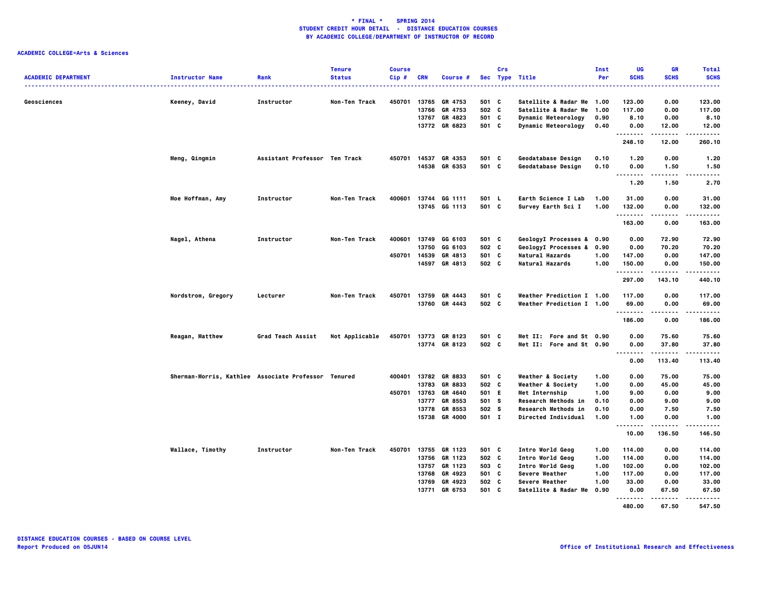|                            |                                                     |                               | <b>Tenure</b>  | <b>Course</b> |            |                |       | Crs |                              | Inst | UG                                    | GR                   | <b>Total</b>             |
|----------------------------|-----------------------------------------------------|-------------------------------|----------------|---------------|------------|----------------|-------|-----|------------------------------|------|---------------------------------------|----------------------|--------------------------|
| <b>ACADEMIC DEPARTMENT</b> | <b>Instructor Name</b>                              | Rank                          | <b>Status</b>  | $Cip$ #       | <b>CRN</b> | Course #       |       |     | Sec Type Title               | Per  | <b>SCHS</b>                           | <b>SCHS</b>          | <b>SCHS</b><br>.         |
| Geosciences                | Keeney, David                                       | Instructor                    | Non-Ten Track  | 450701 13765  |            | GR 4753        | 501 C |     | Satellite & Radar Me 1.00    |      | 123.00                                | 0.00                 | 123.00                   |
|                            |                                                     |                               |                |               | 13766      | GR 4753        | 502 C |     | Satellite & Radar Me         | 1.00 | 117.00                                | 0.00                 | 117.00                   |
|                            |                                                     |                               |                |               | 13767      | GR 4823        | 501 C |     | Dynamic Meteorology          | 0.90 | 8.10                                  | 0.00                 | 8.10                     |
|                            |                                                     |                               |                |               |            | 13772 GR 6823  | 501 C |     | Dynamic Meteorology          | 0.40 | 0.00<br>                              | 12.00<br>            | 12.00<br>.               |
|                            |                                                     |                               |                |               |            |                |       |     |                              |      | 248.10                                | 12.00                | 260.10                   |
|                            | Meng, Qingmin                                       | Assistant Professor Ten Track |                | 450701 14537  |            | GR 4353        | 501 C |     | Geodatabase Design           | 0.10 | 1.20                                  | 0.00                 | 1.20                     |
|                            |                                                     |                               |                |               |            | 14538 GR 6353  | 501 C |     | Geodatabase Design           | 0.10 | 0.00                                  | 1.50                 | 1.50                     |
|                            |                                                     |                               |                |               |            |                |       |     |                              |      | <br>1.20                              | .<br>1.50            | $- - - - -$<br>.<br>2.70 |
|                            | Moe Hoffman, Amy                                    | Instructor                    | Non-Ten Track  | 400601        | 13744      | GG 1111        | 501 L |     | Earth Science I Lab          | 1.00 | 31.00                                 | 0.00                 | 31.00                    |
|                            |                                                     |                               |                |               |            | 13745 GG 1113  | 501 C |     | Survey Earth Sci I           | 1.00 | 132.00                                | 0.00                 | 132.00                   |
|                            |                                                     |                               |                |               |            |                |       |     |                              |      | .<br>163.00                           | 0.00                 | .<br>163.00              |
|                            | Nagel, Athena                                       | Instructor                    | Non-Ten Track  | 400601 13749  |            | GG 6103        | 501 C |     | GeologyI Processes & 0.90    |      | 0.00                                  | 72.90                | 72.90                    |
|                            |                                                     |                               |                |               | 13750      | GG 6103        | 502 C |     | GeologyI Processes & 0.90    |      | 0.00                                  | 70.20                | 70.20                    |
|                            |                                                     |                               |                | 450701 14539  |            | GR 4813        | 501 C |     | Natural Hazards              | 1.00 | 147.00                                | 0.00                 | 147.00                   |
|                            |                                                     |                               |                |               | 14597      | GR 4813        | 502 C |     | Natural Hazards              | 1.00 | 150.00                                | 0.00                 | 150.00                   |
|                            |                                                     |                               |                |               |            |                |       |     |                              |      | .<br>297.00                           | . <b>.</b><br>143.10 | .<br>440.10              |
|                            | Nordstrom, Gregory                                  | Lecturer                      | Non-Ten Track  | 450701 13759  |            | GR 4443        | 501 C |     | Weather Prediction I 1.00    |      | 117.00                                | 0.00                 | 117.00                   |
|                            |                                                     |                               |                |               |            | 13760 GR 4443  | 502 C |     | Weather Prediction I 1.00    |      | 69.00                                 | 0.00                 | 69.00                    |
|                            |                                                     |                               |                |               |            |                |       |     |                              |      | .<br>186.00                           | 0.00                 | 186.00                   |
|                            | Reagan, Matthew                                     | Grad Teach Assist             | Not Applicable | 450701        |            | 13773 GR 8123  | 501 C |     | Met II: Fore and St 0.90     |      | 0.00                                  | 75.60                | 75.60                    |
|                            |                                                     |                               |                |               |            | 13774 GR 8123  | 502 C |     | Met II: Fore and St 0.90     |      | 0.00                                  | 37.80                | 37.80                    |
|                            |                                                     |                               |                |               |            |                |       |     |                              |      | $\sim$ $\sim$ $\sim$<br>-----<br>0.00 | . <b>.</b><br>113.40 | <u>.</u><br>113.40       |
|                            | Sherman-Morris, Kathlee Associate Professor Tenured |                               |                | 400401 13782  |            | GR 8833        | 501 C |     | <b>Weather &amp; Society</b> | 1.00 | 0.00                                  | 75.00                | 75.00                    |
|                            |                                                     |                               |                |               | 13783      | GR 8833        | 502 C |     | Weather & Society            | 1.00 | 0.00                                  | 45.00                | 45.00                    |
|                            |                                                     |                               |                | 450701 13763  |            | GR 4640        | 501 E |     | Met Internship               | 1.00 | 9.00                                  | 0.00                 | 9.00                     |
|                            |                                                     |                               |                |               | 13777      | GR 8553        | 501 S |     | Research Methods in          | 0.10 | 0.00                                  | 9.00                 | 9.00                     |
|                            |                                                     |                               |                |               | 13778      | GR 8553        | 502 S |     | Research Methods in          | 0.10 | 0.00                                  | 7.50                 | 7.50                     |
|                            |                                                     |                               |                |               | 15738      | <b>GR 4000</b> | 501 I |     | <b>Directed Individual</b>   | 1.00 | 1.00                                  | 0.00                 | 1.00                     |
|                            |                                                     |                               |                |               |            |                |       |     |                              |      | -----<br><br>10.00                    | <br>136.50           | .<br>146.50              |
|                            | <b>Wallace, Timothy</b>                             | Instructor                    | Non-Ten Track  | 450701 13755  |            | GR 1123        | 501 C |     | Intro World Geog             | 1.00 | 114.00                                | 0.00                 | 114.00                   |
|                            |                                                     |                               |                |               | 13756      | GR 1123        | 502 C |     | Intro World Geog             | 1.00 | 114.00                                | 0.00                 | 114.00                   |
|                            |                                                     |                               |                |               | 13757      | GR 1123        | 503 C |     | Intro World Geog             | 1.00 | 102.00                                | 0.00                 | 102.00                   |
|                            |                                                     |                               |                |               | 13768      | GR 4923        | 501 C |     | Severe Weather               | 1.00 | 117.00                                | 0.00                 | 117.00                   |
|                            |                                                     |                               |                |               | 13769      | GR 4923        | 502 C |     | Severe Weather               | 1.00 | 33.00                                 | 0.00                 | 33.00                    |
|                            |                                                     |                               |                |               | 13771      | GR 6753        | 501 C |     | Satellite & Radar Me         | 0.90 | 0.00                                  | 67.50                | 67.50                    |
|                            |                                                     |                               |                |               |            |                |       |     |                              |      | <br>480.00                            | 67.50                | .<br>547.50              |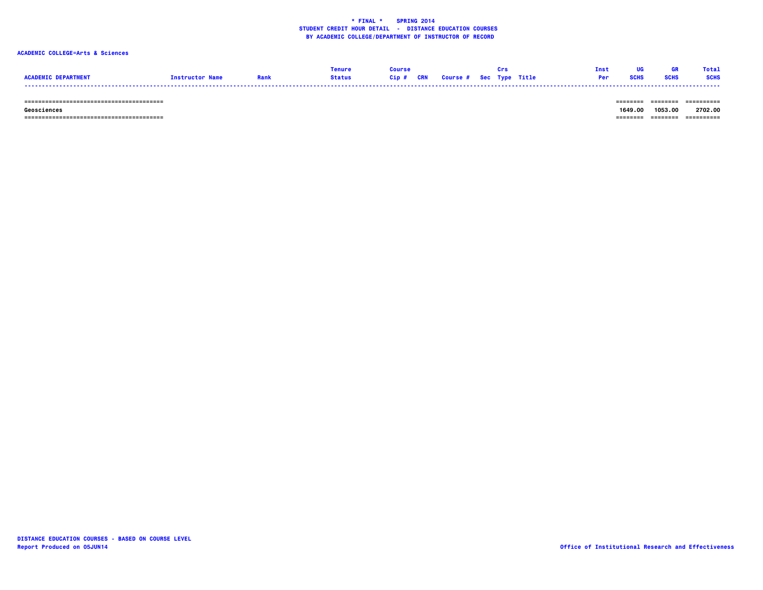### **ACADEMIC COLLEGE=Arts & Sciences**

|                            |                        | Tenure |                                   |  | Tnet. | <b>TIG</b>  |             | <b>Total</b> |
|----------------------------|------------------------|--------|-----------------------------------|--|-------|-------------|-------------|--------------|
| <b>ACADEMIC DEPARTMENT</b> | <b>Instructor Name</b> | Status | Cip # CRN Course # Sec Type Title |  |       | <b>SCHS</b> | <b>SCHS</b> | <b>SCHS</b>  |
|                            |                        |        |                                   |  |       |             |             |              |

 **======================================== ======== ======== ==========**

 **======================================== ======== ======== ==========**

-------- ------- ---------- **Geosciences 1649.00 1053.00 2702.00**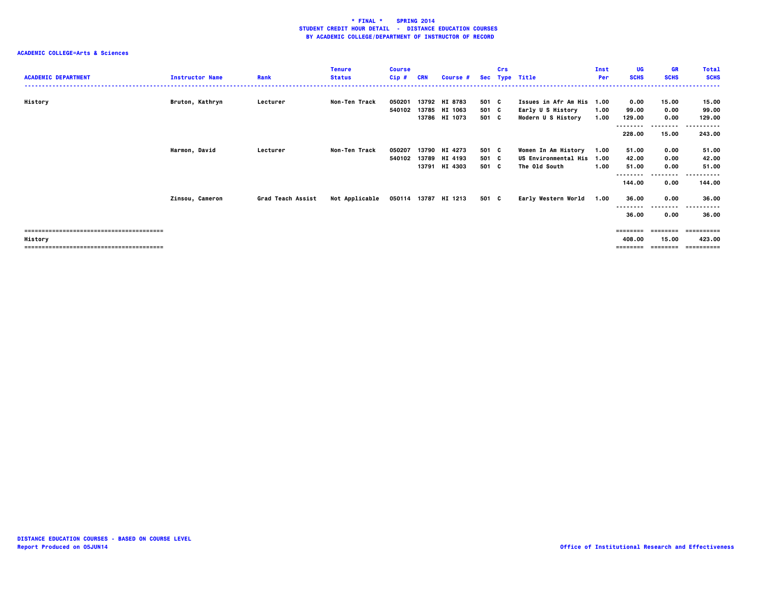| <b>ACADEMIC DEPARTMENT</b> |               | <b>Instructor Name</b> | Rank              | <b>Tenure</b><br><b>Status</b> | <b>Course</b><br>$Cip$ # | <b>CRN</b> | Course # | <b>Sec</b> | Crs | <b>Type Title</b>           | Inst<br>Per | <b>UG</b><br><b>SCHS</b> | <b>GR</b><br><b>SCHS</b> | <b>Total</b><br><b>SCHS</b>         |
|----------------------------|---------------|------------------------|-------------------|--------------------------------|--------------------------|------------|----------|------------|-----|-----------------------------|-------------|--------------------------|--------------------------|-------------------------------------|
|                            |               |                        |                   |                                |                          |            |          |            |     |                             |             |                          |                          |                                     |
| History                    |               | Bruton, Kathryn        | Lecturer          | Non-Ten Track                  | 050201                   | 13792      | HI 8783  | 501 C      |     | Issues in Afr Am His 1.00   |             | 0.00                     | 15.00                    | 15.00                               |
|                            |               |                        |                   |                                | 540102                   | 13785      | HI 1063  | 501 C      |     | Early U S History           | 1.00        | 99.00                    | 0.00                     | 99.00                               |
|                            |               |                        |                   |                                |                          | 13786      | HI 1073  | 501 C      |     | Modern U S History          | 1.00        | 129.00                   | 0.00                     | 129.00                              |
|                            |               |                        |                   |                                |                          |            |          |            |     |                             |             | 228.00                   | --------<br>15.00        | .<br>$\sim$ $\sim$ $\sim$<br>243.00 |
|                            | Harmon, David |                        | Lecturer          | Non-Ten Track                  | 050207                   | 13790      | HI 4273  | 501 C      |     | Women In Am History         | 1.00        | 51.00                    | 0.00                     | 51.00                               |
|                            |               |                        |                   |                                | 540102                   | 13789      | HI 4193  | 501 C      |     | <b>US Environmental His</b> | 1.00        | 42.00                    | 0.00                     | 42.00                               |
|                            |               |                        |                   |                                |                          | 13791      | HI 4303  | 501 C      |     | The Old South               | 1.00        | 51.00                    | 0.00                     | 51.00                               |
|                            |               |                        |                   |                                |                          |            |          |            |     |                             |             | --------                 | .                        | .<br>$\sim$ $\sim$ $\sim$           |
|                            |               |                        |                   |                                |                          |            |          |            |     |                             |             | 144.00                   | 0.00                     | 144.00                              |
|                            |               | Zinsou, Cameron        | Grad Teach Assist | Not Applicable                 | 050114 13787             |            | HI 1213  | 501 C      |     | Early Western World         | 1.00        | 36.00                    | 0.00                     | 36.00                               |
|                            |               |                        |                   |                                |                          |            |          |            |     |                             |             | --------                 | --------                 | ----------                          |
|                            |               |                        |                   |                                |                          |            |          |            |     |                             |             | 36.00                    | 0.00                     | 36.00                               |
|                            |               |                        |                   |                                |                          |            |          |            |     |                             |             | $=$ = = = = = = =        | ========                 | -----------                         |
| History                    |               |                        |                   |                                |                          |            |          |            |     |                             |             | 408.00                   | 15.00                    | 423.00                              |
|                            |               |                        |                   |                                |                          |            |          |            |     |                             |             | =======                  |                          |                                     |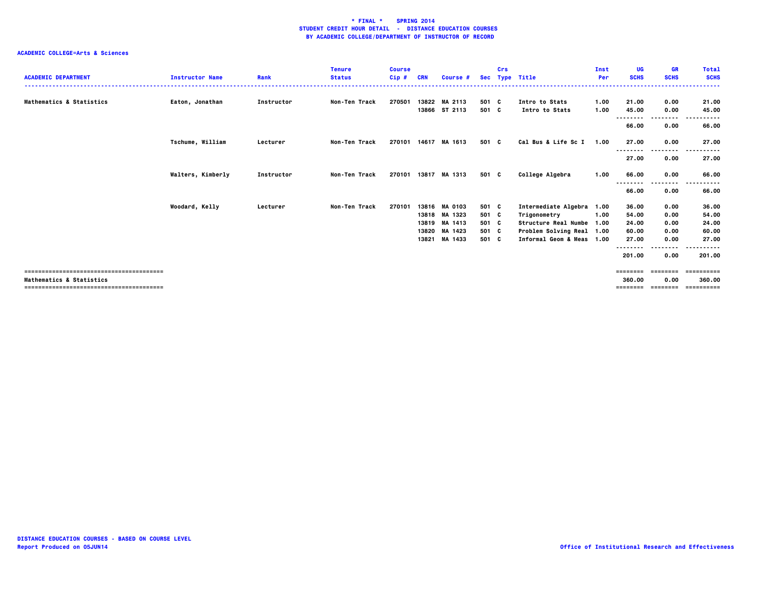| <b>ACADEMIC DEPARTMENT</b> | <b>Instructor Name</b>  | Rank       | <b>Tenure</b><br><b>Status</b> | <b>Course</b><br>Cip# | <b>CRN</b> | Course #                       |                | Crs | Sec Type Title                   | Inst<br>Per  | UG<br><b>SCHS</b> | GR<br><b>SCHS</b> | <b>Total</b><br><b>SCHS</b><br>----- |
|----------------------------|-------------------------|------------|--------------------------------|-----------------------|------------|--------------------------------|----------------|-----|----------------------------------|--------------|-------------------|-------------------|--------------------------------------|
| Mathematics & Statistics   | Eaton, Jonathan         | Instructor | <b>Non-Ten Track</b>           | 270501                |            | 13822 MA 2113<br>13866 ST 2113 | 501 C<br>501 C |     | Intro to Stats<br>Intro to Stats | 1.00<br>1.00 | 21.00<br>45.00    | 0.00<br>0.00      | 21.00<br>45.00                       |
|                            |                         |            |                                |                       |            |                                |                |     |                                  |              | --------<br>66.00 | .<br>0.00         | -----<br>66.00                       |
|                            | <b>Tschume, William</b> | Lecturer   | Non-Ten Track                  | 270101 14617          |            | MA 1613                        | 501 C          |     | Cal Bus & Life Sc I              | 1.00         | 27.00<br>         | 0.00<br>--------  | 27.00<br>.                           |
|                            |                         |            |                                |                       |            |                                |                |     |                                  |              | 27.00             | 0.00              | 27.00                                |
|                            | Walters, Kimberly       | Instructor | <b>Non-Ten Track</b>           | 270101                | 13817      | MA 1313                        | 501 C          |     | College Algebra                  | 1.00         | 66.00<br>-------- | 0.00<br>.         | 66.00<br>-----                       |
|                            |                         |            |                                |                       |            |                                |                |     |                                  |              | 66.00             | 0.00              | 66.00                                |
|                            | Woodard, Kelly          | Lecturer   | Non-Ten Track                  | 270101                | 13816      | <b>MA 0103</b>                 | 501 C          |     | Intermediate Algebra 1.00        |              | 36.00             | 0.00              | 36.00                                |
|                            |                         |            |                                |                       | 13818      | MA 1323                        | 501 C          |     | Trigonometry                     | 1.00         | 54.00             | 0.00              | 54.00                                |
|                            |                         |            |                                |                       | 13819      | MA 1413                        | 501 C          |     | Structure Real Numbe 1.00        |              | 24.00             | 0.00              | 24.00                                |
|                            |                         |            |                                |                       | 13820      | MA 1423                        | 501 C          |     | Problem Solving Real 1.00        |              | 60.00             | 0.00              | 60.00                                |
|                            |                         |            |                                |                       | 13821      | MA 1433                        | 501 C          |     | Informal Geom & Meas 1.00        |              | 27.00             | 0.00              | 27.00                                |
|                            |                         |            |                                |                       |            |                                |                |     |                                  |              | --------          | ----              |                                      |
|                            |                         |            |                                |                       |            |                                |                |     |                                  |              | 201.00            | 0.00              | 201.00                               |
|                            |                         |            |                                |                       |            |                                |                |     |                                  |              | ========          | ---------         | ==========                           |
| Mathematics & Statistics   |                         |            |                                |                       |            |                                |                |     |                                  |              | 360.00            | 0.00              | 360.00                               |
|                            |                         |            |                                |                       |            |                                |                |     |                                  |              | =======           |                   | ==========                           |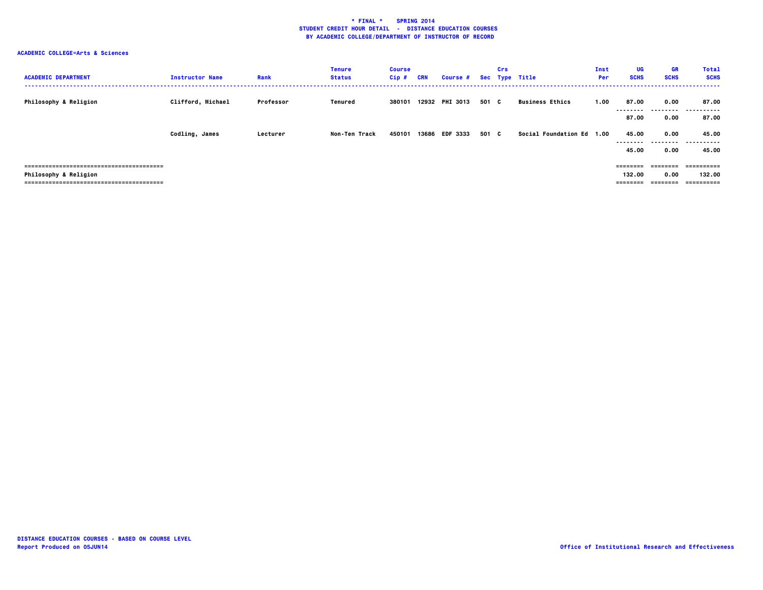| <b>ACADEMIC DEPARTMENT</b>       | <b>Instructor Name</b> | Rank      | <b>Tenure</b><br><b>Status</b> | <b>Course</b><br>Cip# | <b>CRN</b> | Course # Sec Type Title |       | Crs |                           | Inst<br>Per | <b>UG</b><br><b>SCHS</b>       | <b>GR</b><br><b>SCHS</b>      | <b>Total</b><br><b>SCHS</b>         |
|----------------------------------|------------------------|-----------|--------------------------------|-----------------------|------------|-------------------------|-------|-----|---------------------------|-------------|--------------------------------|-------------------------------|-------------------------------------|
| Philosophy & Religion            | Clifford, Michael      | Professor | Tenured                        | 380101                |            | 12932 PHI 3013          | 501 C |     | <b>Business Ethics</b>    | 1.00        | 87.00<br>--------<br>87.00     | 0.00<br>0.00                  | 87.00<br><br>87.00                  |
|                                  | Codling, James         | Lecturer  | Non-Ten Track                  | 450101                | 13686      | <b>EDF 3333</b>         | 501 C |     | Social Foundation Ed 1.00 |             | 45.00<br>--------<br>45.00     | 0.00<br>---------<br>0.00     | 45.00<br>.<br>45.00                 |
| <b>Philosophy &amp; Religion</b> |                        |           |                                |                       |            |                         |       |     |                           |             | ========<br>132.00<br>======== | ---------<br>0.00<br>======== | -----------<br>132.00<br>========== |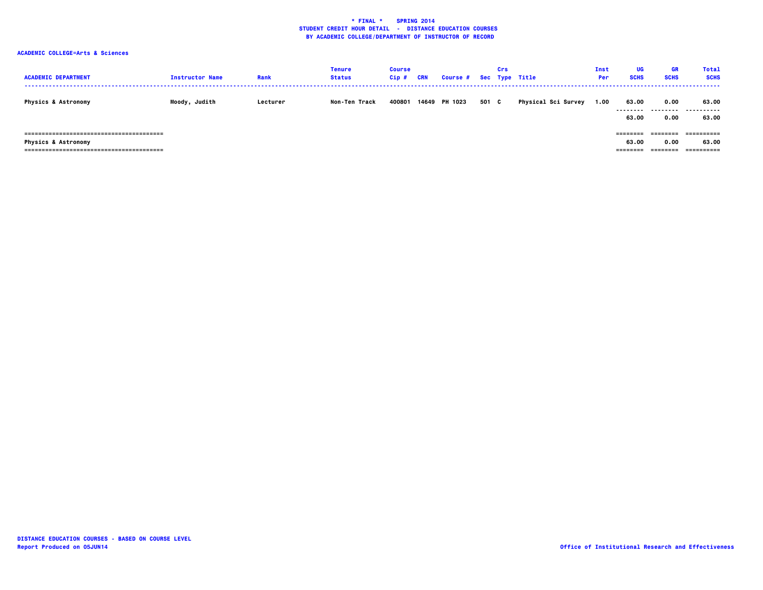| <b>ACADEMIC DEPARTMENT</b>     | <b>Instructor Name</b> | Rank     | <b>Tenure</b><br><b>Status</b> | <b>Course</b><br>Cip# | <b>CRN</b> | Course # Sec Type Title |     | Crs |                     | Inst<br>Per | UG<br><b>SCHS</b>              | <b>GR</b><br><b>SCHS</b>     | <b>Total</b><br><b>SCHS</b> |
|--------------------------------|------------------------|----------|--------------------------------|-----------------------|------------|-------------------------|-----|-----|---------------------|-------------|--------------------------------|------------------------------|-----------------------------|
| <b>Physics &amp; Astronomy</b> | Moody, Judith          | Lecturer | Non-Ten Track                  | 400801                |            | 14649 PH 1023           | 501 | C   | Physical Sci Survey | 1.00        | 63.00<br>.<br>63.00            | 0.00<br>---------<br>0.00    | 63.00<br>.<br>63.00         |
| <b>Physics &amp; Astronomy</b> |                        |          |                                |                       |            |                         |     |     |                     |             | ---------<br>63.00<br>======== | ========<br>0.00<br>======== | 63.00                       |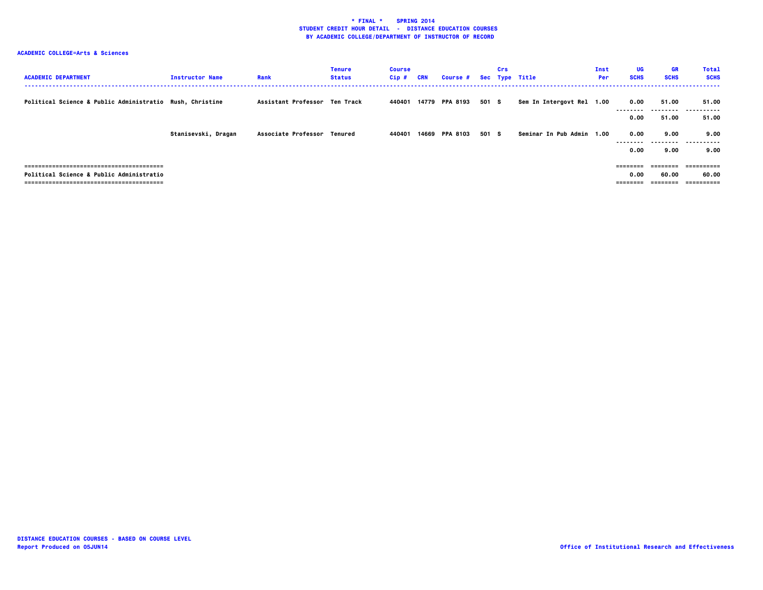| <b>ACADEMIC DEPARTMENT</b>                               | <b>Instructor Name</b> | Rank                          | <b>Tenure</b><br><b>Status</b> | <b>Course</b><br>$Cip$ # | <b>CRN</b> | <b>Course #</b> |       | Crs | Sec Type Title            | Inst<br>Per | UG<br><b>SCHS</b>        | <b>GR</b><br><b>SCHS</b> | <b>Total</b><br><b>SCHS</b>        |
|----------------------------------------------------------|------------------------|-------------------------------|--------------------------------|--------------------------|------------|-----------------|-------|-----|---------------------------|-------------|--------------------------|--------------------------|------------------------------------|
| Political Science & Public Administratio Rush, Christine |                        | Assistant Professor Ten Track |                                | 440401                   |            | 14779 PPA 8193  | 501 S |     | Sem In Intergovt Rel 1.00 |             | 0.00<br>--------<br>0.00 | 51.00<br>51.00           | 51.00<br><br>51.00                 |
|                                                          | Stanisevski, Dragan    | Associate Professor Tenured   |                                | 440401                   |            | 14669 PPA 8103  | 501 S |     | Seminar In Pub Admin      | 1.00        | 0.00<br>--------<br>0.00 | 9.00<br>--------<br>9.00 | 9.00<br>.<br>9.00                  |
| Political Science & Public Administratio                 |                        |                               |                                |                          |            |                 |       |     |                           |             | ========<br>0.00         | ========<br>60.00        | -----------<br>60.00<br>========== |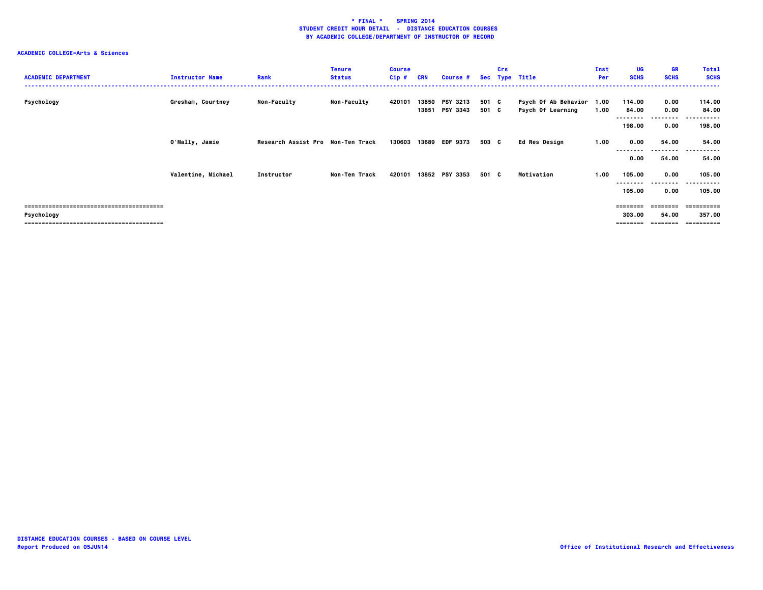| <b>ACADEMIC DEPARTMENT</b> | <b>Instructor Name</b> | Rank                              | <b>Tenure</b><br><b>Status</b> | <b>Course</b><br>$Cip$ # | <b>CRN</b>     | Course #                           |                | <b>Crs</b> | Sec Type Title                                 | Inst<br>Per | UG<br><b>SCHS</b>              | <b>GR</b><br><b>SCHS</b>   | <b>Total</b><br><b>SCHS</b>      |
|----------------------------|------------------------|-----------------------------------|--------------------------------|--------------------------|----------------|------------------------------------|----------------|------------|------------------------------------------------|-------------|--------------------------------|----------------------------|----------------------------------|
| Psychology                 | Gresham, Courtney      | <b>Non-Faculty</b>                | <b>Non-Faculty</b>             | 420101                   | 13850<br>13851 | <b>PSY 3213</b><br><b>PSY 3343</b> | 501 C<br>501 C |            | Psych Of Ab Behavior 1.00<br>Psych Of Learning | 1.00        | 114.00<br>84.00                | 0.00<br>0.00<br>--------   | 114.00<br>84.00<br>.<br>.        |
|                            | O'Mally, Jamie         | Research Assist Pro Non-Ten Track |                                | 130603                   | 13689          | <b>EDF 9373</b>                    | 503 C          |            | Ed Res Design                                  | 1.00        | 198.00<br>0.00                 | 0.00<br>54.00              | 198.00<br>54.00                  |
|                            | Valentine, Michael     | Instructor                        | Non-Ten Track                  | 420101                   |                | 13852 PSY 3353                     | 501 C          |            | Motivation                                     | 1.00        | 0.00<br>105.00                 | ---------<br>54.00<br>0.00 | .<br>----<br>54.00<br>105.00     |
|                            |                        |                                   |                                |                          |                |                                    |                |            |                                                |             | --------<br>105.00             | --------<br>0.00           | ----------<br>105.00             |
| Psychology                 |                        |                                   |                                |                          |                |                                    |                |            |                                                |             | ========<br>303.00<br>======== | 54.00<br>========          | :=======<br>357.00<br>========== |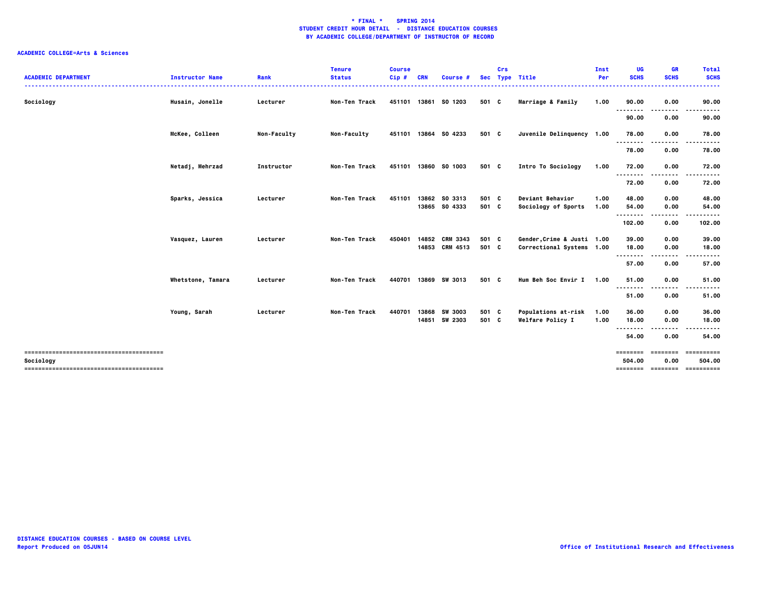| <b>ACADEMIC DEPARTMENT</b> | <b>Instructor Name</b> | Rank        | <b>Tenure</b><br><b>Status</b> | <b>Course</b><br>$Cip$ # | <b>CRN</b>     | <b>Course #</b>                |                | Crs | Sec Type Title                                 | Inst<br>Per  | UG<br><b>SCHS</b>   | GR<br><b>SCHS</b> | <b>Total</b><br><b>SCHS</b>              |
|----------------------------|------------------------|-------------|--------------------------------|--------------------------|----------------|--------------------------------|----------------|-----|------------------------------------------------|--------------|---------------------|-------------------|------------------------------------------|
| Sociology                  | Husain, Jonelle        | Lecturer    | <b>Non-Ten Track</b>           | 451101                   |                | 13861 SO 1203                  | 501 C          |     | Marriage & Family                              | 1.00         | 90.00               | 0.00              | 90.00                                    |
|                            |                        |             |                                |                          |                |                                |                |     |                                                |              | 90.00               | 0.00              | 90.00                                    |
|                            | McKee, Colleen         | Non-Faculty | <b>Non-Faculty</b>             | 451101                   |                | 13864 SO 4233                  | 501 C          |     | Juvenile Delinquency 1.00                      |              | 78.00               | 0.00              | 78.00                                    |
|                            |                        |             |                                |                          |                |                                |                |     |                                                |              | . <b>.</b><br>78.00 | 0.00              | 78.00                                    |
|                            | Netadj, Mehrzad        | Instructor  | Non-Ten Track                  | 451101                   |                | 13860 SO 1003                  | 501 C          |     | Intro To Sociology                             | 1.00         | 72.00<br>.          | 0.00              | 72.00                                    |
|                            |                        |             |                                |                          |                |                                |                |     |                                                |              | 72.00               | 0.00              | 72.00                                    |
|                            | Sparks, Jessica        | Lecturer    | <b>Non-Ten Track</b>           | 451101                   |                | 13862 SO 3313<br>13865 SO 4333 | 501 C<br>501 C |     | <b>Deviant Behavior</b><br>Sociology of Sports | 1.00<br>1.00 | 48.00<br>54.00      | 0.00<br>0.00      | 48.00<br>54.00                           |
|                            |                        |             |                                |                          |                |                                |                |     |                                                |              | .<br>102.00         | .<br>0.00         | 102.00                                   |
|                            | Vasquez, Lauren        | Lecturer    | Non-Ten Track                  | 450401                   | 14852          | <b>CRM 3343</b>                | 501 C          |     | Gender Crime & Justi 1.00                      |              | 39.00               | 0.00              | 39.00                                    |
|                            |                        |             |                                |                          |                | 14853 CRM 4513                 | 501 C          |     | Correctional Systems 1.00                      |              | 18.00<br>.          | 0.00              | 18.00                                    |
|                            |                        |             |                                |                          |                |                                |                |     |                                                |              | 57.00               | 0.00              | 57.00                                    |
|                            | Whetstone, Tamara      | Lecturer    | Non-Ten Track                  | 440701                   |                | 13869 SW 3013                  | 501 C          |     | Hum Beh Soc Envir I                            | 1.00         | 51.00<br>.          | 0.00              | 51.00                                    |
|                            |                        |             |                                |                          |                |                                |                |     |                                                |              | 51.00               | 0.00              | 51.00                                    |
|                            | Young, Sarah           | Lecturer    | <b>Non-Ten Track</b>           | 440701                   | 13868<br>14851 | <b>SW 3003</b><br>SW 2303      | 501 C<br>501 C |     | <b>Populations at-risk</b><br>Welfare Policy I | 1.00<br>1.00 | 36.00<br>18.00      | 0.00<br>0.00      | 36.00<br>18.00                           |
|                            |                        |             |                                |                          |                |                                |                |     |                                                |              | 54.00               | 0.00              | 54.00                                    |
|                            |                        |             |                                |                          |                |                                |                |     |                                                |              | ========            | ========          | ==========                               |
| Sociology                  |                        |             |                                |                          |                |                                |                |     |                                                |              | 504.00              | 0.00              | 504.00<br>========= ========= ========== |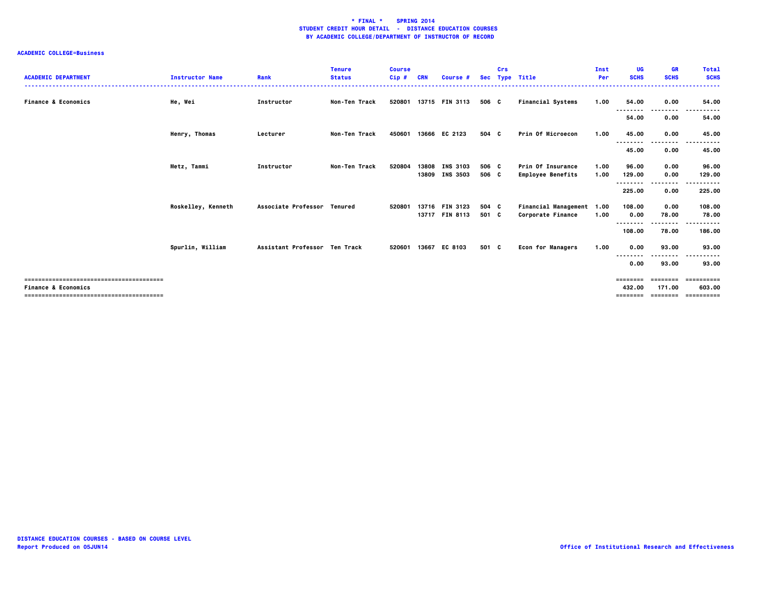| <b>ACADEMIC DEPARTMENT</b>     | <b>Instructor Name</b> | Rank                          | <b>Tenure</b><br><b>Status</b> | <b>Course</b><br>$Cip$ # | <b>CRN</b> | Course #        | <b>Sec</b> | Crs | <b>Type Title</b>         | Inst<br>Per | UG<br><b>SCHS</b>  | <b>GR</b><br><b>SCHS</b> | <b>Total</b><br><b>SCHS</b> |
|--------------------------------|------------------------|-------------------------------|--------------------------------|--------------------------|------------|-----------------|------------|-----|---------------------------|-------------|--------------------|--------------------------|-----------------------------|
| <b>Finance &amp; Economics</b> | He, Wei                | Instructor                    | Non-Ten Track                  | 520801                   |            | 13715 FIN 3113  | 506 C      |     | <b>Financial Systems</b>  | 1.00        | 54.00<br>--------  | 0.00<br>$- - - -$        | 54.00                       |
|                                |                        |                               |                                |                          |            |                 |            |     |                           |             | 54.00              | 0.00                     | 54.00                       |
|                                | Henry, Thomas          | Lecturer                      | Non-Ten Track                  | 450601                   | 13666      | EC 2123         | 504 C      |     | Prin Of Microecon         | 1.00        | 45.00              | 0.00                     | 45.00                       |
|                                |                        |                               |                                |                          |            |                 |            |     |                           |             | --------<br>45.00  | -----<br>0.00            | <br>. .<br>45.00            |
|                                | Metz, Tammi            | Instructor                    | Non-Ten Track                  | 520804                   | 13808      | <b>INS 3103</b> | 506 C      |     | Prin Of Insurance         | 1.00        | 96.00              | 0.00                     | 96.00                       |
|                                |                        |                               |                                |                          | 13809      | <b>INS 3503</b> | 506 C      |     | <b>Employee Benefits</b>  | 1.00        | 129.00<br>-------- | 0.00                     | 129.00<br>.                 |
|                                |                        |                               |                                |                          |            |                 |            |     |                           |             | 225.00             | 0.00                     | 225.00                      |
|                                | Roskelley, Kenneth     | Associate Professor Tenured   |                                | 520801                   | 13716      | <b>FIN 3123</b> | 504 C      |     | Financial Management 1.00 |             | 108.00             | 0.00                     | 108.00                      |
|                                |                        |                               |                                |                          | 13717      | <b>FIN 8113</b> | 501 C      |     | Corporate Finance         | 1.00        | 0.00<br>--------   | 78.00<br>---------       | 78.00<br>.<br>. .           |
|                                |                        |                               |                                |                          |            |                 |            |     |                           |             | 108.00             | 78.00                    | 186.00                      |
|                                | Spurlin, William       | Assistant Professor Ten Track |                                | 520601                   | 13667      | EC 8103         | 501 C      |     | <b>Econ for Managers</b>  | 1.00        | 0.00               | 93.00                    | 93.00                       |
|                                |                        |                               |                                |                          |            |                 |            |     |                           |             | $- - -$<br>0.00    | -------<br>93.00         | $- - -$<br>93.00            |
|                                |                        |                               |                                |                          |            |                 |            |     |                           |             | ========           | --------                 | ==========                  |
| <b>Finance &amp; Economics</b> |                        |                               |                                |                          |            |                 |            |     |                           |             | 432.00<br>======== | 171.00<br>========       | 603.00<br>==========        |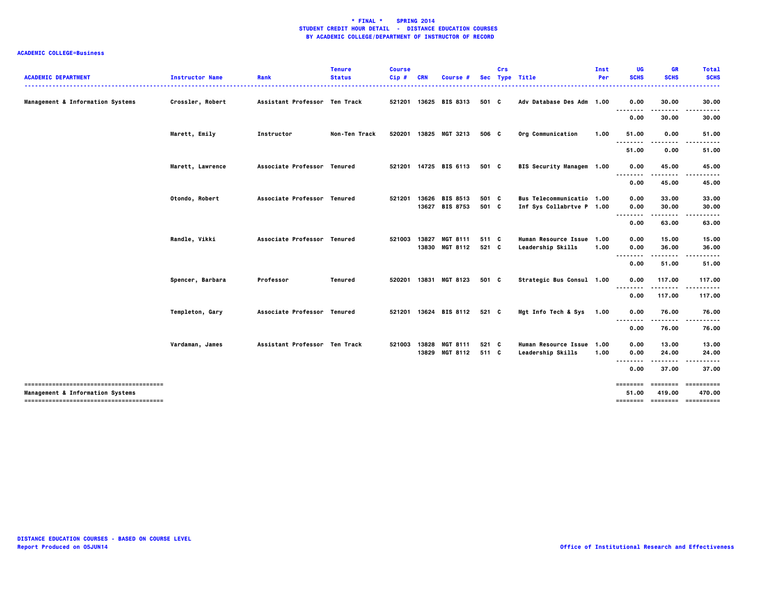| <b>ACADEMIC DEPARTMENT</b>                  | <b>Instructor Name</b> | Rank                          | <b>Tenure</b><br><b>Status</b> | <b>Course</b><br>Cip# | <b>CRN</b> | Course #              |       | Crs | Sec Type Title            | Inst<br>Per | UG<br><b>SCHS</b> | GR<br><b>SCHS</b> | <b>Total</b><br><b>SCHS</b><br>.        |
|---------------------------------------------|------------------------|-------------------------------|--------------------------------|-----------------------|------------|-----------------------|-------|-----|---------------------------|-------------|-------------------|-------------------|-----------------------------------------|
| Management & Information Systems            | Crossler, Robert       | Assistant Professor Ten Track |                                |                       |            | 521201 13625 BIS 8313 | 501 C |     | Adv Database Des Adm 1.00 |             | 0.00              | 30.00             | 30.00                                   |
|                                             |                        |                               |                                |                       |            |                       |       |     |                           |             | --------<br>0.00  | 30.00             | 30.00                                   |
|                                             | Marett, Emily          | Instructor                    | Non-Ten Track                  | 520201                |            | 13825 MGT 3213        | 506 C |     | Org Communication         | 1.00        | 51.00             | 0.00              | 51.00                                   |
|                                             |                        |                               |                                |                       |            |                       |       |     |                           |             | 51.00             | 0.00              | 51.00                                   |
|                                             | Marett, Lawrence       | Associate Professor Tenured   |                                | 521201                |            | 14725 BIS 6113        | 501 C |     | BIS Security Managem 1.00 |             | 0.00              | 45.00             | 45.00                                   |
|                                             |                        |                               |                                |                       |            |                       |       |     |                           |             | .<br>0.00         | 45.00             | 45.00                                   |
|                                             | Otondo, Robert         | Associate Professor Tenured   |                                | 521201                |            | 13626 BIS 8513        | 501 C |     | Bus Telecommunicatio 1.00 |             | 0.00              | 33.00             | 33.00                                   |
|                                             |                        |                               |                                |                       |            | 13627 BIS 8753        | 501 C |     | Inf Sys Collabrtve P 1.00 |             | 0.00<br>-----     | 30.00             | 30.00                                   |
|                                             |                        |                               |                                |                       |            |                       |       |     |                           |             | 0.00              | 63.00             | 63.00                                   |
|                                             | Randle, Vikki          | Associate Professor Tenured   |                                | 521003                | 13827      | <b>MGT 8111</b>       | 511 C |     | Human Resource Issue 1.00 |             | 0.00              | 15.00             | 15.00                                   |
|                                             |                        |                               |                                |                       |            | 13830 MGT 8112        | 521 C |     | Leadership Skills         | 1.00        | 0.00<br>--------  | 36.00<br>.        | 36.00                                   |
|                                             |                        |                               |                                |                       |            |                       |       |     |                           |             | 0.00              | 51.00             | 51.00                                   |
|                                             | Spencer, Barbara       | Professor                     | Tenured                        | 520201                |            | 13831 MGT 8123        | 501 C |     | Strategic Bus Consul 1.00 |             | 0.00              | 117.00            | 117.00                                  |
|                                             |                        |                               |                                |                       |            |                       |       |     |                           |             | 0.00              | 117.00            | 117.00                                  |
|                                             | Templeton, Gary        | Associate Professor Tenured   |                                | 521201                |            | 13624 BIS 8112        | 521 C |     | Mgt Info Tech & Sys       | 1.00        | 0.00              | 76.00             | 76.00                                   |
|                                             |                        |                               |                                |                       |            |                       |       |     |                           |             | 0.00              | 76.00             | 76.00                                   |
|                                             | Vardaman, James        | Assistant Professor Ten Track |                                | 521003                | 13828      | <b>MGT 8111</b>       | 521 C |     | Human Resource Issue 1.00 |             | 0.00              | 13.00             | 13.00                                   |
|                                             |                        |                               |                                |                       |            | 13829 MGT 8112        | 511 C |     | Leadership Skills         | 1.00        | 0.00<br>--------  | 24.00<br>.        | 24.00                                   |
|                                             |                        |                               |                                |                       |            |                       |       |     |                           |             | 0.00              | 37.00             | 37.00                                   |
|                                             |                        |                               |                                |                       |            |                       |       |     |                           |             | ========          | <b>EEEEEEE</b>    | ==========                              |
| <b>Management &amp; Information Systems</b> |                        |                               |                                |                       |            |                       |       |     |                           |             | 51.00             | 419.00            | 470.00<br>========= ======== ========== |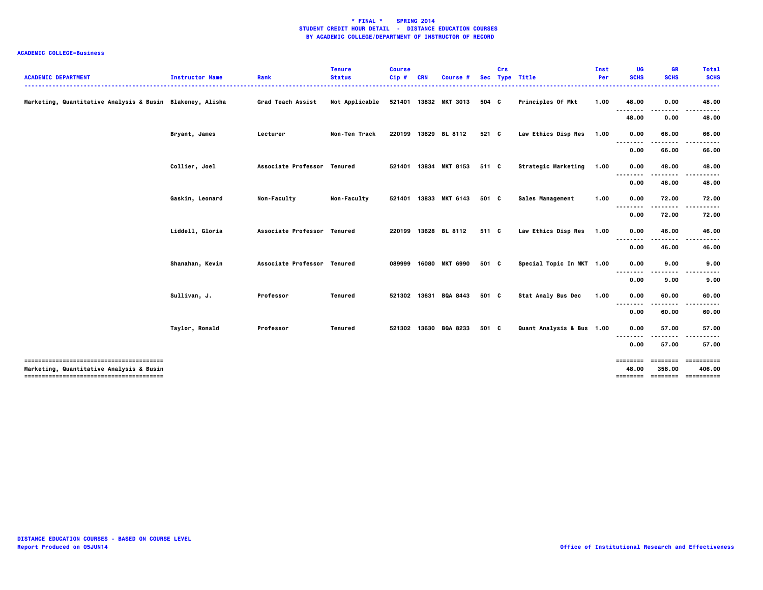| <b>ACADEMIC DEPARTMENT</b>                                | <b>Instructor Name</b> | Rank                        | <b>Tenure</b><br><b>Status</b> | <b>Course</b><br>Cip# | <b>CRN</b> | Course          |       | Crs | Sec Type Title            | Inst<br>Per | UG<br><b>SCHS</b> | <b>GR</b><br><b>SCHS</b> | <b>Total</b><br><b>SCHS</b>  |
|-----------------------------------------------------------|------------------------|-----------------------------|--------------------------------|-----------------------|------------|-----------------|-------|-----|---------------------------|-------------|-------------------|--------------------------|------------------------------|
| Marketing, Quantitative Analysis & Busin Blakeney, Alisha |                        | Grad Teach Assist           | Not Applicable                 | 521401                |            | 13832 MKT 3013  | 504 C |     | Principles Of Mkt         | 1.00        | 48.00             | 0.00                     | 48.00                        |
|                                                           |                        |                             |                                |                       |            |                 |       |     |                           |             | 48.00             | 0.00                     | 48.00                        |
|                                                           | Bryant, James          | Lecturer                    | Non-Ten Track                  | 220199                |            | 13629 BL 8112   | 521 C |     | Law Ethics Disp Res       | 1.00        | 0.00              | 66.00                    | 66.00                        |
|                                                           |                        |                             |                                |                       |            |                 |       |     |                           |             | 0.00              | 66.00                    | 66.00                        |
|                                                           | Collier, Joel          | Associate Professor Tenured |                                | 521401                |            | 13834 MKT 8153  | 511 C |     | Strategic Marketing       | 1.00        | 0.00              | 48.00                    | 48.00                        |
|                                                           |                        |                             |                                |                       |            |                 |       |     |                           |             | 0.00              | 48.00                    | 48.00                        |
|                                                           | Gaskin, Leonard        | <b>Non-Faculty</b>          | <b>Non-Faculty</b>             | 521401                |            | 13833 MKT 6143  | 501 C |     | <b>Sales Management</b>   | 1.00        | 0.00              | 72.00                    | 72.00                        |
|                                                           |                        |                             |                                |                       |            |                 |       |     |                           |             | 0.00              | 72.00                    | 72.00                        |
|                                                           | Liddell, Gloria        | Associate Professor Tenured |                                | 220199                |            | 13628 BL 8112   | 511 C |     | Law Ethics Disp Res       | 1.00        | 0.00              | 46.00                    | 46.00                        |
|                                                           |                        |                             |                                |                       |            |                 |       |     |                           |             | 0.00              | 46.00                    | 46.00                        |
|                                                           | Shanahan, Kevin        | Associate Professor Tenured |                                | 089999                |            | 16080 MKT 6990  | 501 C |     | Special Topic In MKT 1.00 |             | 0.00              | 9.00                     | 9.00                         |
|                                                           |                        |                             |                                |                       |            |                 |       |     |                           |             | 0.00              | 9.00                     | 9.00                         |
|                                                           | Sullivan, J.           | Professor                   | <b>Tenured</b>                 | 521302                | 13631      | <b>BQA 8443</b> | 501 C |     | <b>Stat Analy Bus Dec</b> | 1.00        | 0.00              | 60.00                    | 60.00                        |
|                                                           |                        |                             |                                |                       |            |                 |       |     |                           |             | 0.00              | 60.00                    | 60.00                        |
|                                                           | Taylor, Ronald         | Professor                   | <b>Tenured</b>                 | 521302                |            | 13630 BQA 8233  | 501 C |     | Quant Analysis & Bus 1.00 |             | 0.00              | 57.00                    | 57.00                        |
|                                                           |                        |                             |                                |                       |            |                 |       |     |                           |             | 0.00              | 57.00                    | 57.00                        |
|                                                           |                        |                             |                                |                       |            |                 |       |     |                           |             | ========          |                          |                              |
| Marketing, Quantitative Analysis & Busin                  |                        |                             |                                |                       |            |                 |       |     |                           |             | 48.00<br>======== | 358.00                   | 406.00<br>======== ========= |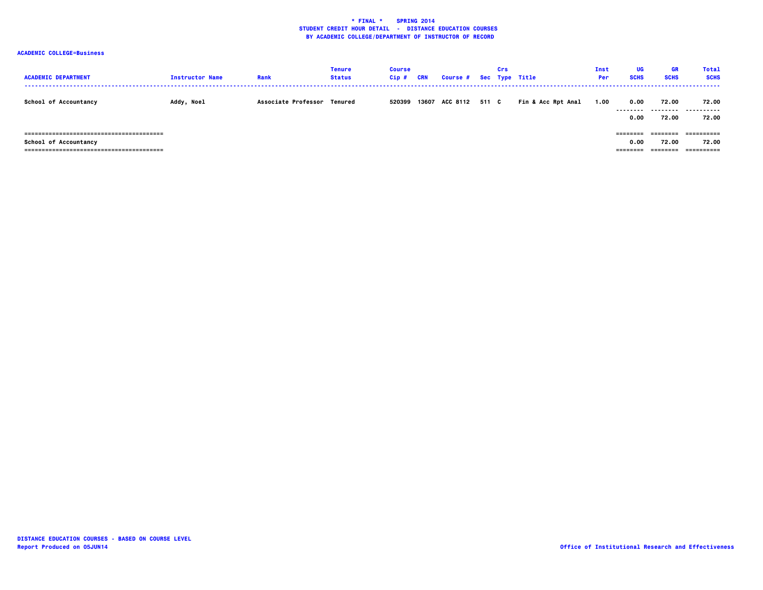| <b>ACADEMIC DEPARTMENT</b> | <b>Instructor Name</b> | Rank                        | <b>Tenure</b><br><b>Status</b> | <b>Course</b><br>$Cip$ # | <b>CRN</b> | <b>Course #</b> |       | Crs | Sec Type Title     | Inst<br>Per | UG<br><b>SCHS</b>             | <b>GR</b><br><b>SCHS</b>      | <b>Total</b><br><b>SCHS</b>       |
|----------------------------|------------------------|-----------------------------|--------------------------------|--------------------------|------------|-----------------|-------|-----|--------------------|-------------|-------------------------------|-------------------------------|-----------------------------------|
| School of Accountancy      | Addy, Noel             | Associate Professor Tenured |                                | 520399                   |            | 13607 ACC 8112  | 511 C |     | Fin & Acc Rpt Anal | 1.00        | 0.00<br>---------<br>0.00     | 72.00<br>---------<br>72.00   | 72.00<br>-------<br>.<br>72.00    |
| School of Accountancy      |                        |                             |                                |                          |            |                 |       |     |                    |             | ---------<br>0.00<br>======== | --------<br>72.00<br>======== | ==========<br>72.00<br>========== |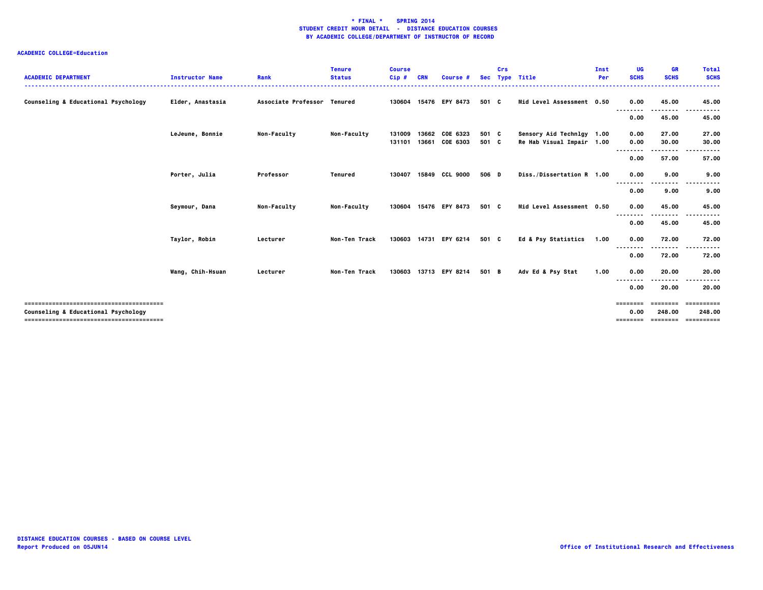| <b>ACADEMIC DEPARTMENT</b>          | <b>Instructor Name</b> | Rank                        | <b>Tenure</b><br><b>Status</b> | <b>Course</b><br>$Cip$ # | <b>CRN</b>     | Course #              |                | Crs | Sec Type Title                                         | Inst<br>Per | UG<br><b>SCHS</b>            | <b>GR</b><br><b>SCHS</b> | <b>Total</b><br><b>SCHS</b>                 |
|-------------------------------------|------------------------|-----------------------------|--------------------------------|--------------------------|----------------|-----------------------|----------------|-----|--------------------------------------------------------|-------------|------------------------------|--------------------------|---------------------------------------------|
| Counseling & Educational Psychology | Elder, Anastasia       | Associate Professor Tenured |                                |                          |                | 130604 15476 EPY 8473 | 501 C          |     | Mid Level Assessment 0.50                              |             | 0.00                         | 45.00                    | 45.00                                       |
|                                     |                        |                             |                                |                          |                |                       |                |     |                                                        |             | 0.00                         | 45.00                    | 45.00                                       |
|                                     | LeJeune, Bonnie        | Non-Faculty                 | <b>Non-Faculty</b>             | 131009<br>131101         | 13662<br>13661 | COE 6323<br>COE 6303  | 501 C<br>501 C |     | Sensory Aid Technlgy 1.00<br>Re Hab Visual Impair 1.00 |             | 0.00<br>0.00                 | 27.00<br>30.00           | 27.00<br>30.00                              |
|                                     |                        |                             |                                |                          |                |                       |                |     |                                                        |             | - - - - - - - -<br>0.00      | .<br>57.00               | 57.00                                       |
|                                     | Porter, Julia          | Professor                   | Tenured                        | 130407                   |                | 15849 CCL 9000        | 506 D          |     | Diss./Dissertation R 1.00                              |             | 0.00                         | 9.00                     | 9.00                                        |
|                                     |                        |                             |                                |                          |                |                       |                |     |                                                        |             | --------<br>0.00             | 9.00                     | 9.00                                        |
|                                     | Seymour, Dana          | Non-Faculty                 | <b>Non-Faculty</b>             | 130604                   |                | 15476 EPY 8473        | 501 C          |     | Mid Level Assessment 0.50                              |             | 0.00<br>--------             | 45.00                    | 45.00                                       |
|                                     |                        |                             |                                |                          |                |                       |                |     |                                                        |             | 0.00                         | 45.00                    | 45.00                                       |
|                                     | Taylor, Robin          | Lecturer                    | <b>Non-Ten Track</b>           | 130603                   |                | 14731 EPY 6214        | 501 C          |     | Ed & Psy Statistics                                    | 1.00        | 0.00<br>--------             | 72.00<br>------          | 72.00                                       |
|                                     |                        |                             |                                |                          |                |                       |                |     |                                                        |             | 0.00                         | 72.00                    | 72.00                                       |
|                                     | Wang, Chih-Hsuan       | Lecturer                    | Non-Ten Track                  |                          |                | 130603 13713 EPY 8214 | 501 B          |     | Adv Ed & Psy Stat                                      | 1.00        | 0.00<br>----                 | 20.00                    | 20.00                                       |
|                                     |                        |                             |                                |                          |                |                       |                |     |                                                        |             | 0.00                         | 20.00                    | 20.00                                       |
| Counseling & Educational Psychology |                        |                             |                                |                          |                |                       |                |     |                                                        |             | ========<br>0.00<br>======== | eeeeeee<br>248.00        | ==========<br>248.00<br>=================== |
|                                     |                        |                             |                                |                          |                |                       |                |     |                                                        |             |                              |                          |                                             |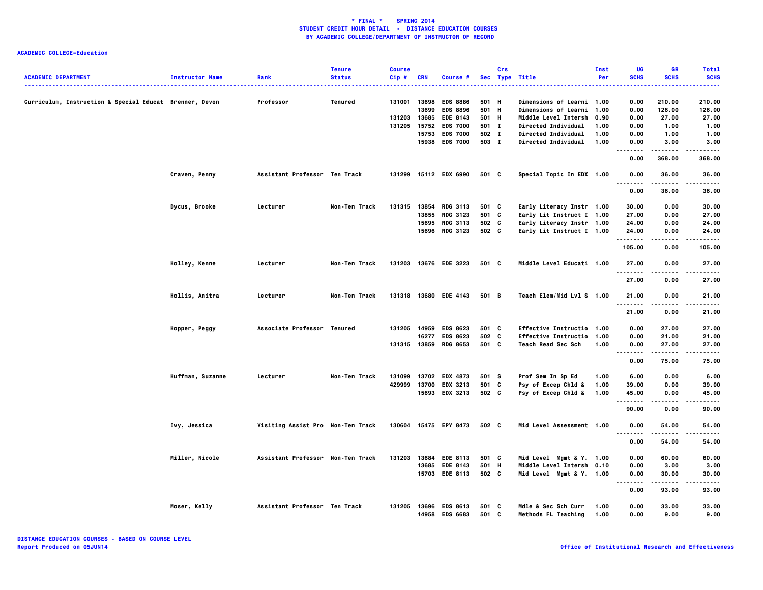|                                                         |                        |                                   | <b>Tenure</b> | <b>Course</b> |            |                       |            | Crs |                                  | Inst | UG          | <b>GR</b>   | <b>Total</b> |
|---------------------------------------------------------|------------------------|-----------------------------------|---------------|---------------|------------|-----------------------|------------|-----|----------------------------------|------|-------------|-------------|--------------|
| <b>ACADEMIC DEPARTMENT</b>                              | <b>Instructor Name</b> | Rank                              | <b>Status</b> | Cip#          | <b>CRN</b> | Course #              | <b>Sec</b> |     | <b>Type Title</b>                | Per  | <b>SCHS</b> | <b>SCHS</b> | <b>SCHS</b>  |
|                                                         |                        |                                   |               |               |            |                       |            |     |                                  |      | .           |             | .            |
|                                                         |                        |                                   |               |               |            |                       |            |     |                                  |      |             |             |              |
| Curriculum, Instruction & Special Educat Brenner, Devon |                        | Professor                         | Tenured       | 131001 13698  |            | <b>EDS 8886</b>       | 501 H      |     | <b>Dimensions of Learni 1.00</b> |      | 0.00        | 210.00      | 210.00       |
|                                                         |                        |                                   |               |               | 13699      | <b>EDS 8896</b>       | 501 H      |     | Dimensions of Learni 1.00        |      | 0.00        | 126.00      | 126.00       |
|                                                         |                        |                                   |               | 131203 13685  |            | EDE 8143              | 501 H      |     | <b>Middle Level Intersh</b>      | 0.90 | 0.00        | 27.00       | 27.00        |
|                                                         |                        |                                   |               | 131205        | 15752      | <b>EDS 7000</b>       | 501 I      |     | <b>Directed Individual</b>       | 1.00 | 0.00        | 1.00        | 1.00         |
|                                                         |                        |                                   |               |               | 15753      | <b>EDS 7000</b>       | 502 I      |     | <b>Directed Individual</b>       | 1.00 | 0.00        | 1.00        | 1.00         |
|                                                         |                        |                                   |               |               | 15938      | <b>EDS 7000</b>       | 503 I      |     | <b>Directed Individual</b>       | 1.00 | 0.00        | 3.00        | 3.00         |
|                                                         |                        |                                   |               |               |            |                       |            |     |                                  |      | .           | .           | $- - - - -$  |
|                                                         |                        |                                   |               |               |            |                       |            |     |                                  |      | 0.00        | 368.00      | 368.00       |
|                                                         | Craven, Penny          | Assistant Professor Ten Track     |               |               |            | 131299 15112 EDX 6990 | 501 C      |     | Special Topic In EDX 1.00        |      | 0.00        | 36.00       | 36.00        |
|                                                         |                        |                                   |               |               |            |                       |            |     |                                  |      | $ -$        |             |              |
|                                                         |                        |                                   |               |               |            |                       |            |     |                                  |      | 0.00        | 36.00       | 36.00        |
|                                                         |                        |                                   |               |               |            |                       |            |     |                                  |      |             |             |              |
|                                                         | Dycus, Brooke          | Lecturer                          | Non-Ten Track | 131315 13854  |            | <b>RDG 3113</b>       | 501 C      |     | Early Literacy Instr 1.00        |      | 30.00       | 0.00        | 30.00        |
|                                                         |                        |                                   |               |               | 13855      | <b>RDG 3123</b>       | 501 C      |     | Early Lit Instruct I 1.00        |      | 27.00       | 0.00        | 27.00        |
|                                                         |                        |                                   |               |               | 15695      | <b>RDG 3113</b>       | 502 C      |     | Early Literacy Instr 1.00        |      | 24.00       | 0.00        | 24.00        |
|                                                         |                        |                                   |               |               |            | 15696 RDG 3123        | 502 C      |     |                                  |      | 24.00       | 0.00        | 24.00        |
|                                                         |                        |                                   |               |               |            |                       |            |     | Early Lit Instruct I 1.00        |      | --------    | $- - - -$   | .            |
|                                                         |                        |                                   |               |               |            |                       |            |     |                                  |      |             | 0.00        |              |
|                                                         |                        |                                   |               |               |            |                       |            |     |                                  |      | 105.00      |             | 105.00       |
|                                                         | Holley, Kenne          | Lecturer                          | Non-Ten Track | 131203        |            | 13676 EDE 3223        | 501 C      |     | Middle Level Educati 1.00        |      | 27.00       | 0.00        | 27.00        |
|                                                         |                        |                                   |               |               |            |                       |            |     |                                  |      | --------    | ----        | -----        |
|                                                         |                        |                                   |               |               |            |                       |            |     |                                  |      | 27.00       | 0.00        | 27.00        |
|                                                         |                        |                                   |               |               |            |                       |            |     |                                  |      |             |             |              |
|                                                         | Hollis, Anitra         | Lecturer                          | Non-Ten Track |               |            | 131318 13680 EDE 4143 | 501 B      |     | Teach Elem/Mid Lvl S 1.00        |      | 21.00       | 0.00        | 21.00        |
|                                                         |                        |                                   |               |               |            |                       |            |     |                                  |      |             |             |              |
|                                                         |                        |                                   |               |               |            |                       |            |     |                                  |      |             |             |              |
|                                                         |                        |                                   |               |               |            |                       |            |     |                                  |      | 21.00       | 0.00        | 21.00        |
|                                                         |                        |                                   |               |               |            |                       |            |     |                                  |      |             |             |              |
|                                                         | Hopper, Peggy          | Associate Professor Tenured       |               | 131205 14959  |            | <b>EDS 8623</b>       | 501 C      |     | Effective Instructio 1.00        |      | 0.00        | 27.00       | 27.00        |
|                                                         |                        |                                   |               |               | 16277      | <b>EDS 8623</b>       | 502 C      |     | <b>Effective Instructio</b>      | 1.00 | 0.00        | 21.00       | 21.00        |
|                                                         |                        |                                   |               | 131315 13859  |            | <b>RDG 8653</b>       | 501 C      |     | Teach Read Sec Sch               | 1.00 | 0.00        | 27.00       | 27.00        |
|                                                         |                        |                                   |               |               |            |                       |            |     |                                  |      |             | .           | .            |
|                                                         |                        |                                   |               |               |            |                       |            |     |                                  |      | 0.00        | 75.00       | 75.00        |
|                                                         |                        |                                   |               |               |            |                       |            |     |                                  |      |             |             |              |
|                                                         | Huffman, Suzanne       | Lecturer                          | Non-Ten Track | 131099        | 13702      | <b>EDX 4873</b>       | 501 S      |     | Prof Sem In Sp Ed                | 1.00 | 6.00        | 0.00        | 6.00         |
|                                                         |                        |                                   |               | 429999        | 13700      | <b>EDX 3213</b>       | 501 C      |     | Psy of Excep Chld &              | 1.00 | 39.00       | 0.00        | 39.00        |
|                                                         |                        |                                   |               |               | 15693      | <b>EDX 3213</b>       | 502 C      |     | Psy of Excep Chld &              | 1.00 | 45.00       | 0.00        | 45.00        |
|                                                         |                        |                                   |               |               |            |                       |            |     |                                  |      |             |             |              |
|                                                         |                        |                                   |               |               |            |                       |            |     |                                  |      | 90.00       | 0.00        | 90.00        |
|                                                         |                        |                                   |               |               |            |                       |            |     |                                  |      |             |             |              |
|                                                         | Ivy, Jessica           | Visiting Assist Pro Non-Ten Track |               |               |            | 130604 15475 EPY 8473 | 502 C      |     | Mid Level Assessment 1.00        |      | 0.00        | 54.00       | 54.00        |
|                                                         |                        |                                   |               |               |            |                       |            |     |                                  |      |             |             |              |
|                                                         |                        |                                   |               |               |            |                       |            |     |                                  |      | 0.00        | 54.00       | 54.00        |
|                                                         |                        |                                   |               |               |            |                       |            |     |                                  |      |             |             |              |
|                                                         | <b>Miller, Nicole</b>  | Assistant Professor Non-Ten Track |               | 131203        | 13684      | <b>EDE 8113</b>       | 501 C      |     | Mid Level Mgmt & Y. 1.00         |      | 0.00        | 60.00       | 60.00        |
|                                                         |                        |                                   |               |               | 13685      | <b>EDE 8143</b>       | 501 H      |     | Middle Level Intersh 0.10        |      | 0.00        | 3.00        | 3.00         |
|                                                         |                        |                                   |               |               |            | 15703 EDE 8113        | 502 C      |     | Mid Level Mgmt & Y. 1.00         |      | 0.00        | 30.00       | 30.00        |
|                                                         |                        |                                   |               |               |            |                       |            |     |                                  |      |             | .           |              |
|                                                         |                        |                                   |               |               |            |                       |            |     |                                  |      | 0.00        | 93.00       | 93.00        |
|                                                         |                        |                                   |               |               |            |                       |            |     |                                  |      |             |             |              |
|                                                         | Moser, Kelly           | Assistant Professor Ten Track     |               | 131205        | 13696      | <b>EDS 8613</b>       | 501 C      |     | Mdle & Sec Sch Curr              | 1.00 | 0.00        | 33.00       | 33.00        |
|                                                         |                        |                                   |               |               |            | 14958 EDS 6683        | 501 C      |     | Methods FL Teaching              | 1.00 | 0.00        | 9.00        | 9.00         |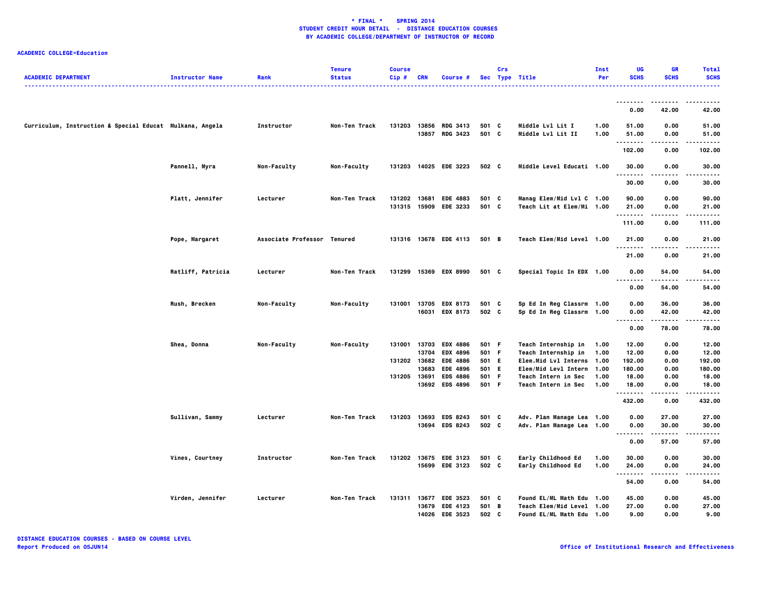| <b>ACADEMIC DEPARTMENT</b>                               | <b>Instructor Name</b> | Rank                        | <b>Tenure</b><br><b>Status</b> | <b>Course</b><br>$Cip$ # | <b>CRN</b>     | Course #                                |                | Crs | Sec Type Title                                         | Inst<br>Per  | UG<br><b>SCHS</b>   | <b>GR</b><br><b>SCHS</b> | <b>Total</b><br><b>SCHS</b> |
|----------------------------------------------------------|------------------------|-----------------------------|--------------------------------|--------------------------|----------------|-----------------------------------------|----------------|-----|--------------------------------------------------------|--------------|---------------------|--------------------------|-----------------------------|
|                                                          |                        |                             |                                |                          |                |                                         |                |     |                                                        |              |                     |                          |                             |
|                                                          |                        |                             |                                |                          |                |                                         |                |     |                                                        |              | 0.00                | 42.00                    | 42.00                       |
| Curriculum, Instruction & Special Educat Mulkana, Angela |                        | Instructor                  | Non-Ten Track                  | 131203                   | 13856<br>13857 | <b>RDG 3413</b><br><b>RDG 3423</b>      | 501 C<br>501 C |     | Middle Lvl Lit I<br>Middle Lvl Lit II                  | 1.00<br>1.00 | 51.00<br>51.00<br>. | 0.00<br>0.00<br>.        | 51.00<br>51.00<br>.         |
|                                                          |                        |                             |                                |                          |                |                                         |                |     |                                                        |              | 102.00              | 0.00                     | 102.00                      |
|                                                          | Pannell, Myra          | Non-Faculty                 | Non-Faculty                    |                          |                | 131203 14025 EDE 3223                   | 502 C          |     | Middle Level Educati 1.00                              |              | 30.00               | 0.00                     | 30.00                       |
|                                                          |                        |                             |                                |                          |                |                                         |                |     |                                                        |              | 30.00               | 0.00                     | 30.00                       |
|                                                          | Platt, Jennifer        | Lecturer                    | Non-Ten Track                  | 131202<br>131315         | 13681<br>15909 | <b>EDE 4883</b><br><b>EDE 3233</b>      | 501 C<br>501 C |     | Manag Elem/Mid Lvl C 1.00<br>Teach Lit at Elem/Mi 1.00 |              | 90.00<br>21.00      | 0.00<br>0.00             | 90.00<br>21.00              |
|                                                          |                        |                             |                                |                          |                |                                         |                |     |                                                        |              | .<br>111.00         | .<br>0.00                | .<br>111.00                 |
|                                                          | Pope, Margaret         | Associate Professor Tenured |                                |                          |                | 131316 13678 EDE 4113                   | 501 B          |     | Teach Elem/Mid Level 1.00                              |              | 21.00<br>.          | 0.00                     | 21.00                       |
|                                                          |                        |                             |                                |                          |                |                                         |                |     |                                                        |              | 21.00               | 0.00                     | 21.00                       |
|                                                          | Ratliff, Patricia      | Lecturer                    | Non-Ten Track                  | 131299                   |                | 15369 EDX 8990                          | 501 C          |     | Special Topic In EDX 1.00                              |              | 0.00                | 54.00                    | 54.00                       |
|                                                          |                        |                             |                                |                          |                |                                         |                |     |                                                        |              | 0.00                | 54.00                    | 54.00                       |
|                                                          | Rush, Brecken          | <b>Non-Faculty</b>          | <b>Non-Faculty</b>             |                          |                | 131001 13705 EDX 8173<br>16031 EDX 8173 | 501 C<br>502 C |     | Sp Ed In Reg Classrm 1.00<br>Sp Ed In Reg Classrm 1.00 |              | 0.00<br>0.00        | 36.00<br>42.00           | 36.00<br>42.00              |
|                                                          |                        |                             |                                |                          |                |                                         |                |     |                                                        |              | 0.00                | 78.00                    | 78.00                       |
|                                                          | Shea, Donna            | Non-Faculty                 | Non-Faculty                    | 131001                   | 13703          | <b>EDX 4886</b>                         | 501 F          |     | Teach Internship in                                    | 1.00         | 12.00               | 0.00                     | 12.00                       |
|                                                          |                        |                             |                                | 131202 13682             | 13704          | EDX 4896<br><b>EDE 4886</b>             | 501 F<br>501   | E.  | Teach Internship in<br>Elem.Mid Lvl Interns 1.00       | 1.00         | 12.00<br>192.00     | 0.00<br>0.00             | 12.00<br>192.00             |
|                                                          |                        |                             |                                |                          | 13683          | <b>EDE 4896</b>                         | 501 E          |     | Elem/Mid Levl Intern 1.00                              |              | 180.00              | 0.00                     | 180.00                      |
|                                                          |                        |                             |                                | 131205 13691             |                | <b>EDS 4886</b>                         | 501            | -F  | Teach Intern in Sec                                    | 1.00         | 18.00               | 0.00                     | 18.00                       |
|                                                          |                        |                             |                                |                          |                | 13692 EDS 4896                          | 501 F          |     | Teach Intern in Sec                                    | 1.00         | 18.00<br>.          | 0.00                     | 18.00                       |
|                                                          |                        |                             |                                |                          |                |                                         |                |     |                                                        |              | 432.00              | 0.00                     | 432.00                      |
|                                                          | Sullivan, Sammy        | Lecturer                    | Non-Ten Track                  | 131203                   | 13693          | <b>EDS 8243</b>                         | 501 C          |     | Adv. Plan Manage Lea 1.00                              |              | 0.00                | 27.00                    | 27.00                       |
|                                                          |                        |                             |                                |                          |                | 13694 EDS 8243                          | 502 C          |     | Adv. Plan Manage Lea 1.00                              |              | 0.00<br>--------    | 30.00<br>-----           | 30.00<br>.                  |
|                                                          |                        |                             |                                |                          |                |                                         |                |     |                                                        |              | 0.00                | 57.00                    | 57.00                       |
|                                                          | Vines, Courtney        | Instructor                  | Non-Ten Track                  | 131202                   |                | 13675 EDE 3123                          | 501 C          |     | Early Childhood Ed                                     | 1.00         | 30.00               | 0.00                     | 30.00                       |
|                                                          |                        |                             |                                |                          |                | 15699 EDE 3123                          | 502 C          |     | Early Childhood Ed                                     | 1.00         | 24.00<br>--------   | 0.00                     | 24.00                       |
|                                                          |                        |                             |                                |                          |                |                                         |                |     |                                                        |              | 54.00               | 0.00                     | 54.00                       |
|                                                          | Virden, Jennifer       | Lecturer                    | Non-Ten Track                  | 131311 13677             |                | <b>EDE 3523</b>                         | 501 C          |     | Found EL/ML Math Edu 1.00                              |              | 45.00               | 0.00                     | 45.00                       |
|                                                          |                        |                             |                                |                          | 13679          | <b>EDE 4123</b>                         | 501 B          |     | Teach Elem/Mid Level 1.00                              |              | 27.00               | 0.00                     | 27.00                       |
|                                                          |                        |                             |                                |                          |                | 14026 EDE 3523                          | 502 C          |     | Found EL/ML Math Edu 1.00                              |              | 9.00                | 0.00                     | 9.00                        |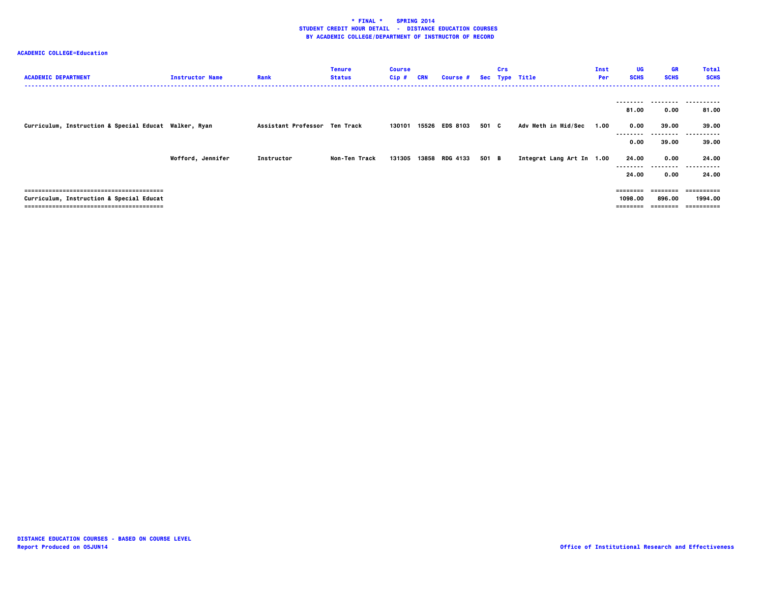| <b>ACADEMIC DEPARTMENT</b>                            | <b>Instructor Name</b> | Rank                          | <b>Tenure</b><br><b>Status</b> | <b>Course</b><br>$Cip$ # | <b>CRN</b> | <b>Course #</b> |       | Crs | Sec Type Title            | Inst<br>Per | UG<br><b>SCHS</b> | GR<br><b>SCHS</b> | <b>Total</b><br><b>SCHS</b> |
|-------------------------------------------------------|------------------------|-------------------------------|--------------------------------|--------------------------|------------|-----------------|-------|-----|---------------------------|-------------|-------------------|-------------------|-----------------------------|
|                                                       |                        |                               |                                |                          |            |                 |       |     |                           |             |                   |                   |                             |
|                                                       |                        |                               |                                |                          |            |                 |       |     |                           |             | 81.00             | 0.00              | 81.00                       |
| Curriculum, Instruction & Special Educat Walker, Ryan |                        | Assistant Professor Ten Track |                                | 130101                   |            | 15526 EDS 8103  | 501 C |     | Adv Meth in Mid/Sec       | 1.00        | 0.00              | 39.00             | 39.00                       |
|                                                       |                        |                               |                                |                          |            |                 |       |     |                           |             | 0.00              | 39.00             | 39.00                       |
|                                                       | Wofford, Jennifer      | Instructor                    | Non-Ten Track                  | 131305                   |            | 13858 RDG 4133  | 501 B |     | Integrat Lang Art In 1.00 |             | 24.00             | 0.00              | 24.00                       |
|                                                       |                        |                               |                                |                          |            |                 |       |     |                           |             | 24.00             | -----<br>0.00     | .<br>24.00                  |
|                                                       |                        |                               |                                |                          |            |                 |       |     |                           |             |                   |                   | ==========                  |
| Curriculum, Instruction & Special Educat              |                        |                               |                                |                          |            |                 |       |     |                           |             | 1098.00           | 896.00            | 1994.00                     |
|                                                       |                        |                               |                                |                          |            |                 |       |     |                           |             | ========          |                   | ==========                  |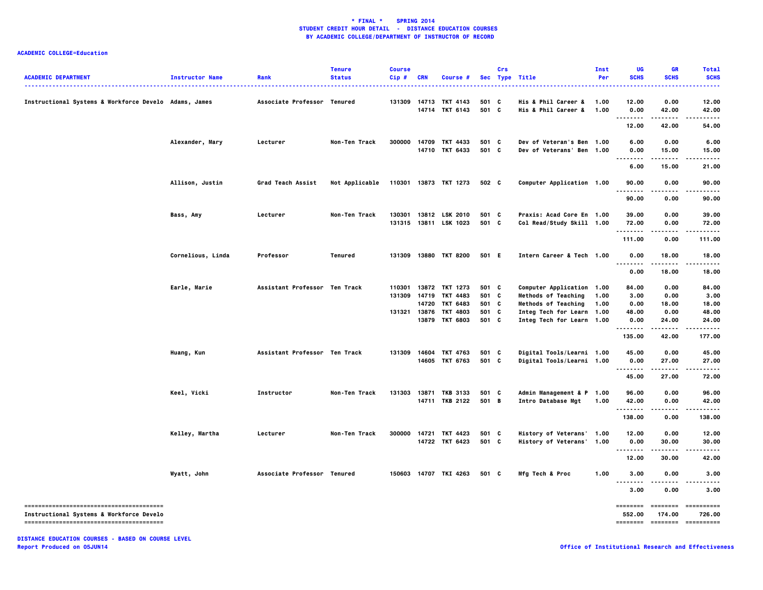### **ACADEMIC COLLEGE=Education**

| <b>ACADEMIC DEPARTMENT</b>                            | <b>Instructor Name</b> | Rank                          | <b>Tenure</b><br><b>Status</b> | <b>Course</b><br>$Cip$ # | CRN   | Course #                                |                | Crs | Sec Type Title                                           | <b>Inst</b><br>Per | UG<br><b>SCHS</b>   | <b>GR</b><br><b>SCHS</b>  | <b>Total</b><br><b>SCHS</b> |
|-------------------------------------------------------|------------------------|-------------------------------|--------------------------------|--------------------------|-------|-----------------------------------------|----------------|-----|----------------------------------------------------------|--------------------|---------------------|---------------------------|-----------------------------|
| Instructional Systems & Workforce Develo Adams, James |                        | Associate Professor Tenured   |                                | 131309                   |       | 14713 TKT 4143<br>14714 TKT 6143        | 501 C<br>501 C |     | His & Phil Career &<br>His & Phil Career &               | 1.00<br>1.00       | 12.00<br>0.00       | 0.00<br>42.00             | 12.00<br>42.00              |
|                                                       |                        |                               |                                |                          |       |                                         |                |     |                                                          |                    | 12.00               | .<br>42.00                | 54.00                       |
|                                                       | Alexander, Mary        | Lecturer                      | Non-Ten Track                  | 300000                   |       | 14709 TKT 4433<br>14710 TKT 6433        | 501 C<br>501 C |     | Dev of Veteran's Ben 1.00<br>Dev of Veterans' Ben        | 1.00               | 6.00<br>0.00        | 0.00<br>15.00             | 6.00                        |
|                                                       |                        |                               |                                |                          |       |                                         |                |     |                                                          |                    | .<br>6.00           | .<br>15.00                | 15.00<br>-----<br>21.00     |
|                                                       | Allison, Justin        | Grad Teach Assist             | Not Applicable                 |                          |       | 110301 13873 TKT 1273                   | 502 C          |     | Computer Application 1.00                                |                    | 90.00               | 0.00                      | 90.00                       |
|                                                       |                        |                               |                                |                          |       |                                         |                |     |                                                          |                    | .<br>90.00          | 0.00                      | 90.00                       |
|                                                       | Bass, Amy              | Lecturer                      | Non-Ten Track                  |                          |       | 130301 13812 LSK 2010                   | 501 C          |     | Praxis: Acad Core En 1.00                                |                    | 39.00               | 0.00                      | 39.00                       |
|                                                       |                        |                               |                                |                          |       | 131315 13811 LSK 1023                   | 501 C          |     | Col Read/Study Skill 1.00                                |                    | 72.00<br>.          | 0.00<br>.<br>0.00         | 72.00<br>.<br>111.00        |
|                                                       | Cornelious, Linda      | Professor                     | Tenured                        | 131309                   |       | 13880 TKT 8200                          | 501 E          |     | Intern Career & Tech 1.00                                |                    | 111.00<br>0.00      | 18.00                     | 18.00                       |
|                                                       |                        |                               |                                |                          |       |                                         |                |     |                                                          |                    | .<br>0.00           | .<br>18.00                | 18.00                       |
|                                                       | Earle, Marie           | Assistant Professor Ten Track |                                | 110301                   |       | 13872 TKT 1273                          | 501 C          |     | Computer Application 1.00                                |                    | 84.00               | 0.00                      | 84.00                       |
|                                                       |                        |                               |                                | 131309                   | 14719 | TKT 4483                                | 501 C          |     | <b>Methods of Teaching</b>                               | 1.00               | 3.00                | 0.00                      | 3.00                        |
|                                                       |                        |                               |                                |                          | 14720 | <b>TKT 6483</b>                         | 501 C          |     | <b>Methods of Teaching</b>                               | 1.00               | 0.00                | 18.00                     | 18.00                       |
|                                                       |                        |                               |                                |                          |       | 131321 13876 TKT 4803<br>13879 TKT 6803 | 501 C<br>501 C |     | Integ Tech for Learn 1.00<br>Integ Tech for Learn 1.00   |                    | 48.00<br>0.00<br>.  | 0.00<br>24.00<br>.        | 48.00<br>24.00<br>.         |
|                                                       |                        |                               |                                |                          |       |                                         |                |     |                                                          |                    | 135.00              | 42.00                     | 177.00                      |
|                                                       | Huang, Kun             | Assistant Professor Ten Track |                                | 131309                   |       | 14604 TKT 4763<br>14605 TKT 6763        | 501 C<br>501 C |     | Digital Tools/Learni 1.00                                |                    | 45.00<br>0.00       | 0.00<br>27.00             | 45.00                       |
|                                                       |                        |                               |                                |                          |       |                                         |                |     | Digital Tools/Learni 1.00                                |                    | --------<br>45.00   | 27.00                     | 27.00<br>72.00              |
|                                                       |                        |                               |                                |                          |       |                                         |                |     |                                                          |                    |                     |                           |                             |
|                                                       | Keel, Vicki            | Instructor                    | Non-Ten Track                  | 131303                   |       | 13871 TKB 3133<br>14711 TKB 2122        | 501 C<br>501 B |     | Admin Management & P 1.00<br>Intro Database Mgt          | 1.00               | 96.00<br>42.00<br>. | 0.00<br>0.00<br>$- - - -$ | 96.00<br>42.00              |
|                                                       |                        |                               |                                |                          |       |                                         |                |     |                                                          |                    | 138.00              | 0.00                      | 138.00                      |
|                                                       | Kelley, Martha         | Lecturer                      | Non-Ten Track                  | 300000                   |       | 14721 TKT 4423<br>14722 TKT 6423        | 501 C<br>501 C |     | History of Veterans' 1.00<br><b>History of Veterans'</b> | 1.00               | 12.00<br>0.00       | 0.00<br>30.00             | 12.00<br>30.00              |
|                                                       |                        |                               |                                |                          |       |                                         |                |     |                                                          |                    | <br>12.00           | <br>30,00                 | .<br>42.00                  |
|                                                       | Wyatt, John            | Associate Professor Tenured   |                                | 150603                   |       | 14707 TKI 4263                          | 501 C          |     | Mfg Tech & Proc                                          | 1.00               | 3.00                | 0.00                      | 3.00                        |
|                                                       |                        |                               |                                |                          |       |                                         |                |     |                                                          |                    | 3.00                | 0.00                      | 3.00                        |
|                                                       |                        |                               |                                |                          |       |                                         |                |     |                                                          |                    | ========            | <b>EDESSERS</b>           | ==========                  |
| Instructional Systems & Workforce Develo              |                        |                               |                                |                          |       |                                         |                |     |                                                          |                    | 552.00<br>========  | 174.00<br>========        | 726.00<br>- ==========      |
|                                                       |                        |                               |                                |                          |       |                                         |                |     |                                                          |                    |                     |                           |                             |

**DISTANCE EDUCATION COURSES - BASED ON COURSE LEVEL Report Produced on 05JUN14 Office of Institutional Research and Effectiveness**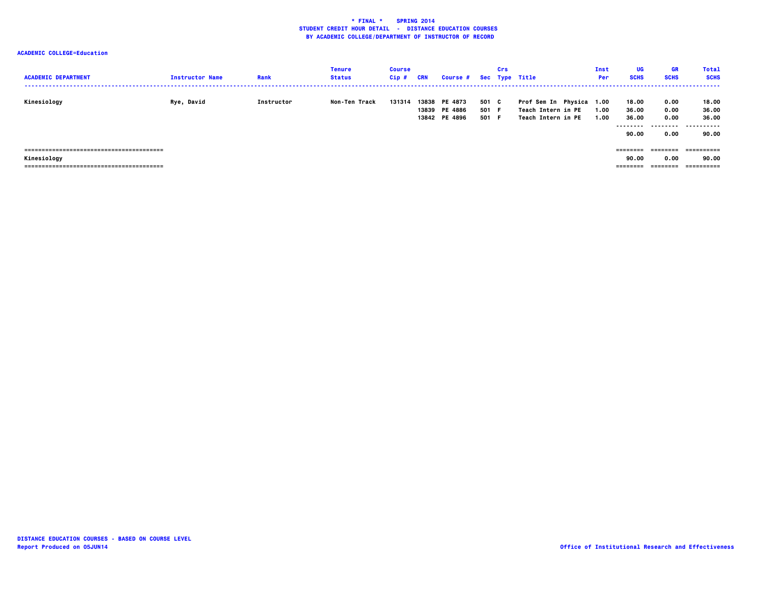| <b>ACADEMIC DEPARTMENT</b> | <b>Instructor Name</b> | Rank       | <b>Tenure</b><br><b>Status</b> | <b>Course</b><br>Cip# | <b>CRN</b> | <b>Course #</b>                                 |                         | Crs | Sec Type Title                                                       | Inst<br>Per  | UG<br><b>SCHS</b>       | <b>GR</b><br><b>SCHS</b> | <b>Total</b><br><b>SCHS</b> |
|----------------------------|------------------------|------------|--------------------------------|-----------------------|------------|-------------------------------------------------|-------------------------|-----|----------------------------------------------------------------------|--------------|-------------------------|--------------------------|-----------------------------|
| Kinesiology                | Rye, David             | Instructor | Non-Ten Track                  | 131314                |            | 13838 PE 4873<br>13839 PE 4886<br>13842 PE 4896 | 501 C<br>501 F<br>501 F |     | Prof Sem In Physica 1.00<br>Teach Intern in PE<br>Teach Intern in PE | 1.00<br>1.00 | 18.00<br>36.00<br>36.00 | 0.00<br>0.00<br>0.00     | 18.00<br>36.00<br>36.00     |
|                            |                        |            |                                |                       |            |                                                 |                         |     |                                                                      |              | --------<br>90.00       | .<br>0.00                | .<br>---<br>90.00           |
|                            |                        |            |                                |                       |            |                                                 |                         |     |                                                                      |              | ---------               | ========                 |                             |
| Kinesiology                |                        |            |                                |                       |            |                                                 |                         |     |                                                                      |              | 90.00                   | 0.00                     | 90.00                       |
|                            |                        |            |                                |                       |            |                                                 |                         |     |                                                                      |              | ========                | ========                 | ==========                  |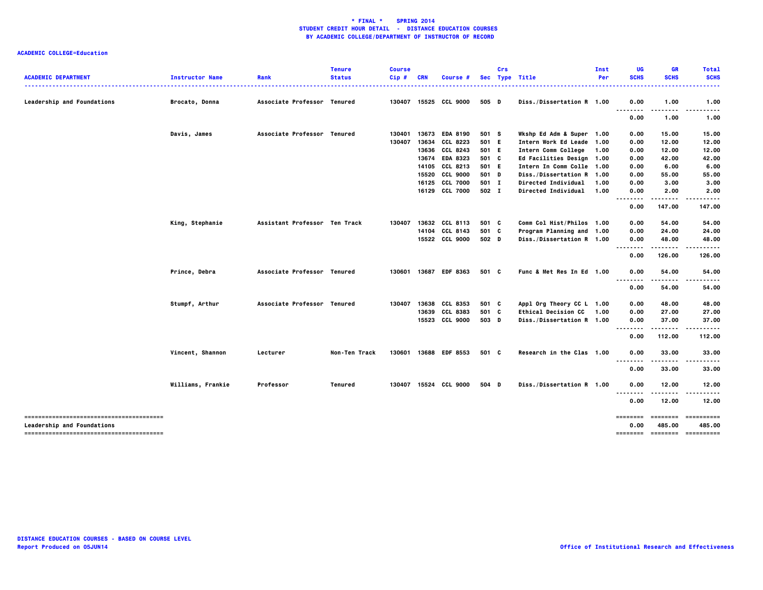| <b>ACADEMIC DEPARTMENT</b>        | <b>Instructor Name</b> | Rank                          | <b>Tenure</b><br><b>Status</b> | <b>Course</b><br>Cip# | <b>CRN</b>     | Course #                    |                | Crs | Sec Type Title                              | Inst<br>Per  | UG<br><b>SCHS</b>    | GR<br><b>SCHS</b> | <b>Total</b><br><b>SCHS</b>           |
|-----------------------------------|------------------------|-------------------------------|--------------------------------|-----------------------|----------------|-----------------------------|----------------|-----|---------------------------------------------|--------------|----------------------|-------------------|---------------------------------------|
| <b>Leadership and Foundations</b> | Brocato, Donna         | Associate Professor Tenured   |                                | 130407                |                | 15525 CCL 9000              | 505 D          |     | Diss./Dissertation R 1.00                   |              | 0.00                 | 1.00              | 1.00                                  |
|                                   |                        |                               |                                |                       |                |                             |                |     |                                             |              | <u>.</u><br>0.00     | 1.00              | 1.00                                  |
|                                   | Davis, James           | Associate Professor Tenured   |                                | 130401                |                | 13673 EDA 8190              | 501 S          |     | Wkshp Ed Adm & Super 1.00                   |              | 0.00                 | 15.00             | 15.00                                 |
|                                   |                        |                               |                                | 130407                | 13634          | CCL 8223                    | 501 E          |     | Intern Work Ed Leade 1.00                   |              | 0.00                 | 12.00             | 12.00                                 |
|                                   |                        |                               |                                |                       | 13636<br>13674 | CCL 8243<br><b>EDA 8323</b> | 501 E<br>501 C |     | Intern Comm College<br>Ed Facilities Design | 1.00<br>1.00 | 0.00<br>0.00         | 12.00<br>42.00    | 12.00<br>42.00                        |
|                                   |                        |                               |                                |                       |                | 14105 CCL 8213              | 501 E          |     | Intern In Comm Colle 1.00                   |              | 0.00                 | 6.00              | 6.00                                  |
|                                   |                        |                               |                                |                       |                | 15520 CCL 9000              | 501 D          |     | Diss./Dissertation R 1.00                   |              | 0.00                 | 55.00             | 55.00                                 |
|                                   |                        |                               |                                |                       | 16125          | <b>CCL 7000</b>             | 501 I          |     | Directed Individual                         | 1.00         | 0.00                 | 3.00              | 3.00                                  |
|                                   |                        |                               |                                |                       |                | 16129 CCL 7000              | 502 I          |     | <b>Directed Individual</b>                  | 1.00         | 0.00                 | 2.00              | 2.00                                  |
|                                   |                        |                               |                                |                       |                |                             |                |     |                                             |              | .                    |                   |                                       |
|                                   |                        |                               |                                |                       |                |                             |                |     |                                             |              | 0.00                 | 147.00            | 147.00                                |
|                                   | King, Stephanie        | Assistant Professor Ten Track |                                | 130407                |                | 13632 CCL 8113              | 501 C          |     | Comm Col Hist/Philos 1.00                   |              | 0.00                 | 54.00             | 54.00                                 |
|                                   |                        |                               |                                |                       | 14104          | CCL 8143                    | 501 C          |     | Program Planning and 1.00                   |              | 0.00                 | 24.00             | 24.00                                 |
|                                   |                        |                               |                                |                       |                | 15522 CCL 9000              | 502 D          |     | Diss./Dissertation R 1.00                   |              | 0.00<br>--------     | 48.00<br>.        | 48.00<br>------                       |
|                                   |                        |                               |                                |                       |                |                             |                |     |                                             |              | 0.00                 | 126.00            | 126.00                                |
|                                   | Prince, Debra          | Associate Professor Tenured   |                                | 130601                |                | 13687 EDF 8363              | 501 C          |     | Func & Met Res In Ed 1.00                   |              | 0.00                 | 54.00             | 54.00                                 |
|                                   |                        |                               |                                |                       |                |                             |                |     |                                             |              | ----<br>----<br>0.00 | -----<br>54.00    | 54.00                                 |
|                                   | Stumpf, Arthur         | Associate Professor Tenured   |                                | 130407                | 13638          | <b>CCL 8353</b>             | 501 C          |     | Appl Org Theory CC L 1.00                   |              | 0.00                 | 48.00             | 48.00                                 |
|                                   |                        |                               |                                |                       | 13639          | CCL 8383                    | 501 C          |     | <b>Ethical Decision CC</b>                  | 1.00         | 0.00                 | 27.00             | 27.00                                 |
|                                   |                        |                               |                                |                       |                | 15523 CCL 9000              | 503 D          |     | Diss./Dissertation R 1.00                   |              | 0.00<br>.            | 37.00             | 37.00                                 |
|                                   |                        |                               |                                |                       |                |                             |                |     |                                             |              | 0.00                 | 112.00            | 112.00                                |
|                                   | Vincent, Shannon       | Lecturer                      | Non-Ten Track                  | 130601                |                | 13688 EDF 8553              | 501 C          |     | Research in the Clas 1.00                   |              | 0.00<br>--------     | 33.00<br>.        | 33.00<br>.                            |
|                                   |                        |                               |                                |                       |                |                             |                |     |                                             |              | 0.00                 | 33.00             | 33.00                                 |
|                                   | Williams, Frankie      | Professor                     | Tenured                        | 130407                |                | 15524 CCL 9000              | 504 D          |     | Diss./Dissertation R 1.00                   |              | 0.00                 | 12.00             | 12.00                                 |
|                                   |                        |                               |                                |                       |                |                             |                |     |                                             |              | .<br>0.00            | 12.00             | 12.00                                 |
|                                   |                        |                               |                                |                       |                |                             |                |     |                                             |              | ========             | ========          | ==========                            |
| <b>Leadership and Foundations</b> |                        |                               |                                |                       |                |                             |                |     |                                             |              | 0.00                 | 485.00            | 485.00<br>======== ======== ========= |
|                                   |                        |                               |                                |                       |                |                             |                |     |                                             |              |                      |                   |                                       |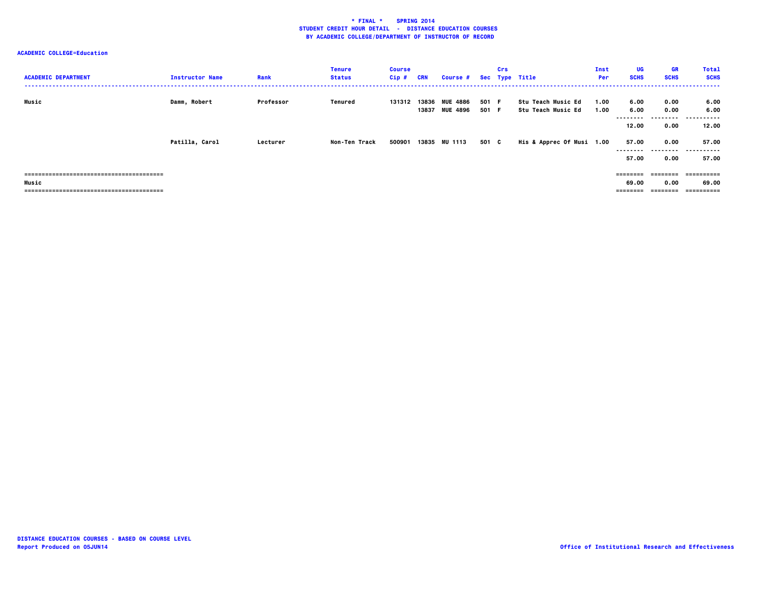| <b>ACADEMIC DEPARTMENT</b>              | <b>Instructor Name</b> | Rank      | <b>Tenure</b><br><b>Status</b> | <b>Course</b><br>$Cip$ # | <b>CRN</b> | <b>Course #</b>                  |                | Crs | Sec Type Title                           | Inst<br>Per  | UG<br><b>SCHS</b>          | GR<br><b>SCHS</b>         | <b>Total</b><br><b>SCHS</b> |
|-----------------------------------------|------------------------|-----------|--------------------------------|--------------------------|------------|----------------------------------|----------------|-----|------------------------------------------|--------------|----------------------------|---------------------------|-----------------------------|
| Music                                   | Damm, Robert           | Professor | Tenured                        | 131312                   |            | 13836 MUE 4886<br>13837 MUE 4896 | 501 F<br>501 F |     | Stu Teach Music Ed<br>Stu Teach Music Ed | 1.00<br>1.00 | 6.00<br>6.00<br>--------   | 0.00<br>0.00<br>.         | 6.00<br>6.00<br>.           |
|                                         |                        |           |                                |                          |            |                                  |                |     |                                          |              | 12.00                      | 0.00                      | 12.00                       |
|                                         | Patilla, Carol         | Lecturer  | Non-Ten Track                  | 500901                   |            | 13835 MU 1113                    | 501 C          |     | His & Apprec Of Musi 1.00                |              | 57.00<br>--------<br>57.00 | 0.00<br>---------<br>0.00 | 57.00<br>.<br>---<br>57.00  |
|                                         |                        |           |                                |                          |            |                                  |                |     |                                          |              | ========                   | ========                  | -==========                 |
| Music<br>------------------------------ |                        |           |                                |                          |            |                                  |                |     |                                          |              | 69.00<br>========          | 0.00<br>---------         | 69.00<br>==========         |
|                                         |                        |           |                                |                          |            |                                  |                |     |                                          |              |                            |                           |                             |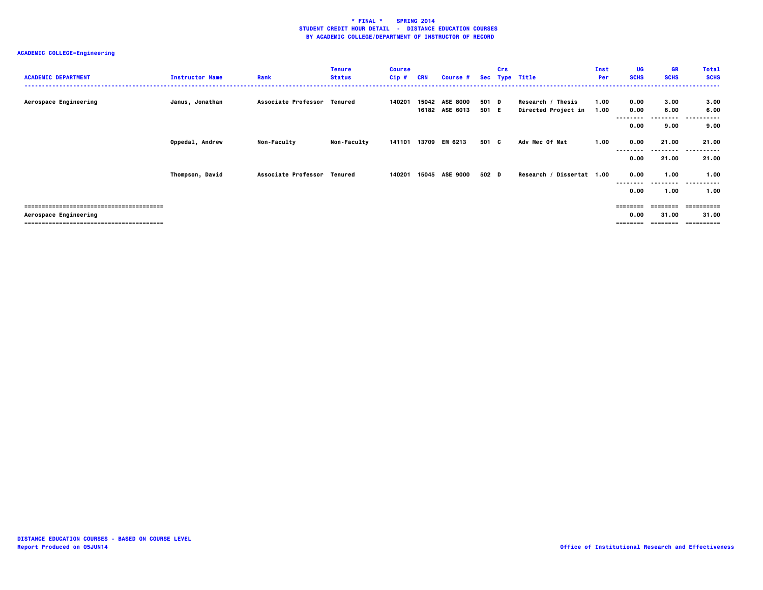| <b>ACADEMIC DEPARTMENT</b> | <b>Instructor Name</b> | Rank                        | <b>Tenure</b><br><b>Status</b> | <b>Course</b><br>Cip# | <b>CRN</b> | Course #                          |                | Crs | Sec Type Title                           | Inst<br>Per  | <b>UG</b><br><b>SCHS</b>  | <b>GR</b><br><b>SCHS</b>  | <b>Total</b><br><b>SCHS</b> |
|----------------------------|------------------------|-----------------------------|--------------------------------|-----------------------|------------|-----------------------------------|----------------|-----|------------------------------------------|--------------|---------------------------|---------------------------|-----------------------------|
| Aerospace Engineering      | Janus, Jonathan        | Associate Professor Tenured |                                | 140201                | 15042      | <b>ASE 8000</b><br>16182 ASE 6013 | 501 D<br>501 E |     | Research / Thesis<br>Directed Project in | 1.00<br>1.00 | 0.00<br>0.00<br>.         | 3.00<br>6.00<br>--------- | 3.00<br>6.00<br>.<br>.      |
|                            |                        |                             |                                |                       |            |                                   |                |     |                                          |              | 0.00                      | 9.00                      | 9.00                        |
|                            | Oppedal, Andrew        | <b>Non-Faculty</b>          | <b>Non-Faculty</b>             | 141101                | 13709      | EM 6213                           | 501 C          |     | Adv Mec Of Mat                           | 1.00         | 0.00<br>--------          | 21.00<br>---------        | 21.00<br>------<br>---      |
|                            |                        |                             |                                |                       |            |                                   |                |     |                                          |              | 0.00                      | 21.00                     | 21.00                       |
|                            | Thompson, David        | Associate Professor Tenured |                                | 140201                |            | 15045 ASE 9000                    | 502 D          |     | Research / Dissertat 1.00                |              | 0.00                      | 1.00<br>--------          | 1.00<br>----------          |
|                            |                        |                             |                                |                       |            |                                   |                |     |                                          |              | 0.00                      | 1.00                      | 1.00                        |
| Aerospace Engineering      |                        |                             |                                |                       |            |                                   |                |     |                                          |              | $=$ = = = = = = =<br>0.00 | <b>EEEEEEEE</b><br>31.00  | eessesses<br>31.00          |
|                            |                        |                             |                                |                       |            |                                   |                |     |                                          |              | ========                  | ---------                 | ==========                  |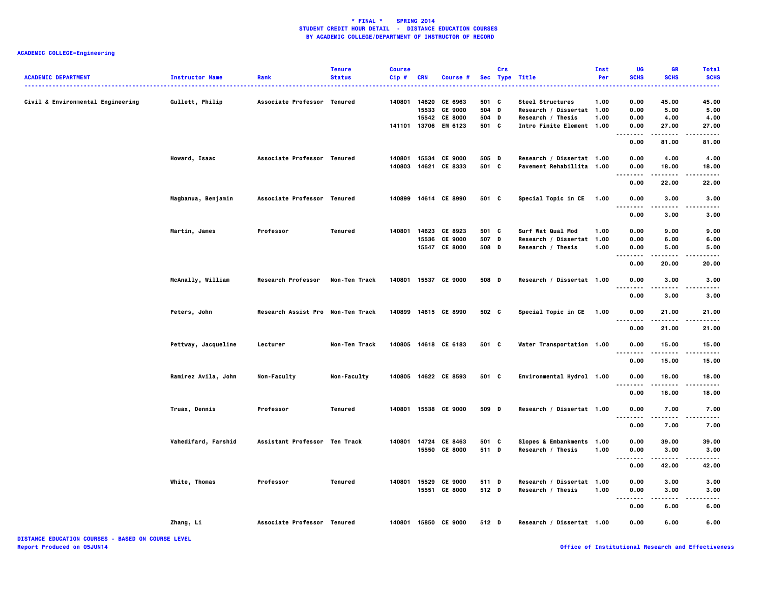| <b>ACADEMIC DEPARTMENT</b>        | <b>Instructor Name</b><br>. | Rank                              | <b>Tenure</b><br><b>Status</b> | <b>Course</b><br>Cip# | <b>CRN</b> | Course #                                         |                         | Crs | Sec Type Title                                                     | Inst<br>Per  | UG<br><b>SCHS</b>    | <b>GR</b><br><b>SCHS</b> | <b>Total</b><br><b>SCHS</b> |
|-----------------------------------|-----------------------------|-----------------------------------|--------------------------------|-----------------------|------------|--------------------------------------------------|-------------------------|-----|--------------------------------------------------------------------|--------------|----------------------|--------------------------|-----------------------------|
| Civil & Environmental Engineering | Gullett, Philip             | Associate Professor Tenured       |                                | 140801                | 15533      | 14620 CE 6963<br><b>CE 9000</b><br>15542 CE 8000 | 501 C<br>504 D<br>504 D |     | Steel Structures<br>Research / Dissertat 1.00<br>Research / Thesis | 1.00<br>1.00 | 0.00<br>0.00<br>0.00 | 45.00<br>5.00<br>4.00    | 45.00<br>5.00<br>4.00       |
|                                   |                             |                                   |                                |                       |            | 141101 13706 EM 6123                             | 501 C                   |     | Intro Finite Element 1.00                                          |              | 0.00<br>.<br>0.00    | 27.00<br>.<br>81.00      | 27.00<br>.<br>81.00         |
|                                   | Howard, Isaac               | Associate Professor Tenured       |                                | 140801<br>140803      |            | 15534 CE 9000<br>14621 CE 8333                   | 505 D<br>501 C          |     | Research / Dissertat 1.00<br>Pavement Rehabillita 1.00             |              | 0.00<br>0.00         | 4.00<br>18.00            | 4.00<br>18.00               |
|                                   |                             |                                   |                                |                       |            |                                                  |                         |     |                                                                    |              | .<br>0.00            | 22.00                    | 22.00                       |
|                                   | Magbanua, Benjamin          | Associate Professor Tenured       |                                | 140899                |            | 14614 CE 8990                                    | 501 C                   |     | Special Topic in CE 1.00                                           |              | 0.00                 | 3.00                     | 3.00                        |
|                                   |                             |                                   |                                |                       |            |                                                  |                         |     |                                                                    |              | 0.00                 | 3.00                     | 3.00                        |
|                                   | Martin, James               | Professor                         | <b>Tenured</b>                 | 140801                |            | 14623 CE 8923                                    | 501 C                   |     | Surf Wat Qual Mod                                                  | 1.00         | 0.00                 | 9.00                     | 9.00                        |
|                                   |                             |                                   |                                |                       |            | 15536 CE 9000<br>15547 CE 8000                   | 507 D<br>508 D          |     | Research / Dissertat 1.00<br>Research / Thesis                     | 1.00         | 0.00<br>0.00         | 6.00<br>5.00             | 6.00<br>5.00                |
|                                   |                             |                                   |                                |                       |            |                                                  |                         |     |                                                                    |              | 0.00                 | 20.00                    | 20.00                       |
|                                   | McAnally, William           | <b>Research Professor</b>         | Non-Ten Track                  |                       |            | 140801 15537 CE 9000                             | 508 D                   |     | Research / Dissertat 1.00                                          |              | 0.00                 | 3.00                     | 3.00                        |
|                                   |                             |                                   |                                |                       |            |                                                  |                         |     |                                                                    |              | 0.00                 | 3.00                     | 3.00                        |
|                                   | Peters, John                | Research Assist Pro Non-Ten Track |                                |                       |            | 140899 14615 CE 8990                             | 502 C                   |     | Special Topic in CE 1.00                                           |              | 0.00                 | 21.00                    | 21.00                       |
|                                   |                             |                                   |                                |                       |            |                                                  |                         |     |                                                                    |              | 0.00                 | 21.00                    | 21.00                       |
|                                   | Pettway, Jacqueline         | Lecturer                          | Non-Ten Track                  |                       |            | 140805 14618 CE 6183                             | 501 C                   |     | Water Transportation 1.00                                          |              | 0.00                 | 15.00                    | 15.00                       |
|                                   |                             |                                   |                                |                       |            |                                                  |                         |     |                                                                    |              | 0.00                 | 15.00                    | 15.00                       |
|                                   | Ramirez Avila, John         | Non-Faculty                       | Non-Faculty                    |                       |            | 140805 14622 CE 8593                             | 501 C                   |     | Environmental Hydrol 1.00                                          |              | 0.00                 | 18.00<br>-----           | 18.00                       |
|                                   |                             |                                   |                                |                       |            |                                                  |                         |     |                                                                    |              | 0.00                 | 18.00                    | 18.00                       |
|                                   | Truax, Dennis               | Professor                         | Tenured                        |                       |            | 140801 15538 CE 9000                             | 509 D                   |     | Research / Dissertat 1.00                                          |              | 0.00<br>.            | 7.00                     | 7.00                        |
|                                   |                             |                                   |                                |                       |            |                                                  |                         |     |                                                                    |              | 0.00                 | 7.00                     | 7.00                        |
|                                   | Vahedifard, Farshid         | Assistant Professor Ten Track     |                                | 140801                |            | 14724 CE 8463<br>15550 CE 8000                   | 501 C<br>511 D          |     | Slopes & Embankments 1.00<br>Research / Thesis                     | 1.00         | 0.00<br>0.00         | 39.00<br>3.00            | 39.00<br>3.00               |
|                                   |                             |                                   |                                |                       |            |                                                  |                         |     |                                                                    |              | 0.00                 | 42.00                    | 42.00                       |
|                                   | White, Thomas               | Professor                         | <b>Tenured</b>                 | 140801                |            | 15529 CE 9000<br>15551 CE 8000                   | 511 D<br>512 D          |     | Research / Dissertat 1.00<br>Research / Thesis                     | 1.00         | 0.00<br>0.00         | 3.00<br>3.00             | 3.00<br>3.00                |
|                                   |                             |                                   |                                |                       |            |                                                  |                         |     |                                                                    |              | 0.00                 | $- - - -$<br>6.00        | 6.00                        |
|                                   | Zhang, Li                   | Associate Professor Tenured       |                                |                       |            | 140801 15850 CE 9000                             | 512 D                   |     | Research / Dissertat 1.00                                          |              | 0.00                 | 6.00                     | 6.00                        |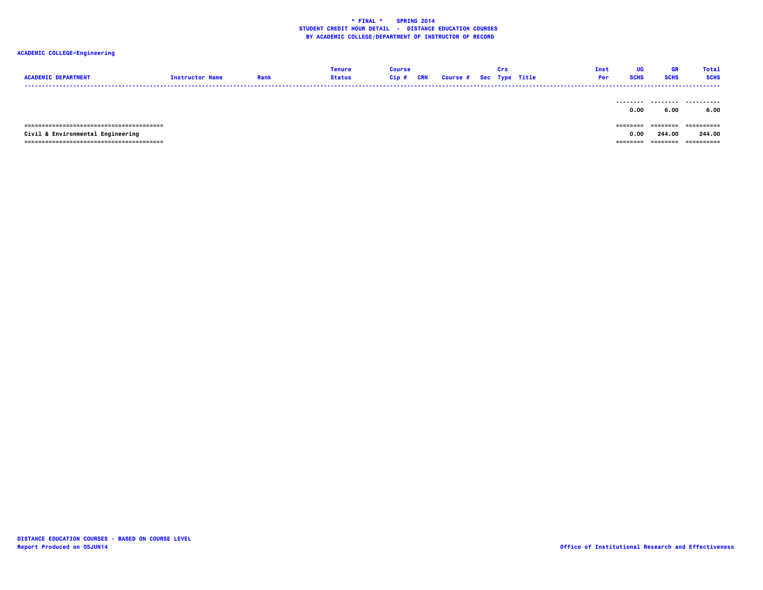|                            |                        |      | <b>Tenure</b> | Course |                                   | Crs | Inst | - HG        |             | <b>Total</b> |
|----------------------------|------------------------|------|---------------|--------|-----------------------------------|-----|------|-------------|-------------|--------------|
| <b>ACADEMIC DEPARTMENT</b> | <b>Tnetructor Name</b> | Rank | <b>Status</b> |        | Cip # CRN Course # Sec Type Title |     |      | <b>SCHS</b> | <b>SCHS</b> | <b>SCHS</b>  |
| -----                      |                        |      |               |        |                                   |     |      |             |             |              |

|                                   | 0.00 | 6.00     | 6.00        |
|-----------------------------------|------|----------|-------------|
|                                   |      |          |             |
|                                   |      |          | ----------- |
| Civil & Environmental Engineering | 0.00 | 244.00   | 244.00      |
|                                   |      | ======== | ----------- |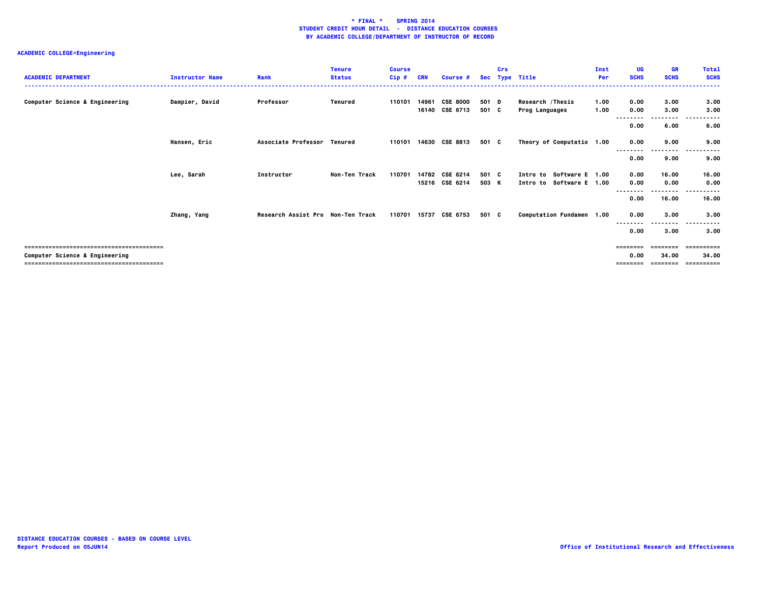| <b>ACADEMIC DEPARTMENT</b>     | <b>Instructor Name</b> | Rank                              | <b>Tenure</b><br><b>Status</b> | <b>Course</b><br>$Cip$ # | <b>CRN</b> | Course #                          |                | <b>Crs</b> | Sec Type Title                                       | Inst<br>Per  | UG<br><b>SCHS</b>                     | <b>GR</b><br><b>SCHS</b> | <b>Total</b><br><b>SCHS</b>        |
|--------------------------------|------------------------|-----------------------------------|--------------------------------|--------------------------|------------|-----------------------------------|----------------|------------|------------------------------------------------------|--------------|---------------------------------------|--------------------------|------------------------------------|
| Computer Science & Engineering | Dampier, David         | Professor                         | Tenured                        | 110101                   | 14961      | <b>CSE 8000</b><br>16140 CSE 6713 | 501 D<br>501 C |            | Research / Thesis<br><b>Prog Languages</b>           | 1.00<br>1.00 | 0.00<br>0.00                          | 3.00<br>3.00<br>.        | 3.00<br>3.00                       |
|                                |                        |                                   |                                |                          |            |                                   |                |            |                                                      |              | 0.00                                  | 6.00                     | 6.00                               |
|                                | Hansen, Eric           | Associate Professor Tenured       |                                | 110101                   |            | 14630 CSE 8813                    | 501 C          |            | Theory of Computatio 1.00                            |              | 0.00<br>--------                      | 9.00<br>.                | 9.00                               |
|                                |                        |                                   |                                |                          |            |                                   |                |            |                                                      |              | 0.00                                  | 9.00                     | 9.00                               |
|                                | Lee, Sarah             | Instructor                        | Non-Ten Track                  | 110701                   |            | 14782 CSE 6214<br>15216 CSE 6214  | 501 C<br>503 K |            | Intro to Software E 1.00<br>Intro to Software E 1.00 |              | 0.00<br>0.00                          | 16.00<br>0.00            | 16.00<br>0.00                      |
|                                |                        |                                   |                                |                          |            |                                   |                |            |                                                      |              | 0.00                                  | --------<br>16.00        | $\sim$ $\sim$ $\sim$<br>.<br>16.00 |
|                                | Zhang, Yang            | Research Assist Pro Non-Ten Track |                                | 110701                   | 15737      | CSE 6753                          | 501 C          |            | Computation Fundamen 1.00                            |              | 0.00                                  | 3.00<br>----             | 3.00                               |
|                                |                        |                                   |                                |                          |            |                                   |                |            |                                                      |              | 0.00                                  | 3.00                     | 3.00                               |
| Computer Science & Engineering |                        |                                   |                                |                          |            |                                   |                |            |                                                      |              | $=$ = = = = = = =<br>0.00<br>======== | 34.00<br>========        | -----------<br>34.00<br>========== |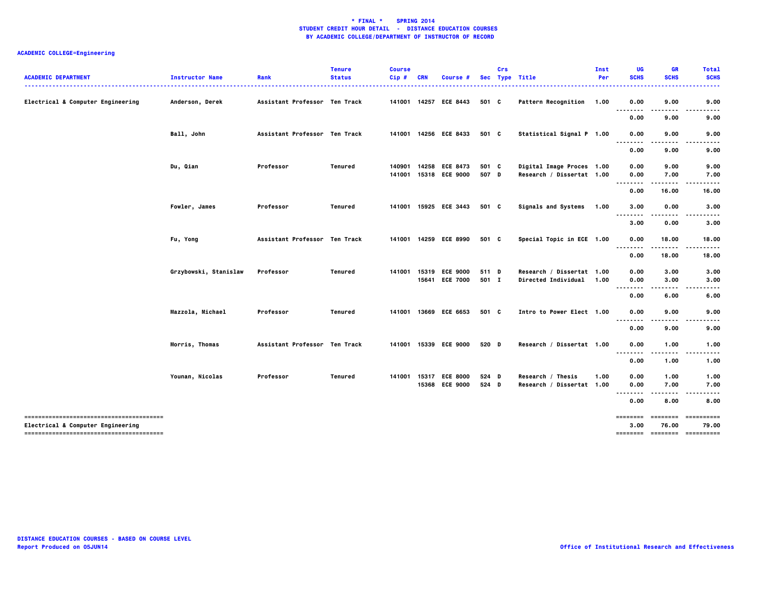| <b>ACADEMIC DEPARTMENT</b>        | <b>Instructor Name</b> | Rank                          | <b>Tenure</b><br><b>Status</b> | <b>Course</b><br>Cip# | <b>Course</b>                           |                | Crs | Sec Type Title                                         | Inst<br>Per | UG<br><b>SCHS</b> | <b>GR</b><br><b>SCHS</b> | <b>Total</b><br><b>SCHS</b>             |
|-----------------------------------|------------------------|-------------------------------|--------------------------------|-----------------------|-----------------------------------------|----------------|-----|--------------------------------------------------------|-------------|-------------------|--------------------------|-----------------------------------------|
|                                   |                        |                               |                                |                       |                                         |                |     |                                                        |             |                   |                          |                                         |
| Electrical & Computer Engineering | Anderson, Derek        | Assistant Professor Ten Track |                                |                       | 141001 14257 ECE 8443                   | 501 C          |     | Pattern Recognition 1.00                               |             | 0.00              | 9.00                     | 9.00                                    |
|                                   |                        |                               |                                |                       |                                         |                |     |                                                        |             | .<br>0.00         | 9.00                     | 9.00                                    |
|                                   | Ball, John             | Assistant Professor Ten Track |                                |                       | 141001 14256 ECE 8433                   | 501 C          |     | Statistical Signal P 1.00                              |             | 0.00<br>.         | 9.00                     | 9.00                                    |
|                                   |                        |                               |                                |                       |                                         |                |     |                                                        |             | 0.00              | 9.00                     | 9.00                                    |
|                                   | Du, Qian               | Professor                     | Tenured                        | 140901                | 14258 ECE 8473<br>141001 15318 ECE 9000 | 501 C<br>507 D |     | Digital Image Proces 1.00<br>Research / Dissertat 1.00 |             | 0.00<br>0.00      | 9.00<br>7.00             | 9.00<br>7.00                            |
|                                   |                        |                               |                                |                       |                                         |                |     |                                                        |             | .                 |                          |                                         |
|                                   |                        |                               |                                |                       |                                         |                |     |                                                        |             | 0.00              | 16.00                    | 16.00                                   |
|                                   | Fowler, James          | Professor                     | Tenured                        |                       | 141001 15925 ECE 3443                   | 501 C          |     | Signals and Systems 1.00                               |             | 3.00<br>.         | 0.00                     | 3.00                                    |
|                                   |                        |                               |                                |                       |                                         |                |     |                                                        |             | 3.00              | 0.00                     | 3.00                                    |
|                                   | Fu, Yong               | Assistant Professor Ten Track |                                | 141001                | 14259 ECE 8990                          | 501 C          |     | Special Topic in ECE 1.00                              |             | 0.00<br>--------  | 18.00<br>                | 18.00                                   |
|                                   |                        |                               |                                |                       |                                         |                |     |                                                        |             | 0.00              | 18.00                    | 18.00                                   |
|                                   | Grzybowski, Stanislaw  | Professor                     | Tenured                        | 141001                | 15319 ECE 9000<br>15641 ECE 7000        | 511 D<br>501 I |     | Research / Dissertat 1.00<br>Directed Individual 1.00  |             | 0.00<br>0.00      | 3.00<br>3.00             | 3.00<br>3.00                            |
|                                   |                        |                               |                                |                       |                                         |                |     |                                                        |             | .                 |                          |                                         |
|                                   |                        |                               |                                |                       |                                         |                |     |                                                        |             | 0.00              | 6.00                     | 6.00                                    |
|                                   | Mazzola, Michael       | Professor                     | Tenured                        |                       | 141001 13669 ECE 6653                   | 501 C          |     | Intro to Power Elect 1.00                              |             | 0.00<br>--------  | 9.00                     | 9.00                                    |
|                                   |                        |                               |                                |                       |                                         |                |     |                                                        |             | 0.00              | 9.00                     | 9.00                                    |
|                                   | Morris, Thomas         | Assistant Professor Ten Track |                                |                       | 141001 15339 ECE 9000                   | 520 D          |     | Research / Dissertat 1.00                              |             | 0.00<br>          | 1.00                     | 1.00                                    |
|                                   |                        |                               |                                |                       |                                         |                |     |                                                        |             | 0.00              | 1.00                     | 1.00                                    |
|                                   | Younan, Nicolas        | Professor                     | Tenured                        | 141001                | 15317 ECE 8000                          | 524 D          |     | Research / Thesis                                      | 1.00        | 0.00              | 1.00                     | 1.00                                    |
|                                   |                        |                               |                                |                       | 15368 ECE 9000                          | 524 D          |     | Research / Dissertat 1.00                              |             | 0.00<br>.         | 7.00                     | 7.00                                    |
|                                   |                        |                               |                                |                       |                                         |                |     |                                                        |             | 0.00              | 8.00                     | 8.00                                    |
|                                   |                        |                               |                                |                       |                                         |                |     |                                                        |             | ========          | ========                 | -----------                             |
| Electrical & Computer Engineering |                        |                               |                                |                       |                                         |                |     |                                                        |             | 3.00              | 76.00                    | 79.00<br>========= ========= ========== |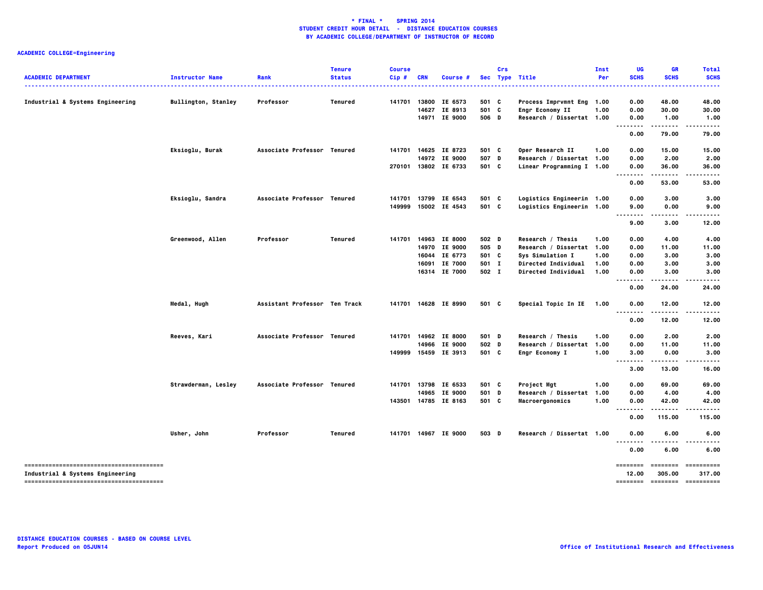| <b>ACADEMIC DEPARTMENT</b>       | <b>Instructor Name</b>     | Rank                          | <b>Tenure</b><br><b>Status</b> | <b>Course</b><br>Cip# | <b>CRN</b> | <b>Course #</b> |       | Crs | Sec Type Title             | Inst<br>Per | UG<br><b>SCHS</b>             | <b>GR</b><br><b>SCHS</b>       | <b>Total</b><br><b>SCHS</b>        |
|----------------------------------|----------------------------|-------------------------------|--------------------------------|-----------------------|------------|-----------------|-------|-----|----------------------------|-------------|-------------------------------|--------------------------------|------------------------------------|
| Industrial & Systems Engineering | <b>Bullington, Stanley</b> | Professor                     | Tenured                        | 141701                |            | 13800 IE 6573   | 501 C |     | Process Imprvmnt Eng 1.00  |             | 0.00                          | 48.00                          | 48.00                              |
|                                  |                            |                               |                                |                       |            | 14627 IE 8913   | 501 C |     | Engr Economy II            | 1.00        | 0.00                          | 30.00                          | 30.00                              |
|                                  |                            |                               |                                |                       |            | 14971 IE 9000   | 506 D |     | Research / Dissertat 1.00  |             | 0.00                          | 1.00                           | 1.00                               |
|                                  |                            |                               |                                |                       |            |                 |       |     |                            |             | $- - - - -$<br>0.00           | .<br>79.00                     | .<br>79.00                         |
|                                  | Eksioglu, Burak            | Associate Professor Tenured   |                                | 141701                |            | 14625 IE 8723   | 501 C |     | Oper Research II           | 1.00        | 0.00                          | 15.00                          | 15.00                              |
|                                  |                            |                               |                                |                       |            | 14972 IE 9000   | 507 D |     | Research / Dissertat 1.00  |             | 0.00                          | 2.00                           | 2.00                               |
|                                  |                            |                               |                                | 270101                |            | 13802 IE 6733   | 501 C |     | Linear Programming I 1.00  |             | 0.00<br>-----                 | 36.00<br>.                     | 36.00                              |
|                                  |                            |                               |                                |                       |            |                 |       |     |                            |             | 0.00                          | 53.00                          | 53.00                              |
|                                  | Eksioglu, Sandra           | Associate Professor Tenured   |                                | 141701                |            | 13799 IE 6543   | 501 C |     | Logistics Engineerin 1.00  |             | 0.00                          | 3.00                           | 3.00                               |
|                                  |                            |                               |                                | 149999                |            | 15002 IE 4543   | 501 C |     | Logistics Engineerin 1.00  |             | 9.00<br>.                     | 0.00<br>.                      | 9.00<br>.                          |
|                                  |                            |                               |                                |                       |            |                 |       |     |                            |             | 9.00                          | 3.00                           | 12.00                              |
|                                  | Greenwood, Allen           | Professor                     | Tenured                        | 141701                |            | 14963 IE 8000   | 502 D |     | Research / Thesis          | 1.00        | 0.00                          | 4.00                           | 4.00                               |
|                                  |                            |                               |                                |                       |            | 14970 IE 9000   | 505 D |     | Research / Dissertat 1.00  |             | 0.00                          | 11.00                          | 11.00                              |
|                                  |                            |                               |                                |                       |            | 16044 IE 6773   | 501 C |     | Sys Simulation I           | 1.00        | 0.00                          | 3.00                           | 3.00                               |
|                                  |                            |                               |                                |                       |            | 16091 IE 7000   | 501 I |     | <b>Directed Individual</b> | 1.00        | 0.00                          | 3.00                           | 3.00                               |
|                                  |                            |                               |                                |                       |            | 16314 IE 7000   | 502 I |     | Directed Individual        | 1.00        | 0.00                          | 3.00                           | 3.00                               |
|                                  |                            |                               |                                |                       |            |                 |       |     |                            |             | 0.00                          | 24.00                          | 24.00                              |
|                                  | Medal, Hugh                | Assistant Professor Ten Track |                                | 141701                |            | 14628 IE 8990   | 501 C |     | Special Topic In IE 1.00   |             | 0.00                          | 12.00                          | 12.00                              |
|                                  |                            |                               |                                |                       |            |                 |       |     |                            |             | .<br>0.00                     | .<br>12.00                     | .<br>12.00                         |
|                                  | Reeves, Kari               | Associate Professor Tenured   |                                | 141701                |            | 14962 IE 8000   | 501 D |     | Research / Thesis          | 1.00        | 0.00                          | 2.00                           | 2.00                               |
|                                  |                            |                               |                                |                       |            | 14966 IE 9000   | 502 D |     | Research / Dissertat 1.00  |             | 0.00                          | 11.00                          | 11.00                              |
|                                  |                            |                               |                                | 149999                |            | 15459 IE 3913   | 501 C |     | Engr Economy I             | 1.00        | 3.00                          | 0.00                           | 3.00                               |
|                                  |                            |                               |                                |                       |            |                 |       |     |                            |             | .<br>3.00                     | .<br>13.00                     | .<br>16.00                         |
|                                  | Strawderman, Lesley        | Associate Professor Tenured   |                                | 141701                |            | 13798 IE 6533   | 501 C |     | Project Mgt                | 1.00        | 0.00                          | 69.00                          | 69.00                              |
|                                  |                            |                               |                                |                       |            | 14965 IE 9000   | 501   | D   | Research / Dissertat 1.00  |             | 0.00                          | 4.00                           | 4.00                               |
|                                  |                            |                               |                                | 143501                |            | 14785 IE 8163   | 501 C |     | Macroergonomics            | 1.00        | 0.00                          | 42.00                          | 42.00                              |
|                                  |                            |                               |                                |                       |            |                 |       |     |                            |             | --------<br>0.00              | .<br>115.00                    | .<br>115.00                        |
|                                  | Usher, John                | Professor                     | Tenured                        | 141701                |            | 14967 IE 9000   | 503 D |     | Research / Dissertat 1.00  |             | 0.00                          | 6.00                           | 6.00                               |
|                                  |                            |                               |                                |                       |            |                 |       |     |                            |             | .<br>0.00                     | 6.00                           | 6.00                               |
| Industrial & Systems Engineering |                            |                               |                                |                       |            |                 |       |     |                            |             | ========<br>12.00<br>======== | ========<br>305.00<br>======== | ==========<br>317.00<br>========== |
|                                  |                            |                               |                                |                       |            |                 |       |     |                            |             |                               |                                |                                    |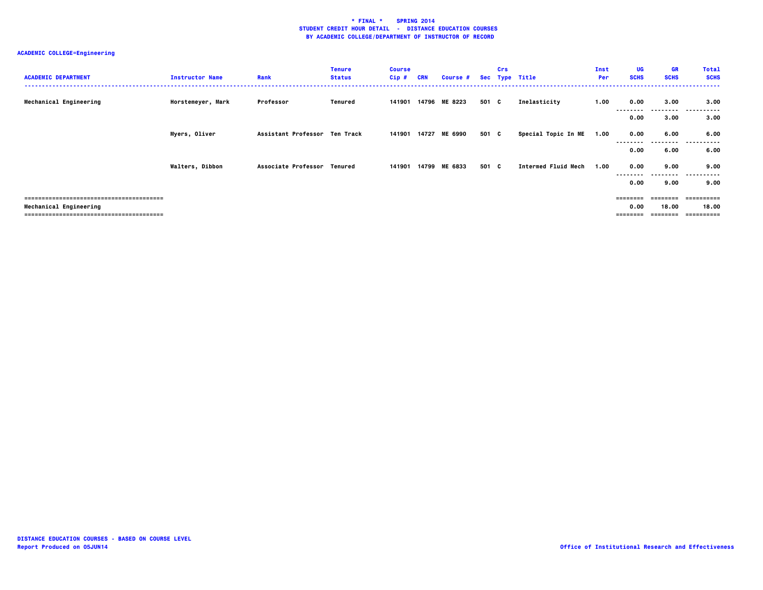| <b>ACADEMIC DEPARTMENT</b> | <b>Instructor Name</b> | Rank                          | <b>Tenure</b><br><b>Status</b> | <b>Course</b><br>$Cip$ # | <b>CRN</b> | Course #      |       | Crs | Sec Type Title             | Inst<br>Per | UG<br><b>SCHS</b> | <b>GR</b><br><b>SCHS</b> | <b>Total</b><br><b>SCHS</b> |
|----------------------------|------------------------|-------------------------------|--------------------------------|--------------------------|------------|---------------|-------|-----|----------------------------|-------------|-------------------|--------------------------|-----------------------------|
| Mechanical Engineering     | Horstemeyer, Mark      | Professor                     | Tenured                        | 141901                   |            | 14796 ME 8223 | 501 C |     | Inelasticity               | 1.00        | 0.00<br>--------  | 3.00<br>---------        | 3.00<br>.                   |
|                            |                        |                               |                                |                          |            |               |       |     |                            |             | 0.00              | 3.00                     | 3.00                        |
|                            | Myers, Oliver          | Assistant Professor Ten Track |                                | 141901                   |            | 14727 ME 6990 | 501 C |     | Special Topic In ME        | 1.00        | 0.00              | 6.00                     | 6.00                        |
|                            |                        |                               |                                |                          |            |               |       |     |                            |             | 0.00              | 6.00                     | 6.00                        |
|                            | <b>Walters, Dibbon</b> | Associate Professor Tenured   |                                | 141901                   | 14799      | ME 6833       | 501 C |     | <b>Intermed Fluid Mech</b> | 1.00        | 0.00              | 9.00                     | 9.00                        |
|                            |                        |                               |                                |                          |            |               |       |     |                            |             | --------<br>0.00  | ---------<br>9.00        | .<br>9.00                   |
|                            |                        |                               |                                |                          |            |               |       |     |                            |             |                   |                          | ==========                  |
| Mechanical Engineering     |                        |                               |                                |                          |            |               |       |     |                            |             | 0.00              | 18.00                    | 18.00<br>==========         |
|                            |                        |                               |                                |                          |            |               |       |     |                            |             |                   | =======                  |                             |